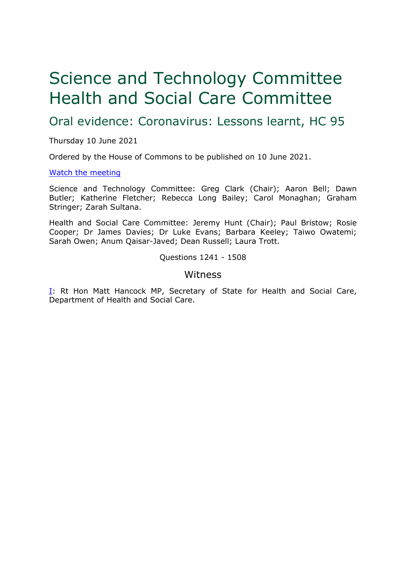# Science and Technology Committee Health and Social Care Committee

Oral evidence: Coronavirus: Lessons learnt, HC 95

Thursday 10 June 2021

Ordered by the House of Commons to be published on 10 June 2021.

#### [Watch](https://parliamentlive.tv/Event/Index/f6726bde-a69a-40e6-bbc1-de76b90f3cca) [the](https://parliamentlive.tv/Event/Index/f6726bde-a69a-40e6-bbc1-de76b90f3cca) [meeting](https://parliamentlive.tv/Event/Index/f6726bde-a69a-40e6-bbc1-de76b90f3cca)

Science and Technology Committee: Greg Clark (Chair); Aaron Bell; Dawn Butler; Katherine Fletcher; Rebecca Long Bailey; Carol Monaghan; Graham Stringer; Zarah Sultana.

Health and Social Care Committee: Jeremy Hunt (Chair); Paul Bristow; Rosie Cooper; Dr James Davies; Dr Luke Evans; Barbara Keeley; Taiwo Owatemi; Sarah Owen; Anum Qaisar-Javed; Dean Russell; Laura Trott.

Questions 1241 - 1508

## <span id="page-0-0"></span>Witness

[I:](#page-0-0) Rt Hon Matt Hancock MP, Secretary of State for Health and Social Care, Department of Health and Social Care.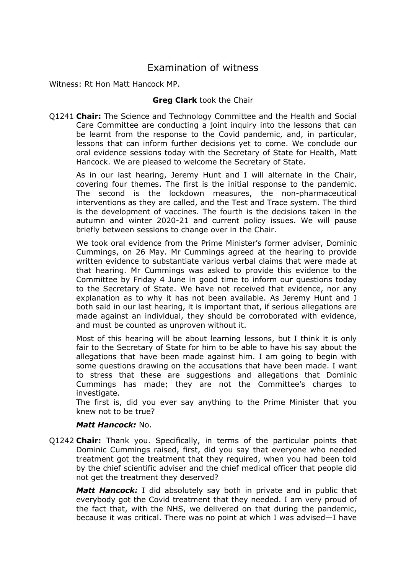## Examination of witness

Witness: Rt Hon Matt Hancock MP.

## **Greg Clark** took the Chair

Q1241 **Chair:** The Science and Technology Committee and the Health and Social Care Committee are conducting a joint inquiry into the lessons that can be learnt from the response to the Covid pandemic, and, in particular, lessons that can inform further decisions yet to come. We conclude our oral evidence sessions today with the Secretary of State for Health, Matt Hancock. We are pleased to welcome the Secretary of State.

As in our last hearing, Jeremy Hunt and I will alternate in the Chair, covering four themes. The first is the initial response to the pandemic. The second is the lockdown measures, the non-pharmaceutical interventions as they are called, and the Test and Trace system. The third is the development of vaccines. The fourth is the decisions taken in the autumn and winter 2020-21 and current policy issues. We will pause briefly between sessions to change over in the Chair.

We took oral evidence from the Prime Minister's former adviser, Dominic Cummings, on 26 May. Mr Cummings agreed at the hearing to provide written evidence to substantiate various verbal claims that were made at that hearing. Mr Cummings was asked to provide this evidence to the Committee by Friday 4 June in good time to inform our questions today to the Secretary of State. We have not received that evidence, nor any explanation as to why it has not been available. As Jeremy Hunt and I both said in our last hearing, it is important that, if serious allegations are made against an individual, they should be corroborated with evidence, and must be counted as unproven without it.

Most of this hearing will be about learning lessons, but I think it is only fair to the Secretary of State for him to be able to have his say about the allegations that have been made against him. I am going to begin with some questions drawing on the accusations that have been made. I want to stress that these are suggestions and allegations that Dominic Cummings has made; they are not the Committee's charges to investigate.

The first is, did you ever say anything to the Prime Minister that you knew not to be true?

#### *Matt Hancock:* No.

Q1242 **Chair:** Thank you. Specifically, in terms of the particular points that Dominic Cummings raised, first, did you say that everyone who needed treatment got the treatment that they required, when you had been told by the chief scientific adviser and the chief medical officer that people did not get the treatment they deserved?

*Matt Hancock:* I did absolutely say both in private and in public that everybody got the Covid treatment that they needed. I am very proud of the fact that, with the NHS, we delivered on that during the pandemic, because it was critical. There was no point at which I was advised—I have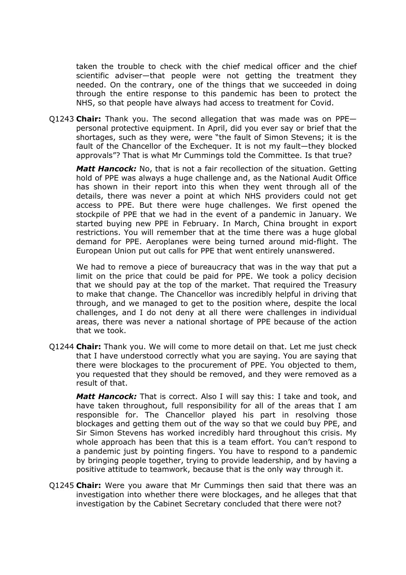taken the trouble to check with the chief medical officer and the chief scientific adviser—that people were not getting the treatment they needed. On the contrary, one of the things that we succeeded in doing through the entire response to this pandemic has been to protect the NHS, so that people have always had access to treatment for Covid.

Q1243 **Chair:** Thank you. The second allegation that was made was on PPE personal protective equipment. In April, did you ever say or brief that the shortages, such as they were, were "the fault of Simon Stevens; it is the fault of the Chancellor of the Exchequer. It is not my fault—they blocked approvals"? That is what Mr Cummings told the Committee. Is that true?

*Matt Hancock:* No, that is not a fair recollection of the situation. Getting hold of PPE was always a huge challenge and, as the National Audit Office has shown in their report into this when they went through all of the details, there was never a point at which NHS providers could not get access to PPE. But there were huge challenges. We first opened the stockpile of PPE that we had in the event of a pandemic in January. We started buying new PPE in February. In March, China brought in export restrictions. You will remember that at the time there was a huge global demand for PPE. Aeroplanes were being turned around mid-flight. The European Union put out calls for PPE that went entirely unanswered.

We had to remove a piece of bureaucracy that was in the way that put a limit on the price that could be paid for PPE. We took a policy decision that we should pay at the top of the market. That required the Treasury to make that change. The Chancellor was incredibly helpful in driving that through, and we managed to get to the position where, despite the local challenges, and I do not deny at all there were challenges in individual areas, there was never a national shortage of PPE because of the action that we took.

Q1244 **Chair:** Thank you. We will come to more detail on that. Let me just check that I have understood correctly what you are saying. You are saying that there were blockages to the procurement of PPE. You objected to them, you requested that they should be removed, and they were removed as a result of that.

*Matt Hancock:* That is correct. Also I will say this: I take and took, and have taken throughout, full responsibility for all of the areas that I am responsible for. The Chancellor played his part in resolving those blockages and getting them out of the way so that we could buy PPE, and Sir Simon Stevens has worked incredibly hard throughout this crisis. My whole approach has been that this is a team effort. You can't respond to a pandemic just by pointing fingers. You have to respond to a pandemic by bringing people together, trying to provide leadership, and by having a positive attitude to teamwork, because that is the only way through it.

Q1245 **Chair:** Were you aware that Mr Cummings then said that there was an investigation into whether there were blockages, and he alleges that that investigation by the Cabinet Secretary concluded that there were not?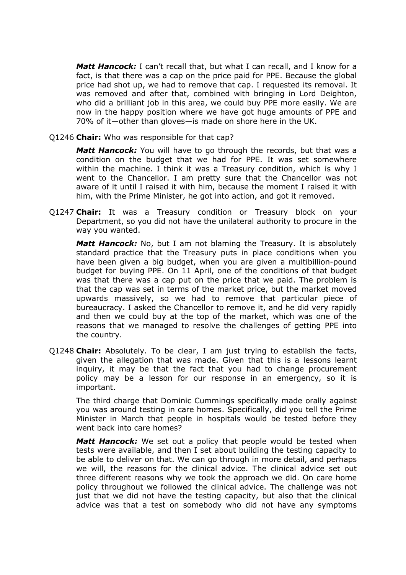*Matt Hancock:* I can't recall that, but what I can recall, and I know for a fact, is that there was a cap on the price paid for PPE. Because the global price had shot up, we had to remove that cap. I requested its removal. It was removed and after that, combined with bringing in Lord Deighton, who did a brilliant job in this area, we could buy PPE more easily. We are now in the happy position where we have got huge amounts of PPE and 70% of it—other than gloves—is made on shore here in the UK.

Q1246 **Chair:** Who was responsible for that cap?

*Matt Hancock:* You will have to go through the records, but that was a condition on the budget that we had for PPE. It was set somewhere within the machine. I think it was a Treasury condition, which is why I went to the Chancellor. I am pretty sure that the Chancellor was not aware of it until I raised it with him, because the moment I raised it with him, with the Prime Minister, he got into action, and got it removed.

Q1247 **Chair:** It was a Treasury condition or Treasury block on your Department, so you did not have the unilateral authority to procure in the way you wanted.

*Matt Hancock:* No, but I am not blaming the Treasury. It is absolutely standard practice that the Treasury puts in place conditions when you have been given a big budget, when you are given a multibillion-pound budget for buying PPE. On 11 April, one of the conditions of that budget was that there was a cap put on the price that we paid. The problem is that the cap was set in terms of the market price, but the market moved upwards massively, so we had to remove that particular piece of bureaucracy. I asked the Chancellor to remove it, and he did very rapidly and then we could buy at the top of the market, which was one of the reasons that we managed to resolve the challenges of getting PPE into the country.

Q1248 **Chair:** Absolutely. To be clear, I am just trying to establish the facts, given the allegation that was made. Given that this is a lessons learnt inquiry, it may be that the fact that you had to change procurement policy may be a lesson for our response in an emergency, so it is important.

The third charge that Dominic Cummings specifically made orally against you was around testing in care homes. Specifically, did you tell the Prime Minister in March that people in hospitals would be tested before they went back into care homes?

*Matt Hancock:* We set out a policy that people would be tested when tests were available, and then I set about building the testing capacity to be able to deliver on that. We can go through in more detail, and perhaps we will, the reasons for the clinical advice. The clinical advice set out three different reasons why we took the approach we did. On care home policy throughout we followed the clinical advice. The challenge was not just that we did not have the testing capacity, but also that the clinical advice was that a test on somebody who did not have any symptoms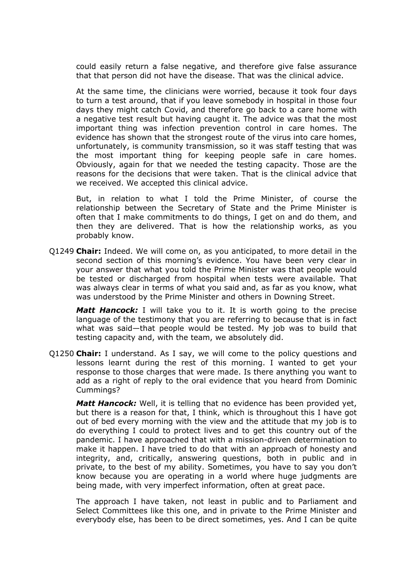could easily return a false negative, and therefore give false assurance that that person did not have the disease. That was the clinical advice.

At the same time, the clinicians were worried, because it took four days to turn a test around, that if you leave somebody in hospital in those four days they might catch Covid, and therefore go back to a care home with a negative test result but having caught it. The advice was that the most important thing was infection prevention control in care homes. The evidence has shown that the strongest route of the virus into care homes, unfortunately, is community transmission, so it was staff testing that was the most important thing for keeping people safe in care homes. Obviously, again for that we needed the testing capacity. Those are the reasons for the decisions that were taken. That is the clinical advice that we received. We accepted this clinical advice.

But, in relation to what I told the Prime Minister, of course the relationship between the Secretary of State and the Prime Minister is often that I make commitments to do things, I get on and do them, and then they are delivered. That is how the relationship works, as you probably know.

Q1249 **Chair:** Indeed. We will come on, as you anticipated, to more detail in the second section of this morning's evidence. You have been very clear in your answer that what you told the Prime Minister was that people would be tested or discharged from hospital when tests were available. That was always clear in terms of what you said and, as far as you know, what was understood by the Prime Minister and others in Downing Street.

*Matt Hancock:* I will take you to it. It is worth going to the precise language of the testimony that you are referring to because that is in fact what was said—that people would be tested. My job was to build that testing capacity and, with the team, we absolutely did.

Q1250 **Chair:** I understand. As I say, we will come to the policy questions and lessons learnt during the rest of this morning. I wanted to get your response to those charges that were made. Is there anything you want to add as a right of reply to the oral evidence that you heard from Dominic Cummings?

*Matt Hancock:* Well, it is telling that no evidence has been provided yet, but there is a reason for that, I think, which is throughout this I have got out of bed every morning with the view and the attitude that my job is to do everything I could to protect lives and to get this country out of the pandemic. I have approached that with a mission-driven determination to make it happen. I have tried to do that with an approach of honesty and integrity, and, critically, answering questions, both in public and in private, to the best of my ability. Sometimes, you have to say you don't know because you are operating in a world where huge judgments are being made, with very imperfect information, often at great pace.

The approach I have taken, not least in public and to Parliament and Select Committees like this one, and in private to the Prime Minister and everybody else, has been to be direct sometimes, yes. And I can be quite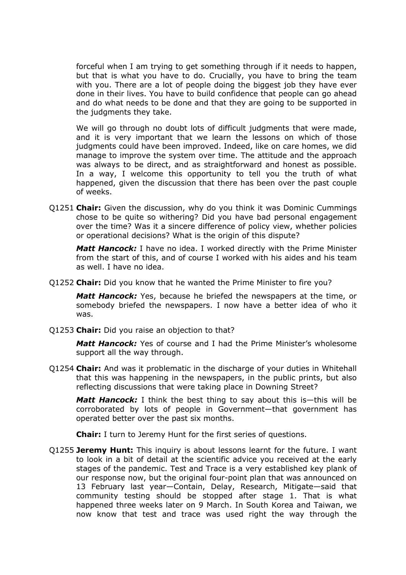forceful when I am trying to get something through if it needs to happen, but that is what you have to do. Crucially, you have to bring the team with you. There are a lot of people doing the biggest job they have ever done in their lives. You have to build confidence that people can go ahead and do what needs to be done and that they are going to be supported in the judgments they take.

We will go through no doubt lots of difficult judgments that were made, and it is very important that we learn the lessons on which of those judgments could have been improved. Indeed, like on care homes, we did manage to improve the system over time. The attitude and the approach was always to be direct, and as straightforward and honest as possible. In a way, I welcome this opportunity to tell you the truth of what happened, given the discussion that there has been over the past couple of weeks.

Q1251 **Chair:** Given the discussion, why do you think it was Dominic Cummings chose to be quite so withering? Did you have bad personal engagement over the time? Was it a sincere difference of policy view, whether policies or operational decisions? What is the origin of this dispute?

*Matt Hancock:* I have no idea. I worked directly with the Prime Minister from the start of this, and of course I worked with his aides and his team as well. I have no idea.

Q1252 **Chair:** Did you know that he wanted the Prime Minister to fire you?

*Matt Hancock:* Yes, because he briefed the newspapers at the time, or somebody briefed the newspapers. I now have a better idea of who it was.

Q1253 **Chair:** Did you raise an objection to that?

*Matt Hancock:* Yes of course and I had the Prime Minister's wholesome support all the way through.

Q1254 **Chair:** And was it problematic in the discharge of your duties in Whitehall that this was happening in the newspapers, in the public prints, but also reflecting discussions that were taking place in Downing Street?

*Matt Hancock:* I think the best thing to say about this is—this will be corroborated by lots of people in Government—that government has operated better over the past six months.

**Chair:** I turn to Jeremy Hunt for the first series of questions.

Q1255 **Jeremy Hunt:** This inquiry is about lessons learnt for the future. I want to look in a bit of detail at the scientific advice you received at the early stages of the pandemic. Test and Trace is a very established key plank of our response now, but the original four-point plan that was announced on 13 February last year—Contain, Delay, Research, Mitigate—said that community testing should be stopped after stage 1. That is what happened three weeks later on 9 March. In South Korea and Taiwan, we now know that test and trace was used right the way through the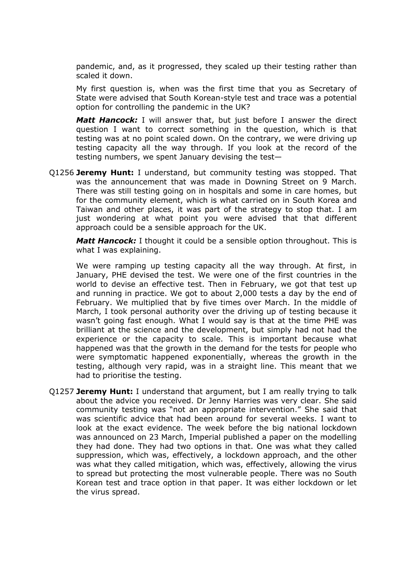pandemic, and, as it progressed, they scaled up their testing rather than scaled it down.

My first question is, when was the first time that you as Secretary of State were advised that South Korean-style test and trace was a potential option for controlling the pandemic in the UK?

*Matt Hancock:* I will answer that, but just before I answer the direct question I want to correct something in the question, which is that testing was at no point scaled down. On the contrary, we were driving up testing capacity all the way through. If you look at the record of the testing numbers, we spent January devising the test—

Q1256 **Jeremy Hunt:** I understand, but community testing was stopped. That was the announcement that was made in Downing Street on 9 March. There was still testing going on in hospitals and some in care homes, but for the community element, which is what carried on in South Korea and Taiwan and other places, it was part of the strategy to stop that. I am just wondering at what point you were advised that that different approach could be a sensible approach for the UK.

*Matt Hancock:* I thought it could be a sensible option throughout. This is what I was explaining.

We were ramping up testing capacity all the way through. At first, in January, PHE devised the test. We were one of the first countries in the world to devise an effective test. Then in February, we got that test up and running in practice. We got to about 2,000 tests a day by the end of February. We multiplied that by five times over March. In the middle of March, I took personal authority over the driving up of testing because it wasn't going fast enough. What I would say is that at the time PHE was brilliant at the science and the development, but simply had not had the experience or the capacity to scale. This is important because what happened was that the growth in the demand for the tests for people who were symptomatic happened exponentially, whereas the growth in the testing, although very rapid, was in a straight line. This meant that we had to prioritise the testing.

Q1257 **Jeremy Hunt:** I understand that argument, but I am really trying to talk about the advice you received. Dr Jenny Harries was very clear. She said community testing was "not an appropriate intervention." She said that was scientific advice that had been around for several weeks. I want to look at the exact evidence. The week before the big national lockdown was announced on 23 March, Imperial published a paper on the modelling they had done. They had two options in that. One was what they called suppression, which was, effectively, a lockdown approach, and the other was what they called mitigation, which was, effectively, allowing the virus to spread but protecting the most vulnerable people. There was no South Korean test and trace option in that paper. It was either lockdown or let the virus spread.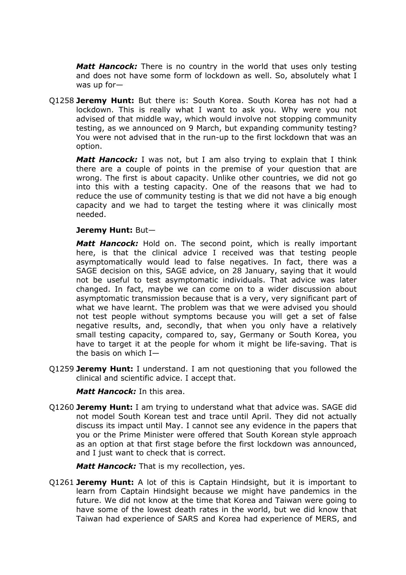*Matt Hancock:* There is no country in the world that uses only testing and does not have some form of lockdown as well. So, absolutely what I was up for—

Q1258 **Jeremy Hunt:** But there is: South Korea. South Korea has not had a lockdown. This is really what I want to ask you. Why were you not advised of that middle way, which would involve not stopping community testing, as we announced on 9 March, but expanding community testing? You were not advised that in the run-up to the first lockdown that was an option.

*Matt Hancock:* I was not, but I am also trying to explain that I think there are a couple of points in the premise of your question that are wrong. The first is about capacity. Unlike other countries, we did not go into this with a testing capacity. One of the reasons that we had to reduce the use of community testing is that we did not have a big enough capacity and we had to target the testing where it was clinically most needed.

#### **Jeremy Hunt:** But—

*Matt Hancock:* Hold on. The second point, which is really important here, is that the clinical advice I received was that testing people asymptomatically would lead to false negatives. In fact, there was a SAGE decision on this, SAGE advice, on 28 January, saying that it would not be useful to test asymptomatic individuals. That advice was later changed. In fact, maybe we can come on to a wider discussion about asymptomatic transmission because that is a very, very significant part of what we have learnt. The problem was that we were advised you should not test people without symptoms because you will get a set of false negative results, and, secondly, that when you only have a relatively small testing capacity, compared to, say, Germany or South Korea, you have to target it at the people for whom it might be life-saving. That is the basis on which I—

Q1259 **Jeremy Hunt:** I understand. I am not questioning that you followed the clinical and scientific advice. I accept that.

#### *Matt Hancock:* In this area.

Q1260 **Jeremy Hunt:** I am trying to understand what that advice was. SAGE did not model South Korean test and trace until April. They did not actually discuss its impact until May. I cannot see any evidence in the papers that you or the Prime Minister were offered that South Korean style approach as an option at that first stage before the first lockdown was announced, and I just want to check that is correct.

*Matt Hancock:* That is my recollection, yes.

Q1261 **Jeremy Hunt:** A lot of this is Captain Hindsight, but it is important to learn from Captain Hindsight because we might have pandemics in the future. We did not know at the time that Korea and Taiwan were going to have some of the lowest death rates in the world, but we did know that Taiwan had experience of SARS and Korea had experience of MERS, and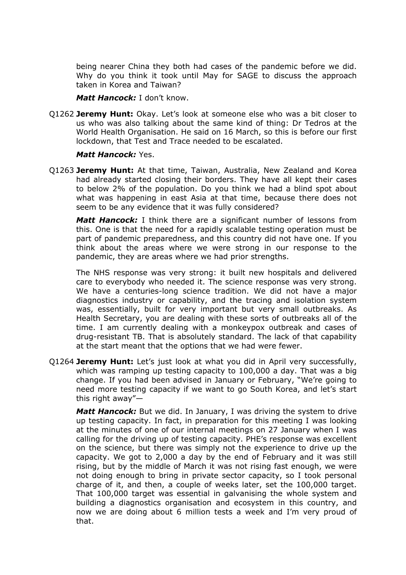being nearer China they both had cases of the pandemic before we did. Why do you think it took until May for SAGE to discuss the approach taken in Korea and Taiwan?

#### *Matt Hancock:* I don't know.

Q1262 **Jeremy Hunt:** Okay. Let's look at someone else who was a bit closer to us who was also talking about the same kind of thing: Dr Tedros at the World Health Organisation. He said on 16 March, so this is before our first lockdown, that Test and Trace needed to be escalated.

## *Matt Hancock:* Yes.

Q1263 **Jeremy Hunt:** At that time, Taiwan, Australia, New Zealand and Korea had already started closing their borders. They have all kept their cases to below 2% of the population. Do you think we had a blind spot about what was happening in east Asia at that time, because there does not seem to be any evidence that it was fully considered?

*Matt Hancock:* I think there are a significant number of lessons from this. One is that the need for a rapidly scalable testing operation must be part of pandemic preparedness, and this country did not have one. If you think about the areas where we were strong in our response to the pandemic, they are areas where we had prior strengths.

The NHS response was very strong: it built new hospitals and delivered care to everybody who needed it. The science response was very strong. We have a centuries-long science tradition. We did not have a major diagnostics industry or capability, and the tracing and isolation system was, essentially, built for very important but very small outbreaks. As Health Secretary, you are dealing with these sorts of outbreaks all of the time. I am currently dealing with a monkeypox outbreak and cases of drug-resistant TB. That is absolutely standard. The lack of that capability at the start meant that the options that we had were fewer.

Q1264 **Jeremy Hunt:** Let's just look at what you did in April very successfully, which was ramping up testing capacity to 100,000 a day. That was a big change. If you had been advised in January or February, "We're going to need more testing capacity if we want to go South Korea, and let's start this right away"—

*Matt Hancock:* But we did. In January, I was driving the system to drive up testing capacity. In fact, in preparation for this meeting I was looking at the minutes of one of our internal meetings on 27 January when I was calling for the driving up of testing capacity. PHE's response was excellent on the science, but there was simply not the experience to drive up the capacity. We got to 2,000 a day by the end of February and it was still rising, but by the middle of March it was not rising fast enough, we were not doing enough to bring in private sector capacity, so I took personal charge of it, and then, a couple of weeks later, set the 100,000 target. That 100,000 target was essential in galvanising the whole system and building a diagnostics organisation and ecosystem in this country, and now we are doing about 6 million tests a week and I'm very proud of that.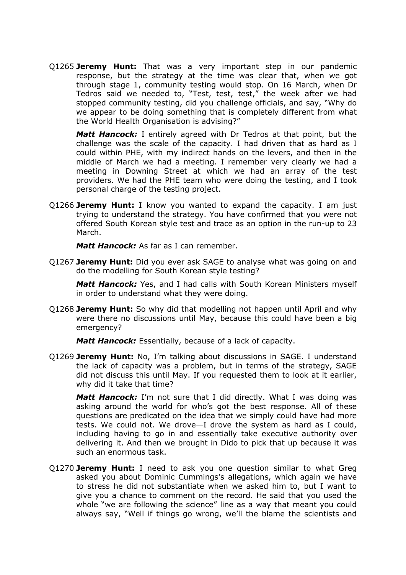Q1265 **Jeremy Hunt:** That was a very important step in our pandemic response, but the strategy at the time was clear that, when we got through stage 1, community testing would stop. On 16 March, when Dr Tedros said we needed to, "Test, test, test," the week after we had stopped community testing, did you challenge officials, and say, "Why do we appear to be doing something that is completely different from what the World Health Organisation is advising?"

*Matt Hancock:* I entirely agreed with Dr Tedros at that point, but the challenge was the scale of the capacity. I had driven that as hard as I could within PHE, with my indirect hands on the levers, and then in the middle of March we had a meeting. I remember very clearly we had a meeting in Downing Street at which we had an array of the test providers. We had the PHE team who were doing the testing, and I took personal charge of the testing project.

Q1266 **Jeremy Hunt:** I know you wanted to expand the capacity. I am just trying to understand the strategy. You have confirmed that you were not offered South Korean style test and trace as an option in the run-up to 23 March.

*Matt Hancock:* As far as I can remember.

Q1267 **Jeremy Hunt:** Did you ever ask SAGE to analyse what was going on and do the modelling for South Korean style testing?

*Matt Hancock:* Yes, and I had calls with South Korean Ministers myself in order to understand what they were doing.

Q1268 **Jeremy Hunt:** So why did that modelling not happen until April and why were there no discussions until May, because this could have been a big emergency?

*Matt Hancock:* Essentially, because of a lack of capacity.

Q1269 **Jeremy Hunt:** No, I'm talking about discussions in SAGE. I understand the lack of capacity was a problem, but in terms of the strategy, SAGE did not discuss this until May. If you requested them to look at it earlier, why did it take that time?

*Matt Hancock:* I'm not sure that I did directly. What I was doing was asking around the world for who's got the best response. All of these questions are predicated on the idea that we simply could have had more tests. We could not. We drove—I drove the system as hard as I could, including having to go in and essentially take executive authority over delivering it. And then we brought in Dido to pick that up because it was such an enormous task.

Q1270 **Jeremy Hunt:** I need to ask you one question similar to what Greg asked you about Dominic Cummings's allegations, which again we have to stress he did not substantiate when we asked him to, but I want to give you a chance to comment on the record. He said that you used the whole "we are following the science" line as a way that meant you could always say, "Well if things go wrong, we'll the blame the scientists and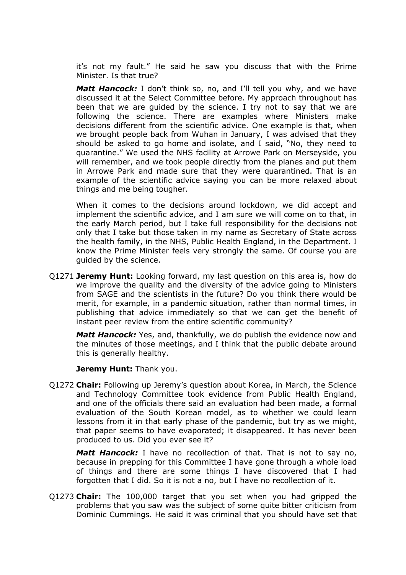it's not my fault." He said he saw you discuss that with the Prime Minister. Is that true?

*Matt Hancock:* I don't think so, no, and I'll tell you why, and we have discussed it at the Select Committee before. My approach throughout has been that we are guided by the science. I try not to say that we are following the science. There are examples where Ministers make decisions different from the scientific advice. One example is that, when we brought people back from Wuhan in January, I was advised that they should be asked to go home and isolate, and I said, "No, they need to quarantine." We used the NHS facility at Arrowe Park on Merseyside, you will remember, and we took people directly from the planes and put them in Arrowe Park and made sure that they were quarantined. That is an example of the scientific advice saying you can be more relaxed about things and me being tougher.

When it comes to the decisions around lockdown, we did accept and implement the scientific advice, and I am sure we will come on to that, in the early March period, but I take full responsibility for the decisions not only that I take but those taken in my name as Secretary of State across the health family, in the NHS, Public Health England, in the Department. I know the Prime Minister feels very strongly the same. Of course you are guided by the science.

Q1271 **Jeremy Hunt:** Looking forward, my last question on this area is, how do we improve the quality and the diversity of the advice going to Ministers from SAGE and the scientists in the future? Do you think there would be merit, for example, in a pandemic situation, rather than normal times, in publishing that advice immediately so that we can get the benefit of instant peer review from the entire scientific community?

*Matt Hancock:* Yes, and, thankfully, we do publish the evidence now and the minutes of those meetings, and I think that the public debate around this is generally healthy.

**Jeremy Hunt:** Thank you.

Q1272 **Chair:** Following up Jeremy's question about Korea, in March, the Science and Technology Committee took evidence from Public Health England, and one of the officials there said an evaluation had been made, a formal evaluation of the South Korean model, as to whether we could learn lessons from it in that early phase of the pandemic, but try as we might, that paper seems to have evaporated; it disappeared. It has never been produced to us. Did you ever see it?

*Matt Hancock:* I have no recollection of that. That is not to say no, because in prepping for this Committee I have gone through a whole load of things and there are some things I have discovered that I had forgotten that I did. So it is not a no, but I have no recollection of it.

Q1273 **Chair:** The 100,000 target that you set when you had gripped the problems that you saw was the subject of some quite bitter criticism from Dominic Cummings. He said it was criminal that you should have set that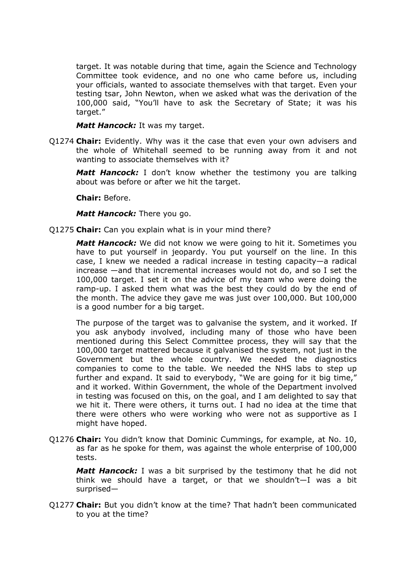target. It was notable during that time, again the Science and Technology Committee took evidence, and no one who came before us, including your officials, wanted to associate themselves with that target. Even your testing tsar, John Newton, when we asked what was the derivation of the 100,000 said, "You'll have to ask the Secretary of State; it was his target."

*Matt Hancock:* It was my target.

Q1274 **Chair:** Evidently. Why was it the case that even your own advisers and the whole of Whitehall seemed to be running away from it and not wanting to associate themselves with it?

*Matt Hancock:* I don't know whether the testimony you are talking about was before or after we hit the target.

**Chair:** Before.

*Matt Hancock:* There you go.

Q1275 **Chair:** Can you explain what is in your mind there?

*Matt Hancock:* We did not know we were going to hit it. Sometimes you have to put yourself in jeopardy. You put yourself on the line. In this case, I knew we needed a radical increase in testing capacity—a radical increase —and that incremental increases would not do, and so I set the 100,000 target. I set it on the advice of my team who were doing the ramp-up. I asked them what was the best they could do by the end of the month. The advice they gave me was just over 100,000. But 100,000 is a good number for a big target.

The purpose of the target was to galvanise the system, and it worked. If you ask anybody involved, including many of those who have been mentioned during this Select Committee process, they will say that the 100,000 target mattered because it galvanised the system, not just in the Government but the whole country. We needed the diagnostics companies to come to the table. We needed the NHS labs to step up further and expand. It said to everybody, "We are going for it big time," and it worked. Within Government, the whole of the Department involved in testing was focused on this, on the goal, and I am delighted to say that we hit it. There were others, it turns out. I had no idea at the time that there were others who were working who were not as supportive as I might have hoped.

Q1276 **Chair:** You didn't know that Dominic Cummings, for example, at No. 10, as far as he spoke for them, was against the whole enterprise of 100,000 tests.

*Matt Hancock:* I was a bit surprised by the testimony that he did not think we should have a target, or that we shouldn't—I was a bit surprised—

Q1277 **Chair:** But you didn't know at the time? That hadn't been communicated to you at the time?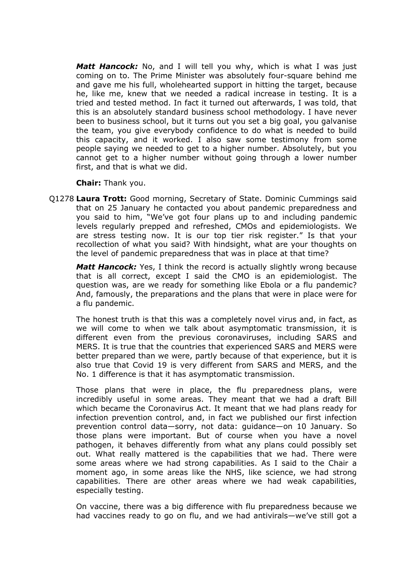*Matt Hancock:* No, and I will tell you why, which is what I was just coming on to. The Prime Minister was absolutely four-square behind me and gave me his full, wholehearted support in hitting the target, because he, like me, knew that we needed a radical increase in testing. It is a tried and tested method. In fact it turned out afterwards, I was told, that this is an absolutely standard business school methodology. I have never been to business school, but it turns out you set a big goal, you galvanise the team, you give everybody confidence to do what is needed to build this capacity, and it worked. I also saw some testimony from some people saying we needed to get to a higher number. Absolutely, but you cannot get to a higher number without going through a lower number first, and that is what we did.

**Chair:** Thank you.

Q1278 **Laura Trott:** Good morning, Secretary of State. Dominic Cummings said that on 25 January he contacted you about pandemic preparedness and you said to him, "We've got four plans up to and including pandemic levels regularly prepped and refreshed, CMOs and epidemiologists. We are stress testing now. It is our top tier risk register." Is that your recollection of what you said? With hindsight, what are your thoughts on the level of pandemic preparedness that was in place at that time?

*Matt Hancock:* Yes, I think the record is actually slightly wrong because that is all correct, except I said the CMO is an epidemiologist. The question was, are we ready for something like Ebola or a flu pandemic? And, famously, the preparations and the plans that were in place were for a flu pandemic.

The honest truth is that this was a completely novel virus and, in fact, as we will come to when we talk about asymptomatic transmission, it is different even from the previous coronaviruses, including SARS and MERS. It is true that the countries that experienced SARS and MERS were better prepared than we were, partly because of that experience, but it is also true that Covid 19 is very different from SARS and MERS, and the No. 1 difference is that it has asymptomatic transmission.

Those plans that were in place, the flu preparedness plans, were incredibly useful in some areas. They meant that we had a draft Bill which became the Coronavirus Act. It meant that we had plans ready for infection prevention control, and, in fact we published our first infection prevention control data—sorry, not data: guidance—on 10 January. So those plans were important. But of course when you have a novel pathogen, it behaves differently from what any plans could possibly set out. What really mattered is the capabilities that we had. There were some areas where we had strong capabilities. As I said to the Chair a moment ago, in some areas like the NHS, like science, we had strong capabilities. There are other areas where we had weak capabilities, especially testing.

On vaccine, there was a big difference with flu preparedness because we had vaccines ready to go on flu, and we had antivirals—we've still got a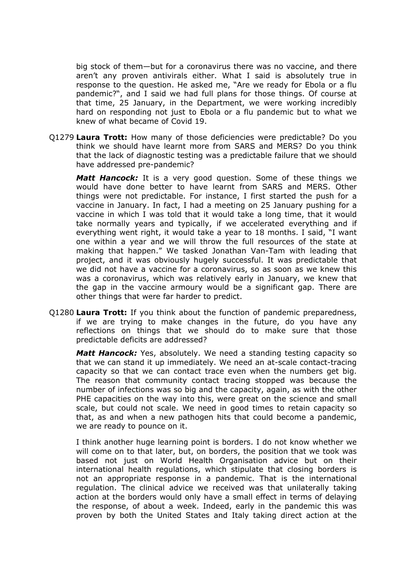big stock of them—but for a coronavirus there was no vaccine, and there aren't any proven antivirals either. What I said is absolutely true in response to the question. He asked me, "Are we ready for Ebola or a flu pandemic?", and I said we had full plans for those things. Of course at that time, 25 January, in the Department, we were working incredibly hard on responding not just to Ebola or a flu pandemic but to what we knew of what became of Covid 19.

Q1279 **Laura Trott:** How many of those deficiencies were predictable? Do you think we should have learnt more from SARS and MERS? Do you think that the lack of diagnostic testing was a predictable failure that we should have addressed pre-pandemic?

*Matt Hancock:* It is a very good question. Some of these things we would have done better to have learnt from SARS and MERS. Other things were not predictable. For instance, I first started the push for a vaccine in January. In fact, I had a meeting on 25 January pushing for a vaccine in which I was told that it would take a long time, that it would take normally years and typically, if we accelerated everything and if everything went right, it would take a year to 18 months. I said, "I want one within a year and we will throw the full resources of the state at making that happen." We tasked Jonathan Van-Tam with leading that project, and it was obviously hugely successful. It was predictable that we did not have a vaccine for a coronavirus, so as soon as we knew this was a coronavirus, which was relatively early in January, we knew that the gap in the vaccine armoury would be a significant gap. There are other things that were far harder to predict.

Q1280 **Laura Trott:** If you think about the function of pandemic preparedness, if we are trying to make changes in the future, do you have any reflections on things that we should do to make sure that those predictable deficits are addressed?

*Matt Hancock:* Yes, absolutely. We need a standing testing capacity so that we can stand it up immediately. We need an at-scale contact-tracing capacity so that we can contact trace even when the numbers get big. The reason that community contact tracing stopped was because the number of infections was so big and the capacity, again, as with the other PHE capacities on the way into this, were great on the science and small scale, but could not scale. We need in good times to retain capacity so that, as and when a new pathogen hits that could become a pandemic, we are ready to pounce on it.

I think another huge learning point is borders. I do not know whether we will come on to that later, but, on borders, the position that we took was based not just on World Health Organisation advice but on their international health regulations, which stipulate that closing borders is not an appropriate response in a pandemic. That is the international regulation. The clinical advice we received was that unilaterally taking action at the borders would only have a small effect in terms of delaying the response, of about a week. Indeed, early in the pandemic this was proven by both the United States and Italy taking direct action at the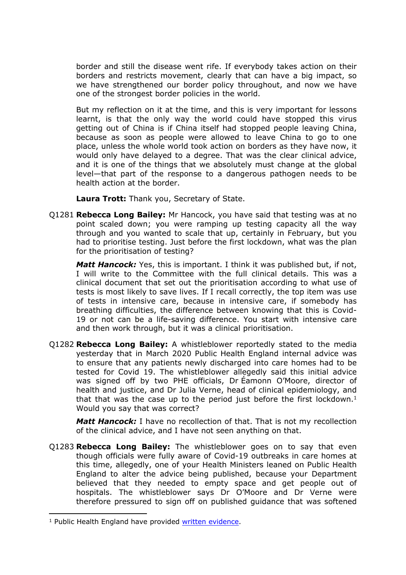border and still the disease went rife. If everybody takes action on their borders and restricts movement, clearly that can have a big impact, so we have strengthened our border policy throughout, and now we have one of the strongest border policies in the world.

But my reflection on it at the time, and this is very important for lessons learnt, is that the only way the world could have stopped this virus getting out of China is if China itself had stopped people leaving China, because as soon as people were allowed to leave China to go to one place, unless the whole world took action on borders as they have now, it would only have delayed to a degree. That was the clear clinical advice, and it is one of the things that we absolutely must change at the global level—that part of the response to a dangerous pathogen needs to be health action at the border.

**Laura Trott:** Thank you, Secretary of State.

Q1281 **Rebecca Long Bailey:** Mr Hancock, you have said that testing was at no point scaled down; you were ramping up testing capacity all the way through and you wanted to scale that up, certainly in February, but you had to prioritise testing. Just before the first lockdown, what was the plan for the prioritisation of testing?

*Matt Hancock:* Yes, this is important. I think it was published but, if not, I will write to the Committee with the full clinical details. This was a clinical document that set out the prioritisation according to what use of tests is most likely to save lives. If I recall correctly, the top item was use of tests in intensive care, because in intensive care, if somebody has breathing difficulties, the difference between knowing that this is Covid-19 or not can be a life-saving difference. You start with intensive care and then work through, but it was a clinical prioritisation.

Q1282 **Rebecca Long Bailey:** A whistleblower reportedly stated to the media yesterday that in March 2020 Public Health England internal advice was to ensure that any patients newly discharged into care homes had to be tested for Covid 19. The whistleblower allegedly said this initial advice was signed off by two PHE officials, Dr Éamonn O'Moore, director of health and justice, and Dr Julia Verne, head of clinical epidemiology, and that that was the case up to the period just before the first lockdown.<sup>1</sup> Would you say that was correct?

*Matt Hancock:* I have no recollection of that. That is not my recollection of the clinical advice, and I have not seen anything on that.

Q1283 **Rebecca Long Bailey:** The whistleblower goes on to say that even though officials were fully aware of Covid-19 outbreaks in care homes at this time, allegedly, one of your Health Ministers leaned on Public Health England to alter the advice being published, because your Department believed that they needed to empty space and get people out of hospitals. The whistleblower says Dr O'Moore and Dr Verne were therefore pressured to sign off on published guidance that was softened

<sup>&</sup>lt;sup>1</sup> Public Health England have provided [written](https://committees.parliament.uk/writtenevidence/37244/pdf/) [evidence](https://committees.parliament.uk/writtenevidence/37244/pdf/).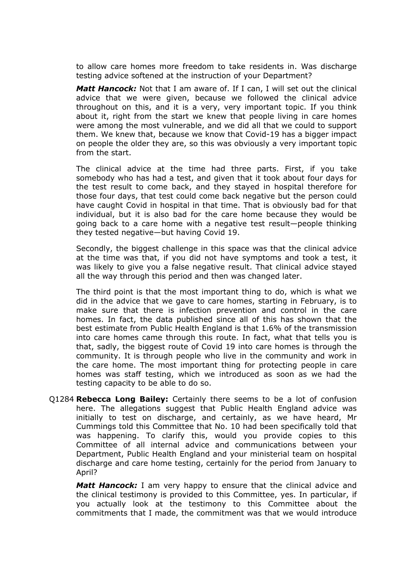to allow care homes more freedom to take residents in. Was discharge testing advice softened at the instruction of your Department?

*Matt Hancock:* Not that I am aware of. If I can, I will set out the clinical advice that we were given, because we followed the clinical advice throughout on this, and it is a very, very important topic. If you think about it, right from the start we knew that people living in care homes were among the most vulnerable, and we did all that we could to support them. We knew that, because we know that Covid-19 has a bigger impact on people the older they are, so this was obviously a very important topic from the start.

The clinical advice at the time had three parts. First, if you take somebody who has had a test, and given that it took about four days for the test result to come back, and they stayed in hospital therefore for those four days, that test could come back negative but the person could have caught Covid in hospital in that time. That is obviously bad for that individual, but it is also bad for the care home because they would be going back to a care home with a negative test result—people thinking they tested negative—but having Covid 19.

Secondly, the biggest challenge in this space was that the clinical advice at the time was that, if you did not have symptoms and took a test, it was likely to give you a false negative result. That clinical advice stayed all the way through this period and then was changed later.

The third point is that the most important thing to do, which is what we did in the advice that we gave to care homes, starting in February, is to make sure that there is infection prevention and control in the care homes. In fact, the data published since all of this has shown that the best estimate from Public Health England is that 1.6% of the transmission into care homes came through this route. In fact, what that tells you is that, sadly, the biggest route of Covid 19 into care homes is through the community. It is through people who live in the community and work in the care home. The most important thing for protecting people in care homes was staff testing, which we introduced as soon as we had the testing capacity to be able to do so.

Q1284 **Rebecca Long Bailey:** Certainly there seems to be a lot of confusion here. The allegations suggest that Public Health England advice was initially to test on discharge, and certainly, as we have heard, Mr Cummings told this Committee that No. 10 had been specifically told that was happening. To clarify this, would you provide copies to this Committee of all internal advice and communications between your Department, Public Health England and your ministerial team on hospital discharge and care home testing, certainly for the period from January to April?

*Matt Hancock:* I am very happy to ensure that the clinical advice and the clinical testimony is provided to this Committee, yes. In particular, if you actually look at the testimony to this Committee about the commitments that I made, the commitment was that we would introduce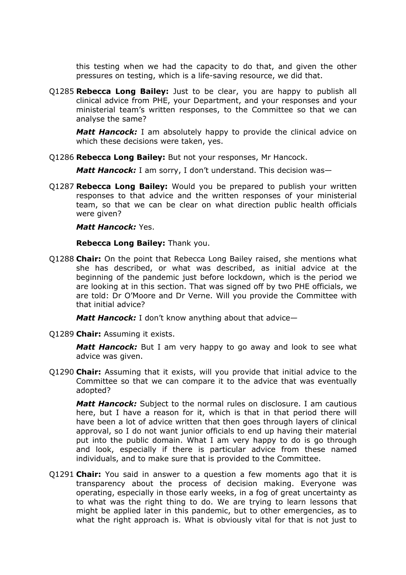this testing when we had the capacity to do that, and given the other pressures on testing, which is a life-saving resource, we did that.

Q1285 **Rebecca Long Bailey:** Just to be clear, you are happy to publish all clinical advice from PHE, your Department, and your responses and your ministerial team's written responses, to the Committee so that we can analyse the same?

*Matt Hancock:* I am absolutely happy to provide the clinical advice on which these decisions were taken, yes.

Q1286 **Rebecca Long Bailey:** But not your responses, Mr Hancock.

*Matt Hancock:* I am sorry, I don't understand. This decision was—

Q1287 **Rebecca Long Bailey:** Would you be prepared to publish your written responses to that advice and the written responses of your ministerial team, so that we can be clear on what direction public health officials were given?

#### *Matt Hancock:* Yes.

**Rebecca Long Bailey:** Thank you.

Q1288 **Chair:** On the point that Rebecca Long Bailey raised, she mentions what she has described, or what was described, as initial advice at the beginning of the pandemic just before lockdown, which is the period we are looking at in this section. That was signed off by two PHE officials, we are told: Dr O'Moore and Dr Verne. Will you provide the Committee with that initial advice?

*Matt Hancock:* I don't know anything about that advice—

Q1289 **Chair:** Assuming it exists.

*Matt Hancock:* But I am very happy to go away and look to see what advice was given.

Q1290 **Chair:** Assuming that it exists, will you provide that initial advice to the Committee so that we can compare it to the advice that was eventually adopted?

*Matt Hancock:* Subject to the normal rules on disclosure. I am cautious here, but I have a reason for it, which is that in that period there will have been a lot of advice written that then goes through layers of clinical approval, so I do not want junior officials to end up having their material put into the public domain. What I am very happy to do is go through and look, especially if there is particular advice from these named individuals, and to make sure that is provided to the Committee.

Q1291 **Chair:** You said in answer to a question a few moments ago that it is transparency about the process of decision making. Everyone was operating, especially in those early weeks, in a fog of great uncertainty as to what was the right thing to do. We are trying to learn lessons that might be applied later in this pandemic, but to other emergencies, as to what the right approach is. What is obviously vital for that is not just to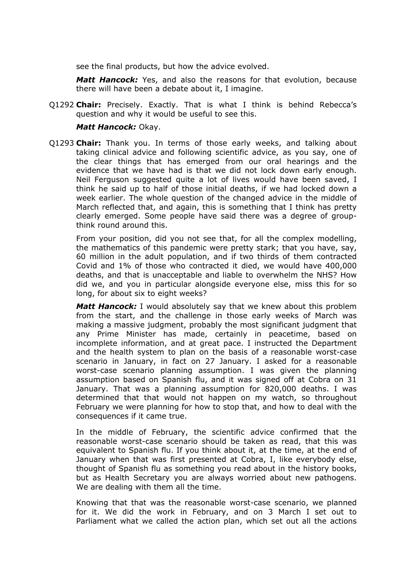see the final products, but how the advice evolved.

*Matt Hancock:* Yes, and also the reasons for that evolution, because there will have been a debate about it, I imagine.

Q1292 **Chair:** Precisely. Exactly. That is what I think is behind Rebecca's question and why it would be useful to see this.

#### *Matt Hancock:* Okay.

Q1293 **Chair:** Thank you. In terms of those early weeks, and talking about taking clinical advice and following scientific advice, as you say, one of the clear things that has emerged from our oral hearings and the evidence that we have had is that we did not lock down early enough. Neil Ferguson suggested quite a lot of lives would have been saved, I think he said up to half of those initial deaths, if we had locked down a week earlier. The whole question of the changed advice in the middle of March reflected that, and again, this is something that I think has pretty clearly emerged. Some people have said there was a degree of groupthink round around this.

From your position, did you not see that, for all the complex modelling, the mathematics of this pandemic were pretty stark; that you have, say, 60 million in the adult population, and if two thirds of them contracted Covid and 1% of those who contracted it died, we would have 400,000 deaths, and that is unacceptable and liable to overwhelm the NHS? How did we, and you in particular alongside everyone else, miss this for so long, for about six to eight weeks?

*Matt Hancock:* I would absolutely say that we knew about this problem from the start, and the challenge in those early weeks of March was making a massive judgment, probably the most significant judgment that any Prime Minister has made, certainly in peacetime, based on incomplete information, and at great pace. I instructed the Department and the health system to plan on the basis of a reasonable worst-case scenario in January, in fact on 27 January. I asked for a reasonable worst-case scenario planning assumption. I was given the planning assumption based on Spanish flu, and it was signed off at Cobra on 31 January. That was a planning assumption for 820,000 deaths. I was determined that that would not happen on my watch, so throughout February we were planning for how to stop that, and how to deal with the consequences if it came true.

In the middle of February, the scientific advice confirmed that the reasonable worst-case scenario should be taken as read, that this was equivalent to Spanish flu. If you think about it, at the time, at the end of January when that was first presented at Cobra, I, like everybody else, thought of Spanish flu as something you read about in the history books, but as Health Secretary you are always worried about new pathogens. We are dealing with them all the time.

Knowing that that was the reasonable worst-case scenario, we planned for it. We did the work in February, and on 3 March I set out to Parliament what we called the action plan, which set out all the actions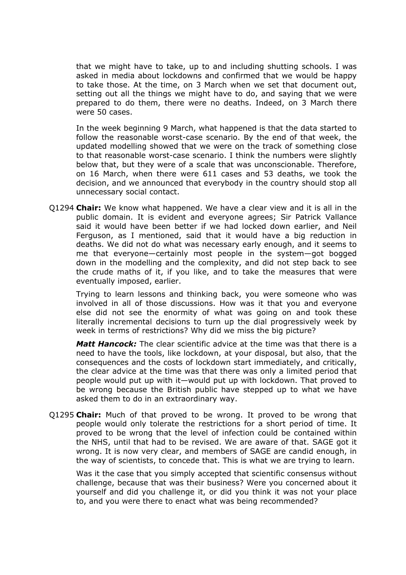that we might have to take, up to and including shutting schools. I was asked in media about lockdowns and confirmed that we would be happy to take those. At the time, on 3 March when we set that document out, setting out all the things we might have to do, and saying that we were prepared to do them, there were no deaths. Indeed, on 3 March there were 50 cases.

In the week beginning 9 March, what happened is that the data started to follow the reasonable worst-case scenario. By the end of that week, the updated modelling showed that we were on the track of something close to that reasonable worst-case scenario. I think the numbers were slightly below that, but they were of a scale that was unconscionable. Therefore, on 16 March, when there were 611 cases and 53 deaths, we took the decision, and we announced that everybody in the country should stop all unnecessary social contact.

Q1294 **Chair:** We know what happened. We have a clear view and it is all in the public domain. It is evident and everyone agrees; Sir Patrick Vallance said it would have been better if we had locked down earlier, and Neil Ferguson, as I mentioned, said that it would have a big reduction in deaths. We did not do what was necessary early enough, and it seems to me that everyone—certainly most people in the system—got bogged down in the modelling and the complexity, and did not step back to see the crude maths of it, if you like, and to take the measures that were eventually imposed, earlier.

Trying to learn lessons and thinking back, you were someone who was involved in all of those discussions. How was it that you and everyone else did not see the enormity of what was going on and took these literally incremental decisions to turn up the dial progressively week by week in terms of restrictions? Why did we miss the big picture?

*Matt Hancock:* The clear scientific advice at the time was that there is a need to have the tools, like lockdown, at your disposal, but also, that the consequences and the costs of lockdown start immediately, and critically, the clear advice at the time was that there was only a limited period that people would put up with it—would put up with lockdown. That proved to be wrong because the British public have stepped up to what we have asked them to do in an extraordinary way.

Q1295 **Chair:** Much of that proved to be wrong. It proved to be wrong that people would only tolerate the restrictions for a short period of time. It proved to be wrong that the level of infection could be contained within the NHS, until that had to be revised. We are aware of that. SAGE got it wrong. It is now very clear, and members of SAGE are candid enough, in the way of scientists, to concede that. This is what we are trying to learn.

Was it the case that you simply accepted that scientific consensus without challenge, because that was their business? Were you concerned about it yourself and did you challenge it, or did you think it was not your place to, and you were there to enact what was being recommended?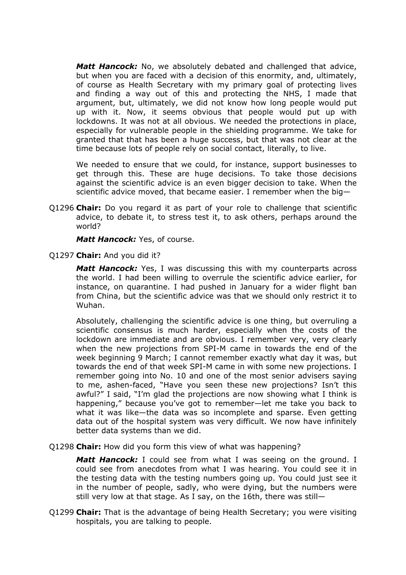*Matt Hancock:* No, we absolutely debated and challenged that advice, but when you are faced with a decision of this enormity, and, ultimately, of course as Health Secretary with my primary goal of protecting lives and finding a way out of this and protecting the NHS, I made that argument, but, ultimately, we did not know how long people would put up with it. Now, it seems obvious that people would put up with lockdowns. It was not at all obvious. We needed the protections in place, especially for vulnerable people in the shielding programme. We take for granted that that has been a huge success, but that was not clear at the time because lots of people rely on social contact, literally, to live.

We needed to ensure that we could, for instance, support businesses to get through this. These are huge decisions. To take those decisions against the scientific advice is an even bigger decision to take. When the scientific advice moved, that became easier. I remember when the big—

Q1296 **Chair:** Do you regard it as part of your role to challenge that scientific advice, to debate it, to stress test it, to ask others, perhaps around the world?

*Matt Hancock:* Yes, of course.

Q1297 **Chair:** And you did it?

**Matt Hancock:** Yes, I was discussing this with my counterparts across the world. I had been willing to overrule the scientific advice earlier, for instance, on quarantine. I had pushed in January for a wider flight ban from China, but the scientific advice was that we should only restrict it to Wuhan.

Absolutely, challenging the scientific advice is one thing, but overruling a scientific consensus is much harder, especially when the costs of the lockdown are immediate and are obvious. I remember very, very clearly when the new projections from SPI-M came in towards the end of the week beginning 9 March; I cannot remember exactly what day it was, but towards the end of that week SPI-M came in with some new projections. I remember going into No. 10 and one of the most senior advisers saying to me, ashen-faced, "Have you seen these new projections? Isn't this awful?" I said, "I'm glad the projections are now showing what I think is happening," because you've got to remember—let me take you back to what it was like—the data was so incomplete and sparse. Even getting data out of the hospital system was very difficult. We now have infinitely better data systems than we did.

Q1298 **Chair:** How did you form this view of what was happening?

*Matt Hancock:* I could see from what I was seeing on the ground. I could see from anecdotes from what I was hearing. You could see it in the testing data with the testing numbers going up. You could just see it in the number of people, sadly, who were dying, but the numbers were still very low at that stage. As I say, on the 16th, there was still—

Q1299 **Chair:** That is the advantage of being Health Secretary; you were visiting hospitals, you are talking to people.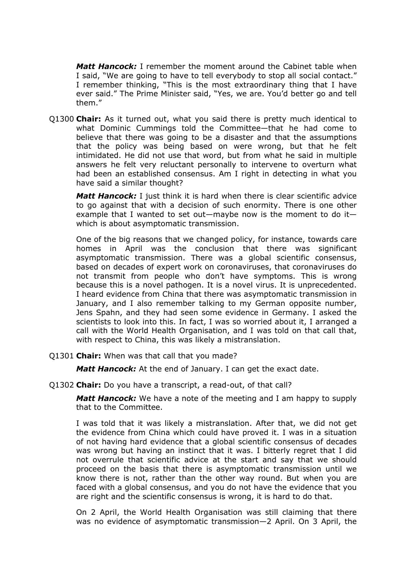*Matt Hancock:* I remember the moment around the Cabinet table when I said, "We are going to have to tell everybody to stop all social contact." I remember thinking, "This is the most extraordinary thing that I have ever said." The Prime Minister said, "Yes, we are. You'd better go and tell them."

Q1300 **Chair:** As it turned out, what you said there is pretty much identical to what Dominic Cummings told the Committee—that he had come to believe that there was going to be a disaster and that the assumptions that the policy was being based on were wrong, but that he felt intimidated. He did not use that word, but from what he said in multiple answers he felt very reluctant personally to intervene to overturn what had been an established consensus. Am I right in detecting in what you have said a similar thought?

*Matt Hancock:* I just think it is hard when there is clear scientific advice to go against that with a decision of such enormity. There is one other example that I wanted to set out—maybe now is the moment to do it which is about asymptomatic transmission.

One of the big reasons that we changed policy, for instance, towards care homes in April was the conclusion that there was significant asymptomatic transmission. There was a global scientific consensus, based on decades of expert work on coronaviruses, that coronaviruses do not transmit from people who don't have symptoms. This is wrong because this is a novel pathogen. It is a novel virus. It is unprecedented. I heard evidence from China that there was asymptomatic transmission in January, and I also remember talking to my German opposite number, Jens Spahn, and they had seen some evidence in Germany. I asked the scientists to look into this. In fact, I was so worried about it, I arranged a call with the World Health Organisation, and I was told on that call that, with respect to China, this was likely a mistranslation.

Q1301 **Chair:** When was that call that you made?

*Matt Hancock:* At the end of January. I can get the exact date.

Q1302 **Chair:** Do you have a transcript, a read-out, of that call?

*Matt Hancock:* We have a note of the meeting and I am happy to supply that to the Committee.

I was told that it was likely a mistranslation. After that, we did not get the evidence from China which could have proved it. I was in a situation of not having hard evidence that a global scientific consensus of decades was wrong but having an instinct that it was. I bitterly regret that I did not overrule that scientific advice at the start and say that we should proceed on the basis that there is asymptomatic transmission until we know there is not, rather than the other way round. But when you are faced with a global consensus, and you do not have the evidence that you are right and the scientific consensus is wrong, it is hard to do that.

On 2 April, the World Health Organisation was still claiming that there was no evidence of asymptomatic transmission—2 April. On 3 April, the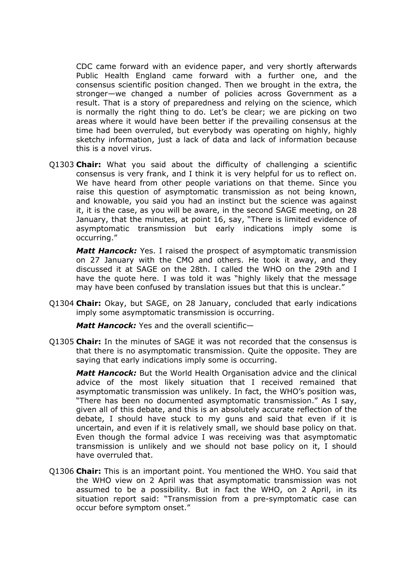CDC came forward with an evidence paper, and very shortly afterwards Public Health England came forward with a further one, and the consensus scientific position changed. Then we brought in the extra, the stronger—we changed a number of policies across Government as a result. That is a story of preparedness and relying on the science, which is normally the right thing to do. Let's be clear; we are picking on two areas where it would have been better if the prevailing consensus at the time had been overruled, but everybody was operating on highly, highly sketchy information, just a lack of data and lack of information because this is a novel virus.

Q1303 **Chair:** What you said about the difficulty of challenging a scientific consensus is very frank, and I think it is very helpful for us to reflect on. We have heard from other people variations on that theme. Since you raise this question of asymptomatic transmission as not being known, and knowable, you said you had an instinct but the science was against it, it is the case, as you will be aware, in the second SAGE meeting, on 28 January, that the minutes, at point 16, say, "There is limited evidence of asymptomatic transmission but early indications imply some is occurring."

*Matt Hancock:* Yes. I raised the prospect of asymptomatic transmission on 27 January with the CMO and others. He took it away, and they discussed it at SAGE on the 28th. I called the WHO on the 29th and I have the quote here. I was told it was "highly likely that the message may have been confused by translation issues but that this is unclear."

Q1304 **Chair:** Okay, but SAGE, on 28 January, concluded that early indications imply some asymptomatic transmission is occurring.

*Matt Hancock:* Yes and the overall scientific—

Q1305 **Chair:** In the minutes of SAGE it was not recorded that the consensus is that there is no asymptomatic transmission. Quite the opposite. They are saying that early indications imply some is occurring.

*Matt Hancock:* But the World Health Organisation advice and the clinical advice of the most likely situation that I received remained that asymptomatic transmission was unlikely. In fact, the WHO's position was, "There has been no documented asymptomatic transmission." As I say, given all of this debate, and this is an absolutely accurate reflection of the debate, I should have stuck to my guns and said that even if it is uncertain, and even if it is relatively small, we should base policy on that. Even though the formal advice I was receiving was that asymptomatic transmission is unlikely and we should not base policy on it, I should have overruled that.

Q1306 **Chair:** This is an important point. You mentioned the WHO. You said that the WHO view on 2 April was that asymptomatic transmission was not assumed to be a possibility. But in fact the WHO, on 2 April, in its situation report said: "Transmission from a pre-symptomatic case can occur before symptom onset."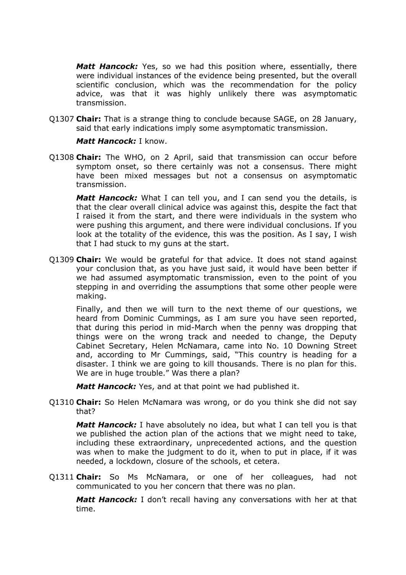*Matt Hancock:* Yes, so we had this position where, essentially, there were individual instances of the evidence being presented, but the overall scientific conclusion, which was the recommendation for the policy advice, was that it was highly unlikely there was asymptomatic transmission.

Q1307 **Chair:** That is a strange thing to conclude because SAGE, on 28 January, said that early indications imply some asymptomatic transmission.

#### *Matt Hancock:* I know.

Q1308 **Chair:** The WHO, on 2 April, said that transmission can occur before symptom onset, so there certainly was not a consensus. There might have been mixed messages but not a consensus on asymptomatic transmission.

*Matt Hancock:* What I can tell you, and I can send you the details, is that the clear overall clinical advice was against this, despite the fact that I raised it from the start, and there were individuals in the system who were pushing this argument, and there were individual conclusions. If you look at the totality of the evidence, this was the position. As I say, I wish that I had stuck to my guns at the start.

Q1309 **Chair:** We would be grateful for that advice. It does not stand against your conclusion that, as you have just said, it would have been better if we had assumed asymptomatic transmission, even to the point of you stepping in and overriding the assumptions that some other people were making.

Finally, and then we will turn to the next theme of our questions, we heard from Dominic Cummings, as I am sure you have seen reported, that during this period in mid-March when the penny was dropping that things were on the wrong track and needed to change, the Deputy Cabinet Secretary, Helen McNamara, came into No. 10 Downing Street and, according to Mr Cummings, said, "This country is heading for a disaster. I think we are going to kill thousands. There is no plan for this. We are in huge trouble." Was there a plan?

*Matt Hancock:* Yes, and at that point we had published it.

Q1310 **Chair:** So Helen McNamara was wrong, or do you think she did not say that?

*Matt Hancock:* I have absolutely no idea, but what I can tell you is that we published the action plan of the actions that we might need to take, including these extraordinary, unprecedented actions, and the question was when to make the judgment to do it, when to put in place, if it was needed, a lockdown, closure of the schools, et cetera.

Q1311 **Chair:** So Ms McNamara, or one of her colleagues, had not communicated to you her concern that there was no plan.

*Matt Hancock:* I don't recall having any conversations with her at that time.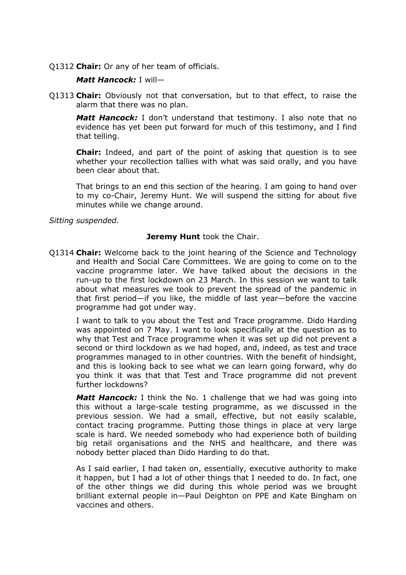Q1312 **Chair:** Or any of her team of officials.

## *Matt Hancock:* I will—

Q1313 **Chair:** Obviously not that conversation, but to that effect, to raise the alarm that there was no plan.

*Matt Hancock:* I don't understand that testimony. I also note that no evidence has yet been put forward for much of this testimony, and I find that telling.

**Chair:** Indeed, and part of the point of asking that question is to see whether your recollection tallies with what was said orally, and you have been clear about that.

That brings to an end this section of the hearing. I am going to hand over to my co-Chair, Jeremy Hunt. We will suspend the sitting for about five minutes while we change around.

*Sitting suspended.*

## **Jeremy Hunt** took the Chair.

Q1314 **Chair:** Welcome back to the joint hearing of the Science and Technology and Health and Social Care Committees. We are going to come on to the vaccine programme later. We have talked about the decisions in the run-up to the first lockdown on 23 March. In this session we want to talk about what measures we took to prevent the spread of the pandemic in that first period—if you like, the middle of last year—before the vaccine programme had got under way.

I want to talk to you about the Test and Trace programme. Dido Harding was appointed on 7 May. I want to look specifically at the question as to why that Test and Trace programme when it was set up did not prevent a second or third lockdown as we had hoped, and, indeed, as test and trace programmes managed to in other countries. With the benefit of hindsight, and this is looking back to see what we can learn going forward, why do you think it was that that Test and Trace programme did not prevent further lockdowns?

*Matt Hancock:* I think the No. 1 challenge that we had was going into this without a large-scale testing programme, as we discussed in the previous session. We had a small, effective, but not easily scalable, contact tracing programme. Putting those things in place at very large scale is hard. We needed somebody who had experience both of building big retail organisations and the NHS and healthcare, and there was nobody better placed than Dido Harding to do that.

As I said earlier, I had taken on, essentially, executive authority to make it happen, but I had a lot of other things that I needed to do. In fact, one of the other things we did during this whole period was we brought brilliant external people in—Paul Deighton on PPE and Kate Bingham on vaccines and others.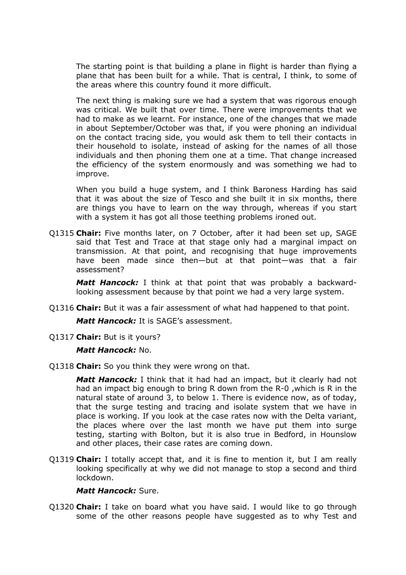The starting point is that building a plane in flight is harder than flying a plane that has been built for a while. That is central, I think, to some of the areas where this country found it more difficult.

The next thing is making sure we had a system that was rigorous enough was critical. We built that over time. There were improvements that we had to make as we learnt. For instance, one of the changes that we made in about September/October was that, if you were phoning an individual on the contact tracing side, you would ask them to tell their contacts in their household to isolate, instead of asking for the names of all those individuals and then phoning them one at a time. That change increased the efficiency of the system enormously and was something we had to improve.

When you build a huge system, and I think Baroness Harding has said that it was about the size of Tesco and she built it in six months, there are things you have to learn on the way through, whereas if you start with a system it has got all those teething problems ironed out.

Q1315 **Chair:** Five months later, on 7 October, after it had been set up, SAGE said that Test and Trace at that stage only had a marginal impact on transmission. At that point, and recognising that huge improvements have been made since then—but at that point—was that a fair assessment?

*Matt Hancock:* I think at that point that was probably a backwardlooking assessment because by that point we had a very large system.

Q1316 **Chair:** But it was a fair assessment of what had happened to that point.

*Matt Hancock:* It is SAGE's assessment.

Q1317 **Chair:** But is it yours?

#### *Matt Hancock:* No.

Q1318 **Chair:** So you think they were wrong on that.

*Matt Hancock:* I think that it had had an impact, but it clearly had not had an impact big enough to bring R down from the R-0 ,which is R in the natural state of around 3, to below 1. There is evidence now, as of today, that the surge testing and tracing and isolate system that we have in place is working. If you look at the case rates now with the Delta variant, the places where over the last month we have put them into surge testing, starting with Bolton, but it is also true in Bedford, in Hounslow and other places, their case rates are coming down.

Q1319 **Chair:** I totally accept that, and it is fine to mention it, but I am really looking specifically at why we did not manage to stop a second and third lockdown.

#### *Matt Hancock:* Sure.

Q1320 **Chair:** I take on board what you have said. I would like to go through some of the other reasons people have suggested as to why Test and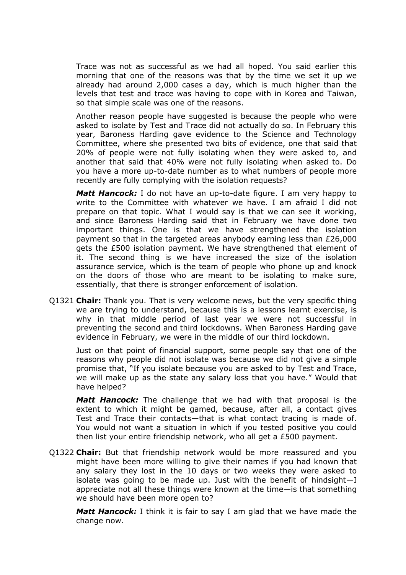Trace was not as successful as we had all hoped. You said earlier this morning that one of the reasons was that by the time we set it up we already had around 2,000 cases a day, which is much higher than the levels that test and trace was having to cope with in Korea and Taiwan, so that simple scale was one of the reasons.

Another reason people have suggested is because the people who were asked to isolate by Test and Trace did not actually do so. In February this year, Baroness Harding gave evidence to the Science and Technology Committee, where she presented two bits of evidence, one that said that 20% of people were not fully isolating when they were asked to, and another that said that 40% were not fully isolating when asked to. Do you have a more up-to-date number as to what numbers of people more recently are fully complying with the isolation requests?

*Matt Hancock:* I do not have an up-to-date figure. I am very happy to write to the Committee with whatever we have. I am afraid I did not prepare on that topic. What I would say is that we can see it working, and since Baroness Harding said that in February we have done two important things. One is that we have strengthened the isolation payment so that in the targeted areas anybody earning less than £26,000 gets the £500 isolation payment. We have strengthened that element of it. The second thing is we have increased the size of the isolation assurance service, which is the team of people who phone up and knock on the doors of those who are meant to be isolating to make sure, essentially, that there is stronger enforcement of isolation.

Q1321 **Chair:** Thank you. That is very welcome news, but the very specific thing we are trying to understand, because this is a lessons learnt exercise, is why in that middle period of last year we were not successful in preventing the second and third lockdowns. When Baroness Harding gave evidence in February, we were in the middle of our third lockdown.

Just on that point of financial support, some people say that one of the reasons why people did not isolate was because we did not give a simple promise that, "If you isolate because you are asked to by Test and Trace, we will make up as the state any salary loss that you have." Would that have helped?

*Matt Hancock:* The challenge that we had with that proposal is the extent to which it might be gamed, because, after all, a contact gives Test and Trace their contacts—that is what contact tracing is made of. You would not want a situation in which if you tested positive you could then list your entire friendship network, who all get a £500 payment.

Q1322 **Chair:** But that friendship network would be more reassured and you might have been more willing to give their names if you had known that any salary they lost in the 10 days or two weeks they were asked to isolate was going to be made up. Just with the benefit of hindsight—I appreciate not all these things were known at the time—is that something we should have been more open to?

*Matt Hancock:* I think it is fair to say I am glad that we have made the change now.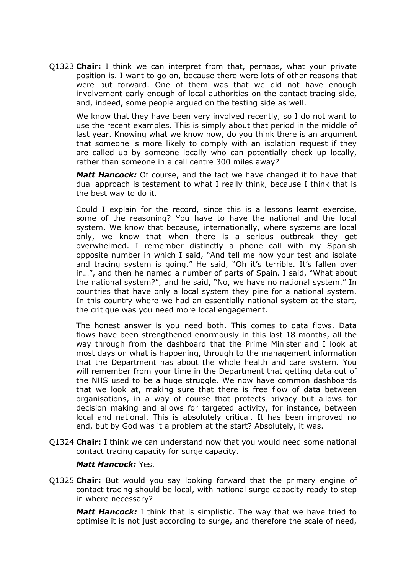Q1323 **Chair:** I think we can interpret from that, perhaps, what your private position is. I want to go on, because there were lots of other reasons that were put forward. One of them was that we did not have enough involvement early enough of local authorities on the contact tracing side, and, indeed, some people argued on the testing side as well.

We know that they have been very involved recently, so I do not want to use the recent examples. This is simply about that period in the middle of last year. Knowing what we know now, do you think there is an argument that someone is more likely to comply with an isolation request if they are called up by someone locally who can potentially check up locally, rather than someone in a call centre 300 miles away?

*Matt Hancock:* Of course, and the fact we have changed it to have that dual approach is testament to what I really think, because I think that is the best way to do it.

Could I explain for the record, since this is a lessons learnt exercise, some of the reasoning? You have to have the national and the local system. We know that because, internationally, where systems are local only, we know that when there is a serious outbreak they get overwhelmed. I remember distinctly a phone call with my Spanish opposite number in which I said, "And tell me how your test and isolate and tracing system is going." He said, "Oh it's terrible. It's fallen over in…", and then he named a number of parts of Spain. I said, "What about the national system?", and he said, "No, we have no national system." In countries that have only a local system they pine for a national system. In this country where we had an essentially national system at the start, the critique was you need more local engagement.

The honest answer is you need both. This comes to data flows. Data flows have been strengthened enormously in this last 18 months, all the way through from the dashboard that the Prime Minister and I look at most days on what is happening, through to the management information that the Department has about the whole health and care system. You will remember from your time in the Department that getting data out of the NHS used to be a huge struggle. We now have common dashboards that we look at, making sure that there is free flow of data between organisations, in a way of course that protects privacy but allows for decision making and allows for targeted activity, for instance, between local and national. This is absolutely critical. It has been improved no end, but by God was it a problem at the start? Absolutely, it was.

Q1324 **Chair:** I think we can understand now that you would need some national contact tracing capacity for surge capacity.

#### *Matt Hancock:* Yes.

Q1325 **Chair:** But would you say looking forward that the primary engine of contact tracing should be local, with national surge capacity ready to step in where necessary?

*Matt Hancock:* I think that is simplistic. The way that we have tried to optimise it is not just according to surge, and therefore the scale of need,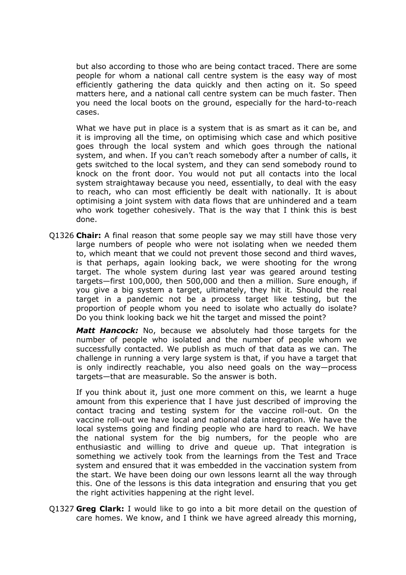but also according to those who are being contact traced. There are some people for whom a national call centre system is the easy way of most efficiently gathering the data quickly and then acting on it. So speed matters here, and a national call centre system can be much faster. Then you need the local boots on the ground, especially for the hard-to-reach cases.

What we have put in place is a system that is as smart as it can be, and it is improving all the time, on optimising which case and which positive goes through the local system and which goes through the national system, and when. If you can't reach somebody after a number of calls, it gets switched to the local system, and they can send somebody round to knock on the front door. You would not put all contacts into the local system straightaway because you need, essentially, to deal with the easy to reach, who can most efficiently be dealt with nationally. It is about optimising a joint system with data flows that are unhindered and a team who work together cohesively. That is the way that I think this is best done.

Q1326 **Chair:** A final reason that some people say we may still have those very large numbers of people who were not isolating when we needed them to, which meant that we could not prevent those second and third waves, is that perhaps, again looking back, we were shooting for the wrong target. The whole system during last year was geared around testing targets—first 100,000, then 500,000 and then a million. Sure enough, if you give a big system a target, ultimately, they hit it. Should the real target in a pandemic not be a process target like testing, but the proportion of people whom you need to isolate who actually do isolate? Do you think looking back we hit the target and missed the point?

*Matt Hancock:* No, because we absolutely had those targets for the number of people who isolated and the number of people whom we successfully contacted. We publish as much of that data as we can. The challenge in running a very large system is that, if you have a target that is only indirectly reachable, you also need goals on the way—process targets—that are measurable. So the answer is both.

If you think about it, just one more comment on this, we learnt a huge amount from this experience that I have just described of improving the contact tracing and testing system for the vaccine roll-out. On the vaccine roll-out we have local and national data integration. We have the local systems going and finding people who are hard to reach. We have the national system for the big numbers, for the people who are enthusiastic and willing to drive and queue up. That integration is something we actively took from the learnings from the Test and Trace system and ensured that it was embedded in the vaccination system from the start. We have been doing our own lessons learnt all the way through this. One of the lessons is this data integration and ensuring that you get the right activities happening at the right level.

Q1327 **Greg Clark:** I would like to go into a bit more detail on the question of care homes. We know, and I think we have agreed already this morning,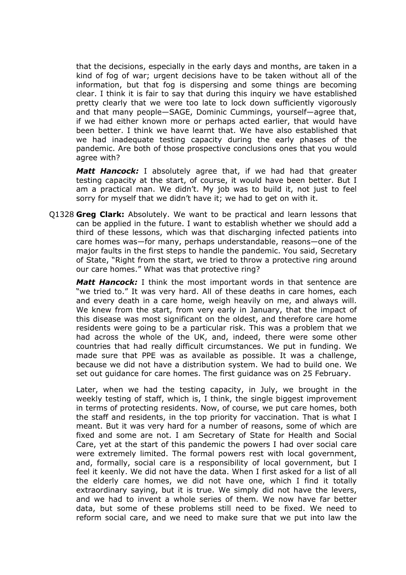that the decisions, especially in the early days and months, are taken in a kind of fog of war; urgent decisions have to be taken without all of the information, but that fog is dispersing and some things are becoming clear. I think it is fair to say that during this inquiry we have established pretty clearly that we were too late to lock down sufficiently vigorously and that many people—SAGE, Dominic Cummings, yourself—agree that, if we had either known more or perhaps acted earlier, that would have been better. I think we have learnt that. We have also established that we had inadequate testing capacity during the early phases of the pandemic. Are both of those prospective conclusions ones that you would agree with?

*Matt Hancock:* I absolutely agree that, if we had had that greater testing capacity at the start, of course, it would have been better. But I am a practical man. We didn't. My job was to build it, not just to feel sorry for myself that we didn't have it; we had to get on with it.

Q1328 **Greg Clark:** Absolutely. We want to be practical and learn lessons that can be applied in the future. I want to establish whether we should add a third of these lessons, which was that discharging infected patients into care homes was—for many, perhaps understandable, reasons—one of the major faults in the first steps to handle the pandemic. You said, Secretary of State, "Right from the start, we tried to throw a protective ring around our care homes." What was that protective ring?

*Matt Hancock:* I think the most important words in that sentence are "we tried to." It was very hard. All of these deaths in care homes, each and every death in a care home, weigh heavily on me, and always will. We knew from the start, from very early in January, that the impact of this disease was most significant on the oldest, and therefore care home residents were going to be a particular risk. This was a problem that we had across the whole of the UK, and, indeed, there were some other countries that had really difficult circumstances. We put in funding. We made sure that PPE was as available as possible. It was a challenge, because we did not have a distribution system. We had to build one. We set out guidance for care homes. The first guidance was on 25 February.

Later, when we had the testing capacity, in July, we brought in the weekly testing of staff, which is, I think, the single biggest improvement in terms of protecting residents. Now, of course, we put care homes, both the staff and residents, in the top priority for vaccination. That is what I meant. But it was very hard for a number of reasons, some of which are fixed and some are not. I am Secretary of State for Health and Social Care, yet at the start of this pandemic the powers I had over social care were extremely limited. The formal powers rest with local government, and, formally, social care is a responsibility of local government, but I feel it keenly. We did not have the data. When I first asked for a list of all the elderly care homes, we did not have one, which I find it totally extraordinary saying, but it is true. We simply did not have the levers, and we had to invent a whole series of them. We now have far better data, but some of these problems still need to be fixed. We need to reform social care, and we need to make sure that we put into law the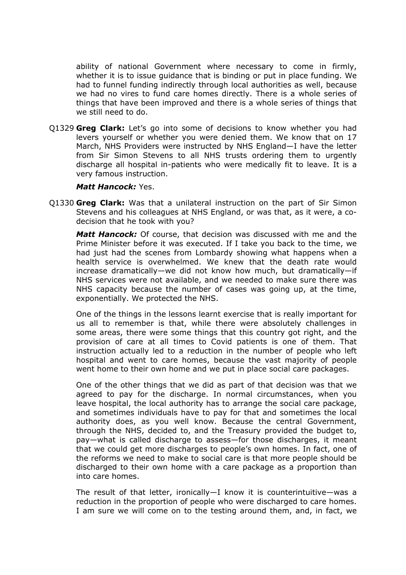ability of national Government where necessary to come in firmly, whether it is to issue guidance that is binding or put in place funding. We had to funnel funding indirectly through local authorities as well, because we had no vires to fund care homes directly. There is a whole series of things that have been improved and there is a whole series of things that we still need to do.

Q1329 **Greg Clark:** Let's go into some of decisions to know whether you had levers yourself or whether you were denied them. We know that on 17 March, NHS Providers were instructed by NHS England—I have the letter from Sir Simon Stevens to all NHS trusts ordering them to urgently discharge all hospital in-patients who were medically fit to leave. It is a very famous instruction.

#### *Matt Hancock:* Yes.

Q1330 **Greg Clark:** Was that a unilateral instruction on the part of Sir Simon Stevens and his colleagues at NHS England, or was that, as it were, a codecision that he took with you?

*Matt Hancock:* Of course, that decision was discussed with me and the Prime Minister before it was executed. If I take you back to the time, we had just had the scenes from Lombardy showing what happens when a health service is overwhelmed. We knew that the death rate would increase dramatically—we did not know how much, but dramatically—if NHS services were not available, and we needed to make sure there was NHS capacity because the number of cases was going up, at the time, exponentially. We protected the NHS.

One of the things in the lessons learnt exercise that is really important for us all to remember is that, while there were absolutely challenges in some areas, there were some things that this country got right, and the provision of care at all times to Covid patients is one of them. That instruction actually led to a reduction in the number of people who left hospital and went to care homes, because the vast majority of people went home to their own home and we put in place social care packages.

One of the other things that we did as part of that decision was that we agreed to pay for the discharge. In normal circumstances, when you leave hospital, the local authority has to arrange the social care package, and sometimes individuals have to pay for that and sometimes the local authority does, as you well know. Because the central Government, through the NHS, decided to, and the Treasury provided the budget to, pay—what is called discharge to assess—for those discharges, it meant that we could get more discharges to people's own homes. In fact, one of the reforms we need to make to social care is that more people should be discharged to their own home with a care package as a proportion than into care homes.

The result of that letter, ironically—I know it is counterintuitive—was a reduction in the proportion of people who were discharged to care homes. I am sure we will come on to the testing around them, and, in fact, we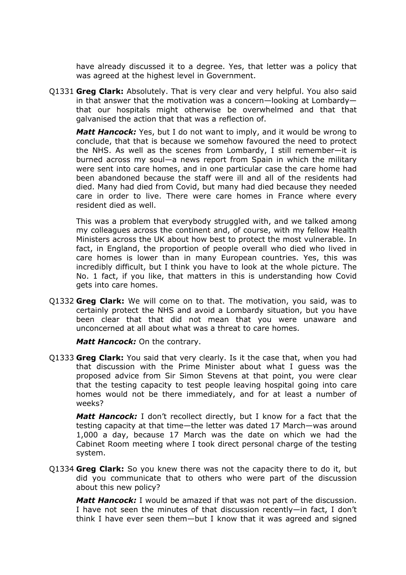have already discussed it to a degree. Yes, that letter was a policy that was agreed at the highest level in Government.

Q1331 **Greg Clark:** Absolutely. That is very clear and very helpful. You also said in that answer that the motivation was a concern—looking at Lombardy that our hospitals might otherwise be overwhelmed and that that galvanised the action that that was a reflection of.

*Matt Hancock:* Yes, but I do not want to imply, and it would be wrong to conclude, that that is because we somehow favoured the need to protect the NHS. As well as the scenes from Lombardy, I still remember—it is burned across my soul—a news report from Spain in which the military were sent into care homes, and in one particular case the care home had been abandoned because the staff were ill and all of the residents had died. Many had died from Covid, but many had died because they needed care in order to live. There were care homes in France where every resident died as well.

This was a problem that everybody struggled with, and we talked among my colleagues across the continent and, of course, with my fellow Health Ministers across the UK about how best to protect the most vulnerable. In fact, in England, the proportion of people overall who died who lived in care homes is lower than in many European countries. Yes, this was incredibly difficult, but I think you have to look at the whole picture. The No. 1 fact, if you like, that matters in this is understanding how Covid gets into care homes.

Q1332 **Greg Clark:** We will come on to that. The motivation, you said, was to certainly protect the NHS and avoid a Lombardy situation, but you have been clear that that did not mean that you were unaware and unconcerned at all about what was a threat to care homes.

*Matt Hancock:* On the contrary.

Q1333 **Greg Clark:** You said that very clearly. Is it the case that, when you had that discussion with the Prime Minister about what I guess was the proposed advice from Sir Simon Stevens at that point, you were clear that the testing capacity to test people leaving hospital going into care homes would not be there immediately, and for at least a number of weeks?

*Matt Hancock:* I don't recollect directly, but I know for a fact that the testing capacity at that time—the letter was dated 17 March—was around 1,000 a day, because 17 March was the date on which we had the Cabinet Room meeting where I took direct personal charge of the testing system.

Q1334 **Greg Clark:** So you knew there was not the capacity there to do it, but did you communicate that to others who were part of the discussion about this new policy?

*Matt Hancock:* I would be amazed if that was not part of the discussion. I have not seen the minutes of that discussion recently—in fact, I don't think I have ever seen them—but I know that it was agreed and signed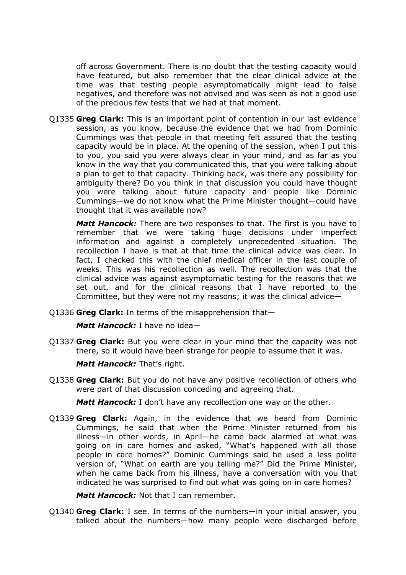off across Government. There is no doubt that the testing capacity would have featured, but also remember that the clear clinical advice at the time was that testing people asymptomatically might lead to false negatives, and therefore was not advised and was seen as not a good use of the precious few tests that we had at that moment.

Q1335 **Greg Clark:** This is an important point of contention in our last evidence session, as you know, because the evidence that we had from Dominic Cummings was that people in that meeting felt assured that the testing capacity would be in place. At the opening of the session, when I put this to you, you said you were always clear in your mind, and as far as you know in the way that you communicated this, that you were talking about a plan to get to that capacity. Thinking back, was there any possibility for ambiguity there? Do you think in that discussion you could have thought you were talking about future capacity and people like Dominic Cummings—we do not know what the Prime Minister thought—could have thought that it was available now?

*Matt Hancock:* There are two responses to that. The first is you have to remember that we were taking huge decisions under imperfect information and against a completely unprecedented situation. The recollection I have is that at that time the clinical advice was clear. In fact, I checked this with the chief medical officer in the last couple of weeks. This was his recollection as well. The recollection was that the clinical advice was against asymptomatic testing for the reasons that we set out, and for the clinical reasons that I have reported to the Committee, but they were not my reasons; it was the clinical advice—

Q1336 **Greg Clark:** In terms of the misapprehension that—

*Matt Hancock:* I have no idea—

Q1337 **Greg Clark:** But you were clear in your mind that the capacity was not there, so it would have been strange for people to assume that it was.

*Matt Hancock:* That's right.

Q1338 **Greg Clark:** But you do not have any positive recollection of others who were part of that discussion conceding and agreeing that.

*Matt Hancock:* I don't have any recollection one way or the other.

Q1339 **Greg Clark:** Again, in the evidence that we heard from Dominic Cummings, he said that when the Prime Minister returned from his illness—in other words, in April—he came back alarmed at what was going on in care homes and asked, "What's happened with all those people in care homes?" Dominic Cummings said he used a less polite version of, "What on earth are you telling me?" Did the Prime Minister, when he came back from his illness, have a conversation with you that indicated he was surprised to find out what was going on in care homes?

*Matt Hancock:* Not that I can remember.

Q1340 **Greg Clark:** I see. In terms of the numbers—in your initial answer, you talked about the numbers—how many people were discharged before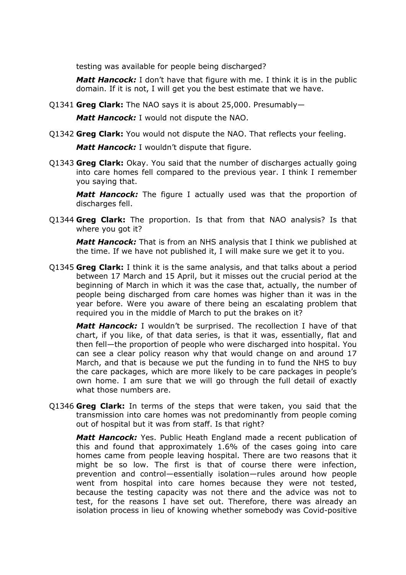testing was available for people being discharged?

*Matt Hancock:* I don't have that figure with me. I think it is in the public domain. If it is not, I will get you the best estimate that we have.

Q1341 **Greg Clark:** The NAO says it is about 25,000. Presumably—

*Matt Hancock:* I would not dispute the NAO.

Q1342 **Greg Clark:** You would not dispute the NAO. That reflects your feeling.

*Matt Hancock:* I wouldn't dispute that figure.

Q1343 **Greg Clark:** Okay. You said that the number of discharges actually going into care homes fell compared to the previous year. I think I remember you saying that.

*Matt Hancock:* The figure I actually used was that the proportion of discharges fell.

Q1344 **Greg Clark:** The proportion. Is that from that NAO analysis? Is that where you got it?

*Matt Hancock:* That is from an NHS analysis that I think we published at the time. If we have not published it, I will make sure we get it to you.

Q1345 **Greg Clark:** I think it is the same analysis, and that talks about a period between 17 March and 15 April, but it misses out the crucial period at the beginning of March in which it was the case that, actually, the number of people being discharged from care homes was higher than it was in the year before. Were you aware of there being an escalating problem that required you in the middle of March to put the brakes on it?

*Matt Hancock:* I wouldn't be surprised. The recollection I have of that chart, if you like, of that data series, is that it was, essentially, flat and then fell—the proportion of people who were discharged into hospital. You can see a clear policy reason why that would change on and around 17 March, and that is because we put the funding in to fund the NHS to buy the care packages, which are more likely to be care packages in people's own home. I am sure that we will go through the full detail of exactly what those numbers are.

Q1346 **Greg Clark:** In terms of the steps that were taken, you said that the transmission into care homes was not predominantly from people coming out of hospital but it was from staff. Is that right?

*Matt Hancock:* Yes. Public Heath England made a recent publication of this and found that approximately 1.6% of the cases going into care homes came from people leaving hospital. There are two reasons that it might be so low. The first is that of course there were infection, prevention and control—essentially isolation—rules around how people went from hospital into care homes because they were not tested, because the testing capacity was not there and the advice was not to test, for the reasons I have set out. Therefore, there was already an isolation process in lieu of knowing whether somebody was Covid-positive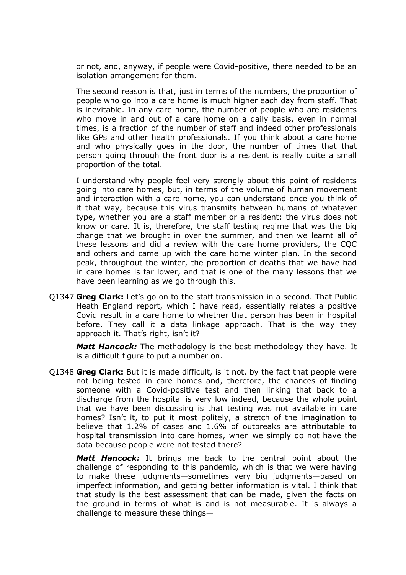or not, and, anyway, if people were Covid-positive, there needed to be an isolation arrangement for them.

The second reason is that, just in terms of the numbers, the proportion of people who go into a care home is much higher each day from staff. That is inevitable. In any care home, the number of people who are residents who move in and out of a care home on a daily basis, even in normal times, is a fraction of the number of staff and indeed other professionals like GPs and other health professionals. If you think about a care home and who physically goes in the door, the number of times that that person going through the front door is a resident is really quite a small proportion of the total.

I understand why people feel very strongly about this point of residents going into care homes, but, in terms of the volume of human movement and interaction with a care home, you can understand once you think of it that way, because this virus transmits between humans of whatever type, whether you are a staff member or a resident; the virus does not know or care. It is, therefore, the staff testing regime that was the big change that we brought in over the summer, and then we learnt all of these lessons and did a review with the care home providers, the CQC and others and came up with the care home winter plan. In the second peak, throughout the winter, the proportion of deaths that we have had in care homes is far lower, and that is one of the many lessons that we have been learning as we go through this.

Q1347 **Greg Clark:** Let's go on to the staff transmission in a second. That Public Heath England report, which I have read, essentially relates a positive Covid result in a care home to whether that person has been in hospital before. They call it a data linkage approach. That is the way they approach it. That's right, isn't it?

*Matt Hancock:* The methodology is the best methodology they have. It is a difficult figure to put a number on.

Q1348 **Greg Clark:** But it is made difficult, is it not, by the fact that people were not being tested in care homes and, therefore, the chances of finding someone with a Covid-positive test and then linking that back to a discharge from the hospital is very low indeed, because the whole point that we have been discussing is that testing was not available in care homes? Isn't it, to put it most politely, a stretch of the imagination to believe that 1.2% of cases and 1.6% of outbreaks are attributable to hospital transmission into care homes, when we simply do not have the data because people were not tested there?

*Matt Hancock:* It brings me back to the central point about the challenge of responding to this pandemic, which is that we were having to make these judgments—sometimes very big judgments—based on imperfect information, and getting better information is vital. I think that that study is the best assessment that can be made, given the facts on the ground in terms of what is and is not measurable. It is always a challenge to measure these things—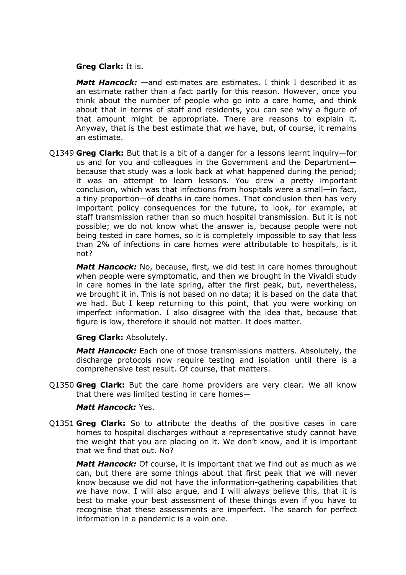#### **Greg Clark:** It is.

*Matt Hancock:* —and estimates are estimates. I think I described it as an estimate rather than a fact partly for this reason. However, once you think about the number of people who go into a care home, and think about that in terms of staff and residents, you can see why a figure of that amount might be appropriate. There are reasons to explain it. Anyway, that is the best estimate that we have, but, of course, it remains an estimate.

Q1349 **Greg Clark:** But that is a bit of a danger for a lessons learnt inquiry—for us and for you and colleagues in the Government and the Department because that study was a look back at what happened during the period; it was an attempt to learn lessons. You drew a pretty important conclusion, which was that infections from hospitals were a small—in fact, a tiny proportion—of deaths in care homes. That conclusion then has very important policy consequences for the future, to look, for example, at staff transmission rather than so much hospital transmission. But it is not possible; we do not know what the answer is, because people were not being tested in care homes, so it is completely impossible to say that less than 2% of infections in care homes were attributable to hospitals, is it not?

*Matt Hancock:* No, because, first, we did test in care homes throughout when people were symptomatic, and then we brought in the Vivaldi study in care homes in the late spring, after the first peak, but, nevertheless, we brought it in. This is not based on no data; it is based on the data that we had. But I keep returning to this point, that you were working on imperfect information. I also disagree with the idea that, because that figure is low, therefore it should not matter. It does matter.

#### **Greg Clark:** Absolutely.

*Matt Hancock:* Each one of those transmissions matters. Absolutely, the discharge protocols now require testing and isolation until there is a comprehensive test result. Of course, that matters.

Q1350 **Greg Clark:** But the care home providers are very clear. We all know that there was limited testing in care homes—

## *Matt Hancock:* Yes.

Q1351 **Greg Clark:** So to attribute the deaths of the positive cases in care homes to hospital discharges without a representative study cannot have the weight that you are placing on it. We don't know, and it is important that we find that out. No?

*Matt Hancock:* Of course, it is important that we find out as much as we can, but there are some things about that first peak that we will never know because we did not have the information-gathering capabilities that we have now. I will also argue, and I will always believe this, that it is best to make your best assessment of these things even if you have to recognise that these assessments are imperfect. The search for perfect information in a pandemic is a vain one.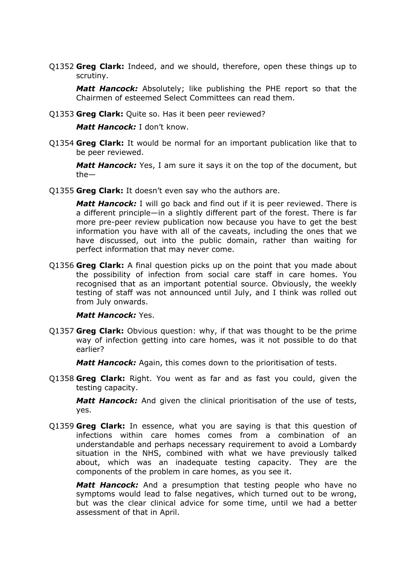Q1352 **Greg Clark:** Indeed, and we should, therefore, open these things up to scrutiny.

*Matt Hancock:* Absolutely; like publishing the PHE report so that the Chairmen of esteemed Select Committees can read them.

Q1353 **Greg Clark:** Quite so. Has it been peer reviewed?

*Matt Hancock:* I don't know.

Q1354 **Greg Clark:** It would be normal for an important publication like that to be peer reviewed.

*Matt Hancock:* Yes, I am sure it says it on the top of the document, but the—

Q1355 **Greg Clark:** It doesn't even say who the authors are.

*Matt Hancock:* I will go back and find out if it is peer reviewed. There is a different principle—in a slightly different part of the forest. There is far more pre-peer review publication now because you have to get the best information you have with all of the caveats, including the ones that we have discussed, out into the public domain, rather than waiting for perfect information that may never come.

Q1356 **Greg Clark:** A final question picks up on the point that you made about the possibility of infection from social care staff in care homes. You recognised that as an important potential source. Obviously, the weekly testing of staff was not announced until July, and I think was rolled out from July onwards.

#### *Matt Hancock:* Yes.

Q1357 **Greg Clark:** Obvious question: why, if that was thought to be the prime way of infection getting into care homes, was it not possible to do that earlier?

*Matt Hancock:* Again, this comes down to the prioritisation of tests.

Q1358 **Greg Clark:** Right. You went as far and as fast you could, given the testing capacity.

*Matt Hancock:* And given the clinical prioritisation of the use of tests, yes.

Q1359 **Greg Clark:** In essence, what you are saying is that this question of infections within care homes comes from a combination of an understandable and perhaps necessary requirement to avoid a Lombardy situation in the NHS, combined with what we have previously talked about, which was an inadequate testing capacity. They are the components of the problem in care homes, as you see it.

*Matt Hancock:* And a presumption that testing people who have no symptoms would lead to false negatives, which turned out to be wrong, but was the clear clinical advice for some time, until we had a better assessment of that in April.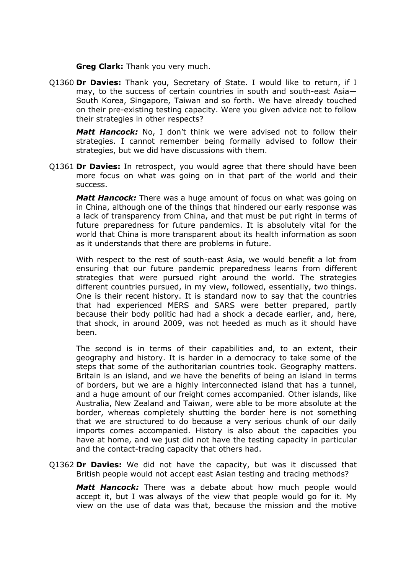**Greg Clark:** Thank you very much.

Q1360 **Dr Davies:** Thank you, Secretary of State. I would like to return, if I may, to the success of certain countries in south and south-east Asia— South Korea, Singapore, Taiwan and so forth. We have already touched on their pre-existing testing capacity. Were you given advice not to follow their strategies in other respects?

*Matt Hancock:* No, I don't think we were advised not to follow their strategies. I cannot remember being formally advised to follow their strategies, but we did have discussions with them.

Q1361 **Dr Davies:** In retrospect, you would agree that there should have been more focus on what was going on in that part of the world and their success.

*Matt Hancock:* There was a huge amount of focus on what was going on in China, although one of the things that hindered our early response was a lack of transparency from China, and that must be put right in terms of future preparedness for future pandemics. It is absolutely vital for the world that China is more transparent about its health information as soon as it understands that there are problems in future.

With respect to the rest of south-east Asia, we would benefit a lot from ensuring that our future pandemic preparedness learns from different strategies that were pursued right around the world. The strategies different countries pursued, in my view, followed, essentially, two things. One is their recent history. It is standard now to say that the countries that had experienced MERS and SARS were better prepared, partly because their body politic had had a shock a decade earlier, and, here, that shock, in around 2009, was not heeded as much as it should have been.

The second is in terms of their capabilities and, to an extent, their geography and history. It is harder in a democracy to take some of the steps that some of the authoritarian countries took. Geography matters. Britain is an island, and we have the benefits of being an island in terms of borders, but we are a highly interconnected island that has a tunnel, and a huge amount of our freight comes accompanied. Other islands, like Australia, New Zealand and Taiwan, were able to be more absolute at the border, whereas completely shutting the border here is not something that we are structured to do because a very serious chunk of our daily imports comes accompanied. History is also about the capacities you have at home, and we just did not have the testing capacity in particular and the contact-tracing capacity that others had.

Q1362 **Dr Davies:** We did not have the capacity, but was it discussed that British people would not accept east Asian testing and tracing methods?

*Matt Hancock:* There was a debate about how much people would accept it, but I was always of the view that people would go for it. My view on the use of data was that, because the mission and the motive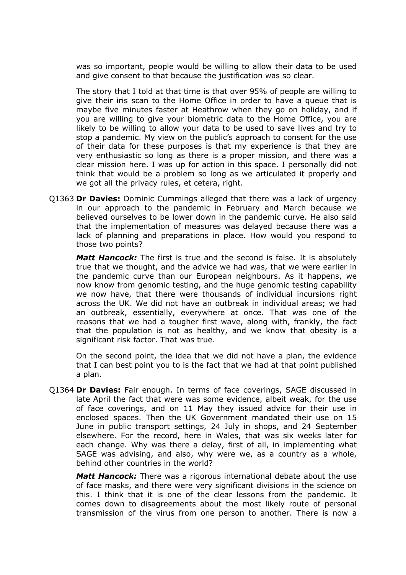was so important, people would be willing to allow their data to be used and give consent to that because the justification was so clear.

The story that I told at that time is that over 95% of people are willing to give their iris scan to the Home Office in order to have a queue that is maybe five minutes faster at Heathrow when they go on holiday, and if you are willing to give your biometric data to the Home Office, you are likely to be willing to allow your data to be used to save lives and try to stop a pandemic. My view on the public's approach to consent for the use of their data for these purposes is that my experience is that they are very enthusiastic so long as there is a proper mission, and there was a clear mission here. I was up for action in this space. I personally did not think that would be a problem so long as we articulated it properly and we got all the privacy rules, et cetera, right.

Q1363 **Dr Davies:** Dominic Cummings alleged that there was a lack of urgency in our approach to the pandemic in February and March because we believed ourselves to be lower down in the pandemic curve. He also said that the implementation of measures was delayed because there was a lack of planning and preparations in place. How would you respond to those two points?

*Matt Hancock:* The first is true and the second is false. It is absolutely true that we thought, and the advice we had was, that we were earlier in the pandemic curve than our European neighbours. As it happens, we now know from genomic testing, and the huge genomic testing capability we now have, that there were thousands of individual incursions right across the UK. We did not have an outbreak in individual areas; we had an outbreak, essentially, everywhere at once. That was one of the reasons that we had a tougher first wave, along with, frankly, the fact that the population is not as healthy, and we know that obesity is a significant risk factor. That was true.

On the second point, the idea that we did not have a plan, the evidence that I can best point you to is the fact that we had at that point published a plan.

Q1364 **Dr Davies:** Fair enough. In terms of face coverings, SAGE discussed in late April the fact that were was some evidence, albeit weak, for the use of face coverings, and on 11 May they issued advice for their use in enclosed spaces. Then the UK Government mandated their use on 15 June in public transport settings, 24 July in shops, and 24 September elsewhere. For the record, here in Wales, that was six weeks later for each change. Why was there a delay, first of all, in implementing what SAGE was advising, and also, why were we, as a country as a whole, behind other countries in the world?

*Matt Hancock:* There was a rigorous international debate about the use of face masks, and there were very significant divisions in the science on this. I think that it is one of the clear lessons from the pandemic. It comes down to disagreements about the most likely route of personal transmission of the virus from one person to another. There is now a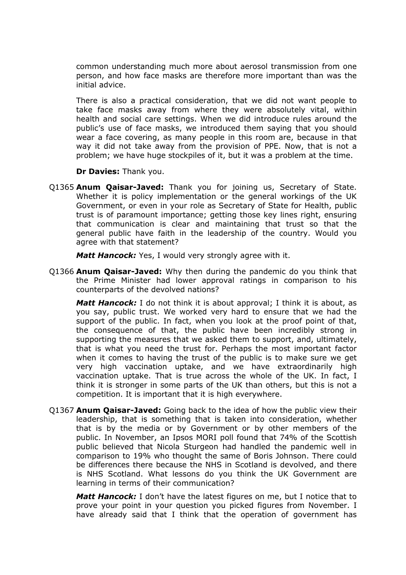common understanding much more about aerosol transmission from one person, and how face masks are therefore more important than was the initial advice.

There is also a practical consideration, that we did not want people to take face masks away from where they were absolutely vital, within health and social care settings. When we did introduce rules around the public's use of face masks, we introduced them saying that you should wear a face covering, as many people in this room are, because in that way it did not take away from the provision of PPE. Now, that is not a problem; we have huge stockpiles of it, but it was a problem at the time.

**Dr Davies:** Thank you.

Q1365 **Anum Qaisar-Javed:** Thank you for joining us, Secretary of State. Whether it is policy implementation or the general workings of the UK Government, or even in your role as Secretary of State for Health, public trust is of paramount importance; getting those key lines right, ensuring that communication is clear and maintaining that trust so that the general public have faith in the leadership of the country. Would you agree with that statement?

*Matt Hancock:* Yes, I would very strongly agree with it.

Q1366 **Anum Qaisar-Javed:** Why then during the pandemic do you think that the Prime Minister had lower approval ratings in comparison to his counterparts of the devolved nations?

*Matt Hancock:* I do not think it is about approval; I think it is about, as you say, public trust. We worked very hard to ensure that we had the support of the public. In fact, when you look at the proof point of that, the consequence of that, the public have been incredibly strong in supporting the measures that we asked them to support, and, ultimately, that is what you need the trust for. Perhaps the most important factor when it comes to having the trust of the public is to make sure we get very high vaccination uptake, and we have extraordinarily high vaccination uptake. That is true across the whole of the UK. In fact, I think it is stronger in some parts of the UK than others, but this is not a competition. It is important that it is high everywhere.

Q1367 **Anum Qaisar-Javed:** Going back to the idea of how the public view their leadership, that is something that is taken into consideration, whether that is by the media or by Government or by other members of the public. In November, an Ipsos MORI poll found that 74% of the Scottish public believed that Nicola Sturgeon had handled the pandemic well in comparison to 19% who thought the same of Boris Johnson. There could be differences there because the NHS in Scotland is devolved, and there is NHS Scotland. What lessons do you think the UK Government are learning in terms of their communication?

*Matt Hancock:* I don't have the latest figures on me, but I notice that to prove your point in your question you picked figures from November. I have already said that I think that the operation of government has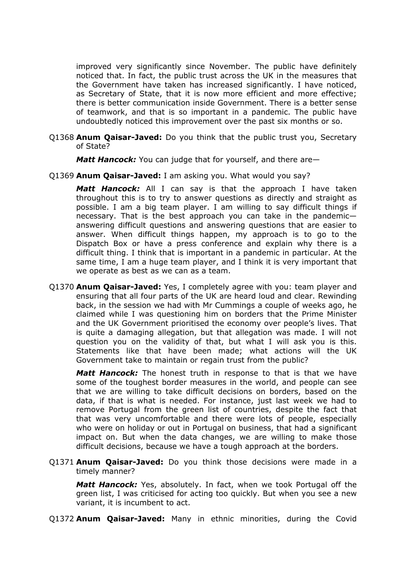improved very significantly since November. The public have definitely noticed that. In fact, the public trust across the UK in the measures that the Government have taken has increased significantly. I have noticed, as Secretary of State, that it is now more efficient and more effective; there is better communication inside Government. There is a better sense of teamwork, and that is so important in a pandemic. The public have undoubtedly noticed this improvement over the past six months or so.

Q1368 **Anum Qaisar-Javed:** Do you think that the public trust you, Secretary of State?

*Matt Hancock:* You can judge that for yourself, and there are—

Q1369 **Anum Qaisar-Javed:** I am asking you. What would you say?

*Matt Hancock:* All I can say is that the approach I have taken throughout this is to try to answer questions as directly and straight as possible. I am a big team player. I am willing to say difficult things if necessary. That is the best approach you can take in the pandemic answering difficult questions and answering questions that are easier to answer. When difficult things happen, my approach is to go to the Dispatch Box or have a press conference and explain why there is a difficult thing. I think that is important in a pandemic in particular. At the same time, I am a huge team player, and I think it is very important that we operate as best as we can as a team.

Q1370 **Anum Qaisar-Javed:** Yes, I completely agree with you: team player and ensuring that all four parts of the UK are heard loud and clear. Rewinding back, in the session we had with Mr Cummings a couple of weeks ago, he claimed while I was questioning him on borders that the Prime Minister and the UK Government prioritised the economy over people's lives. That is quite a damaging allegation, but that allegation was made. I will not question you on the validity of that, but what I will ask you is this. Statements like that have been made; what actions will the UK Government take to maintain or regain trust from the public?

*Matt Hancock:* The honest truth in response to that is that we have some of the toughest border measures in the world, and people can see that we are willing to take difficult decisions on borders, based on the data, if that is what is needed. For instance, just last week we had to remove Portugal from the green list of countries, despite the fact that that was very uncomfortable and there were lots of people, especially who were on holiday or out in Portugal on business, that had a significant impact on. But when the data changes, we are willing to make those difficult decisions, because we have a tough approach at the borders.

Q1371 **Anum Qaisar-Javed:** Do you think those decisions were made in a timely manner?

*Matt Hancock:* Yes, absolutely. In fact, when we took Portugal off the green list, I was criticised for acting too quickly. But when you see a new variant, it is incumbent to act.

Q1372 **Anum Qaisar-Javed:** Many in ethnic minorities, during the Covid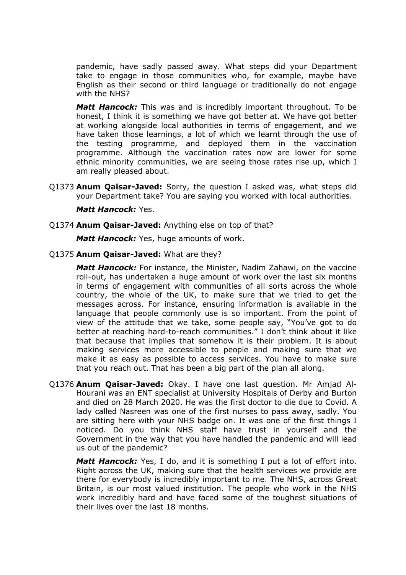pandemic, have sadly passed away. What steps did your Department take to engage in those communities who, for example, maybe have English as their second or third language or traditionally do not engage with the NHS?

*Matt Hancock:* This was and is incredibly important throughout. To be honest, I think it is something we have got better at. We have got better at working alongside local authorities in terms of engagement, and we have taken those learnings, a lot of which we learnt through the use of the testing programme, and deployed them in the vaccination programme. Although the vaccination rates now are lower for some ethnic minority communities, we are seeing those rates rise up, which I am really pleased about.

Q1373 **Anum Qaisar-Javed:** Sorry, the question I asked was, what steps did your Department take? You are saying you worked with local authorities.

### *Matt Hancock:* Yes.

Q1374 **Anum Qaisar-Javed:** Anything else on top of that?

*Matt Hancock:* Yes, huge amounts of work.

### Q1375 **Anum Qaisar-Javed:** What are they?

*Matt Hancock:* For instance, the Minister, Nadim Zahawi, on the vaccine roll-out, has undertaken a huge amount of work over the last six months in terms of engagement with communities of all sorts across the whole country, the whole of the UK, to make sure that we tried to get the messages across. For instance, ensuring information is available in the language that people commonly use is so important. From the point of view of the attitude that we take, some people say, "You've got to do better at reaching hard-to-reach communities." I don't think about it like that because that implies that somehow it is their problem. It is about making services more accessible to people and making sure that we make it as easy as possible to access services. You have to make sure that you reach out. That has been a big part of the plan all along.

Q1376 **Anum Qaisar-Javed:** Okay. I have one last question. Mr Amjad Al-Hourani was an ENT specialist at University Hospitals of Derby and Burton and died on 28 March 2020. He was the first doctor to die due to Covid. A lady called Nasreen was one of the first nurses to pass away, sadly. You are sitting here with your NHS badge on. It was one of the first things I noticed. Do you think NHS staff have trust in yourself and the Government in the way that you have handled the pandemic and will lead us out of the pandemic?

*Matt Hancock:* Yes, I do, and it is something I put a lot of effort into. Right across the UK, making sure that the health services we provide are there for everybody is incredibly important to me. The NHS, across Great Britain, is our most valued institution. The people who work in the NHS work incredibly hard and have faced some of the toughest situations of their lives over the last 18 months.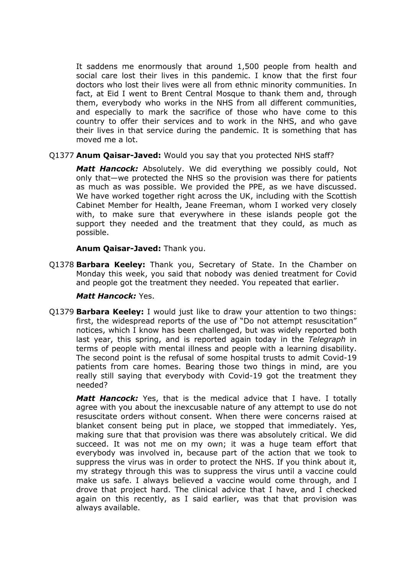It saddens me enormously that around 1,500 people from health and social care lost their lives in this pandemic. I know that the first four doctors who lost their lives were all from ethnic minority communities. In fact, at Eid I went to Brent Central Mosque to thank them and, through them, everybody who works in the NHS from all different communities, and especially to mark the sacrifice of those who have come to this country to offer their services and to work in the NHS, and who gave their lives in that service during the pandemic. It is something that has moved me a lot.

# Q1377 **Anum Qaisar-Javed:** Would you say that you protected NHS staff?

*Matt Hancock:* Absolutely. We did everything we possibly could, Not only that—we protected the NHS so the provision was there for patients as much as was possible. We provided the PPE, as we have discussed. We have worked together right across the UK, including with the Scottish Cabinet Member for Health, Jeane Freeman, whom I worked very closely with, to make sure that everywhere in these islands people got the support they needed and the treatment that they could, as much as possible.

# **Anum Qaisar-Javed:** Thank you.

Q1378 **Barbara Keeley:** Thank you, Secretary of State. In the Chamber on Monday this week, you said that nobody was denied treatment for Covid and people got the treatment they needed. You repeated that earlier.

# *Matt Hancock:* Yes.

Q1379 **Barbara Keeley:** I would just like to draw your attention to two things: first, the widespread reports of the use of "Do not attempt resuscitation" notices, which I know has been challenged, but was widely reported both last year, this spring, and is reported again today in the *Telegraph* in terms of people with mental illness and people with a learning disability. The second point is the refusal of some hospital trusts to admit Covid-19 patients from care homes. Bearing those two things in mind, are you really still saying that everybody with Covid-19 got the treatment they needed?

*Matt Hancock:* Yes, that is the medical advice that I have. I totally agree with you about the inexcusable nature of any attempt to use do not resuscitate orders without consent. When there were concerns raised at blanket consent being put in place, we stopped that immediately. Yes, making sure that that provision was there was absolutely critical. We did succeed. It was not me on my own; it was a huge team effort that everybody was involved in, because part of the action that we took to suppress the virus was in order to protect the NHS. If you think about it, my strategy through this was to suppress the virus until a vaccine could make us safe. I always believed a vaccine would come through, and I drove that project hard. The clinical advice that I have, and I checked again on this recently, as I said earlier, was that that provision was always available.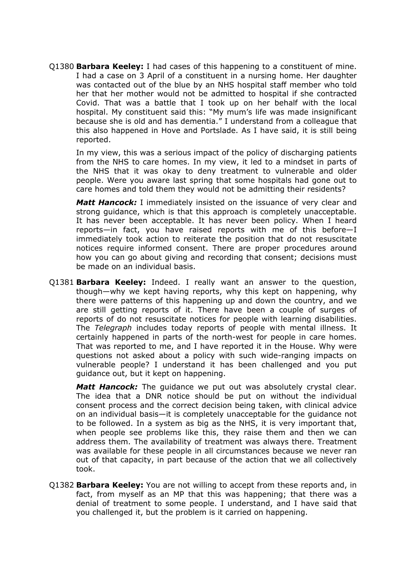Q1380 **Barbara Keeley:** I had cases of this happening to a constituent of mine. I had a case on 3 April of a constituent in a nursing home. Her daughter was contacted out of the blue by an NHS hospital staff member who told her that her mother would not be admitted to hospital if she contracted Covid. That was a battle that I took up on her behalf with the local hospital. My constituent said this: "My mum's life was made insignificant because she is old and has dementia." I understand from a colleague that this also happened in Hove and Portslade. As I have said, it is still being reported.

In my view, this was a serious impact of the policy of discharging patients from the NHS to care homes. In my view, it led to a mindset in parts of the NHS that it was okay to deny treatment to vulnerable and older people. Were you aware last spring that some hospitals had gone out to care homes and told them they would not be admitting their residents?

*Matt Hancock:* I immediately insisted on the issuance of very clear and strong guidance, which is that this approach is completely unacceptable. It has never been acceptable. It has never been policy. When I heard reports—in fact, you have raised reports with me of this before—I immediately took action to reiterate the position that do not resuscitate notices require informed consent. There are proper procedures around how you can go about giving and recording that consent; decisions must be made on an individual basis.

Q1381 **Barbara Keeley:** Indeed. I really want an answer to the question, though—why we kept having reports, why this kept on happening, why there were patterns of this happening up and down the country, and we are still getting reports of it. There have been a couple of surges of reports of do not resuscitate notices for people with learning disabilities. The *Telegraph* includes today reports of people with mental illness. It certainly happened in parts of the north-west for people in care homes. That was reported to me, and I have reported it in the House. Why were questions not asked about a policy with such wide-ranging impacts on vulnerable people? I understand it has been challenged and you put guidance out, but it kept on happening.

*Matt Hancock:* The guidance we put out was absolutely crystal clear. The idea that a DNR notice should be put on without the individual consent process and the correct decision being taken, with clinical advice on an individual basis—it is completely unacceptable for the guidance not to be followed. In a system as big as the NHS, it is very important that, when people see problems like this, they raise them and then we can address them. The availability of treatment was always there. Treatment was available for these people in all circumstances because we never ran out of that capacity, in part because of the action that we all collectively took.

Q1382 **Barbara Keeley:** You are not willing to accept from these reports and, in fact, from myself as an MP that this was happening; that there was a denial of treatment to some people. I understand, and I have said that you challenged it, but the problem is it carried on happening.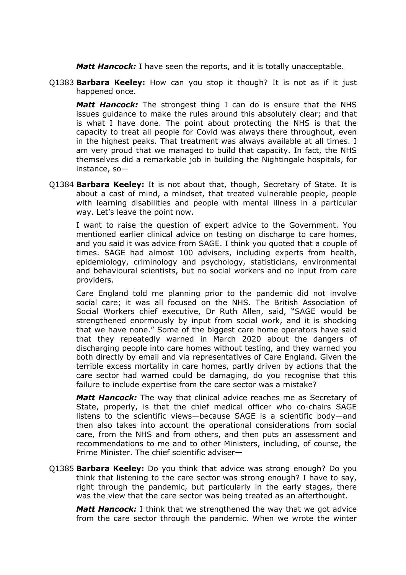*Matt Hancock:* I have seen the reports, and it is totally unacceptable.

Q1383 **Barbara Keeley:** How can you stop it though? It is not as if it just happened once.

*Matt Hancock:* The strongest thing I can do is ensure that the NHS issues guidance to make the rules around this absolutely clear; and that is what I have done. The point about protecting the NHS is that the capacity to treat all people for Covid was always there throughout, even in the highest peaks. That treatment was always available at all times. I am very proud that we managed to build that capacity. In fact, the NHS themselves did a remarkable job in building the Nightingale hospitals, for instance, so—

Q1384 **Barbara Keeley:** It is not about that, though, Secretary of State. It is about a cast of mind, a mindset, that treated vulnerable people, people with learning disabilities and people with mental illness in a particular way. Let's leave the point now.

I want to raise the question of expert advice to the Government. You mentioned earlier clinical advice on testing on discharge to care homes, and you said it was advice from SAGE. I think you quoted that a couple of times. SAGE had almost 100 advisers, including experts from health, epidemiology, criminology and psychology, statisticians, environmental and behavioural scientists, but no social workers and no input from care providers.

Care England told me planning prior to the pandemic did not involve social care; it was all focused on the NHS. The British Association of Social Workers chief executive, Dr Ruth Allen, said, "SAGE would be strengthened enormously by input from social work, and it is shocking that we have none." Some of the biggest care home operators have said that they repeatedly warned in March 2020 about the dangers of discharging people into care homes without testing, and they warned you both directly by email and via representatives of Care England. Given the terrible excess mortality in care homes, partly driven by actions that the care sector had warned could be damaging, do you recognise that this failure to include expertise from the care sector was a mistake?

*Matt Hancock:* The way that clinical advice reaches me as Secretary of State, properly, is that the chief medical officer who co-chairs SAGE listens to the scientific views—because SAGE is a scientific body—and then also takes into account the operational considerations from social care, from the NHS and from others, and then puts an assessment and recommendations to me and to other Ministers, including, of course, the Prime Minister. The chief scientific adviser—

Q1385 **Barbara Keeley:** Do you think that advice was strong enough? Do you think that listening to the care sector was strong enough? I have to say, right through the pandemic, but particularly in the early stages, there was the view that the care sector was being treated as an afterthought.

*Matt Hancock:* I think that we strengthened the way that we got advice from the care sector through the pandemic. When we wrote the winter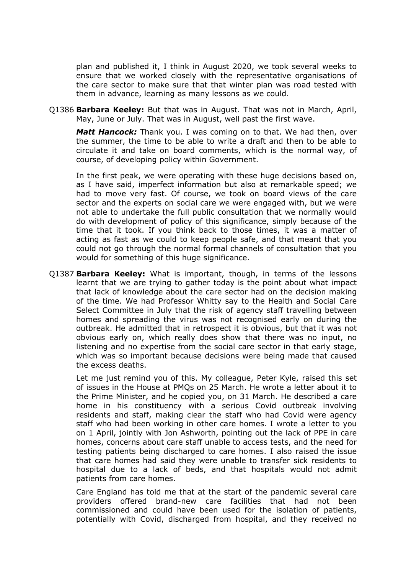plan and published it, I think in August 2020, we took several weeks to ensure that we worked closely with the representative organisations of the care sector to make sure that that winter plan was road tested with them in advance, learning as many lessons as we could.

Q1386 **Barbara Keeley:** But that was in August. That was not in March, April, May, June or July. That was in August, well past the first wave.

*Matt Hancock:* Thank you. I was coming on to that. We had then, over the summer, the time to be able to write a draft and then to be able to circulate it and take on board comments, which is the normal way, of course, of developing policy within Government.

In the first peak, we were operating with these huge decisions based on, as I have said, imperfect information but also at remarkable speed; we had to move very fast. Of course, we took on board views of the care sector and the experts on social care we were engaged with, but we were not able to undertake the full public consultation that we normally would do with development of policy of this significance, simply because of the time that it took. If you think back to those times, it was a matter of acting as fast as we could to keep people safe, and that meant that you could not go through the normal formal channels of consultation that you would for something of this huge significance.

Q1387 **Barbara Keeley:** What is important, though, in terms of the lessons learnt that we are trying to gather today is the point about what impact that lack of knowledge about the care sector had on the decision making of the time. We had Professor Whitty say to the Health and Social Care Select Committee in July that the risk of agency staff travelling between homes and spreading the virus was not recognised early on during the outbreak. He admitted that in retrospect it is obvious, but that it was not obvious early on, which really does show that there was no input, no listening and no expertise from the social care sector in that early stage, which was so important because decisions were being made that caused the excess deaths.

Let me just remind you of this. My colleague, Peter Kyle, raised this set of issues in the House at PMQs on 25 March. He wrote a letter about it to the Prime Minister, and he copied you, on 31 March. He described a care home in his constituency with a serious Covid outbreak involving residents and staff, making clear the staff who had Covid were agency staff who had been working in other care homes. I wrote a letter to you on 1 April, jointly with Jon Ashworth, pointing out the lack of PPE in care homes, concerns about care staff unable to access tests, and the need for testing patients being discharged to care homes. I also raised the issue that care homes had said they were unable to transfer sick residents to hospital due to a lack of beds, and that hospitals would not admit patients from care homes.

Care England has told me that at the start of the pandemic several care providers offered brand-new care facilities that had not been commissioned and could have been used for the isolation of patients, potentially with Covid, discharged from hospital, and they received no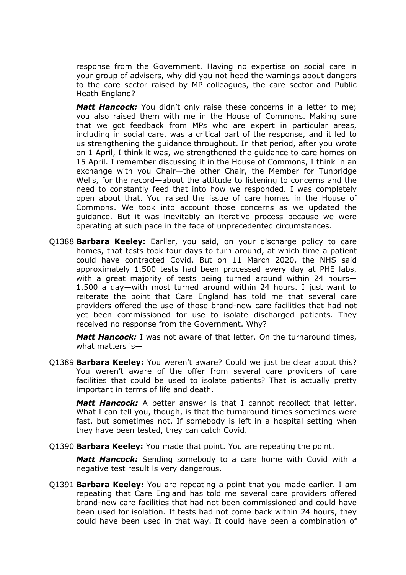response from the Government. Having no expertise on social care in your group of advisers, why did you not heed the warnings about dangers to the care sector raised by MP colleagues, the care sector and Public Heath England?

*Matt Hancock:* You didn't only raise these concerns in a letter to me; you also raised them with me in the House of Commons. Making sure that we got feedback from MPs who are expert in particular areas, including in social care, was a critical part of the response, and it led to us strengthening the guidance throughout. In that period, after you wrote on 1 April, I think it was, we strengthened the guidance to care homes on 15 April. I remember discussing it in the House of Commons, I think in an exchange with you Chair—the other Chair, the Member for Tunbridge Wells, for the record—about the attitude to listening to concerns and the need to constantly feed that into how we responded. I was completely open about that. You raised the issue of care homes in the House of Commons. We took into account those concerns as we updated the guidance. But it was inevitably an iterative process because we were operating at such pace in the face of unprecedented circumstances.

Q1388 **Barbara Keeley:** Earlier, you said, on your discharge policy to care homes, that tests took four days to turn around, at which time a patient could have contracted Covid. But on 11 March 2020, the NHS said approximately 1,500 tests had been processed every day at PHE labs, with a great majority of tests being turned around within 24 hours— 1,500 a day—with most turned around within 24 hours. I just want to reiterate the point that Care England has told me that several care providers offered the use of those brand-new care facilities that had not yet been commissioned for use to isolate discharged patients. They received no response from the Government. Why?

*Matt Hancock:* I was not aware of that letter. On the turnaround times, what matters is—

Q1389 **Barbara Keeley:** You weren't aware? Could we just be clear about this? You weren't aware of the offer from several care providers of care facilities that could be used to isolate patients? That is actually pretty important in terms of life and death.

*Matt Hancock:* A better answer is that I cannot recollect that letter. What I can tell you, though, is that the turnaround times sometimes were fast, but sometimes not. If somebody is left in a hospital setting when they have been tested, they can catch Covid.

Q1390 **Barbara Keeley:** You made that point. You are repeating the point.

*Matt Hancock:* Sending somebody to a care home with Covid with a negative test result is very dangerous.

Q1391 **Barbara Keeley:** You are repeating a point that you made earlier. I am repeating that Care England has told me several care providers offered brand-new care facilities that had not been commissioned and could have been used for isolation. If tests had not come back within 24 hours, they could have been used in that way. It could have been a combination of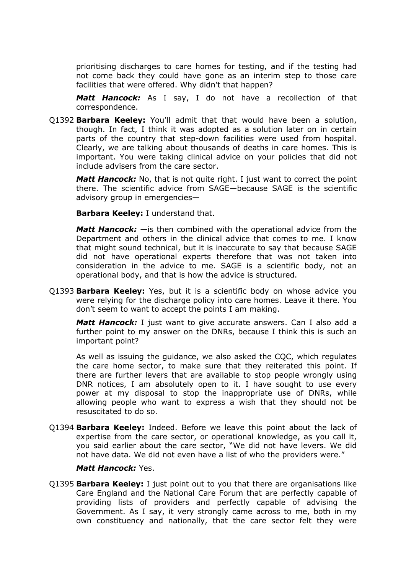prioritising discharges to care homes for testing, and if the testing had not come back they could have gone as an interim step to those care facilities that were offered. Why didn't that happen?

*Matt Hancock:* As I say, I do not have a recollection of that correspondence.

Q1392 **Barbara Keeley:** You'll admit that that would have been a solution, though. In fact, I think it was adopted as a solution later on in certain parts of the country that step-down facilities were used from hospital. Clearly, we are talking about thousands of deaths in care homes. This is important. You were taking clinical advice on your policies that did not include advisers from the care sector.

**Matt Hancock:** No, that is not quite right. I just want to correct the point there. The scientific advice from SAGE—because SAGE is the scientific advisory group in emergencies—

**Barbara Keeley:** I understand that.

*Matt Hancock:* —is then combined with the operational advice from the Department and others in the clinical advice that comes to me. I know that might sound technical, but it is inaccurate to say that because SAGE did not have operational experts therefore that was not taken into consideration in the advice to me. SAGE is a scientific body, not an operational body, and that is how the advice is structured.

Q1393 **Barbara Keeley:** Yes, but it is a scientific body on whose advice you were relying for the discharge policy into care homes. Leave it there. You don't seem to want to accept the points I am making.

*Matt Hancock:* I just want to give accurate answers. Can I also add a further point to my answer on the DNRs, because I think this is such an important point?

As well as issuing the guidance, we also asked the CQC, which regulates the care home sector, to make sure that they reiterated this point. If there are further levers that are available to stop people wrongly using DNR notices, I am absolutely open to it. I have sought to use every power at my disposal to stop the inappropriate use of DNRs, while allowing people who want to express a wish that they should not be resuscitated to do so.

Q1394 **Barbara Keeley:** Indeed. Before we leave this point about the lack of expertise from the care sector, or operational knowledge, as you call it, you said earlier about the care sector, "We did not have levers. We did not have data. We did not even have a list of who the providers were."

# *Matt Hancock:* Yes.

Q1395 **Barbara Keeley:** I just point out to you that there are organisations like Care England and the National Care Forum that are perfectly capable of providing lists of providers and perfectly capable of advising the Government. As I say, it very strongly came across to me, both in my own constituency and nationally, that the care sector felt they were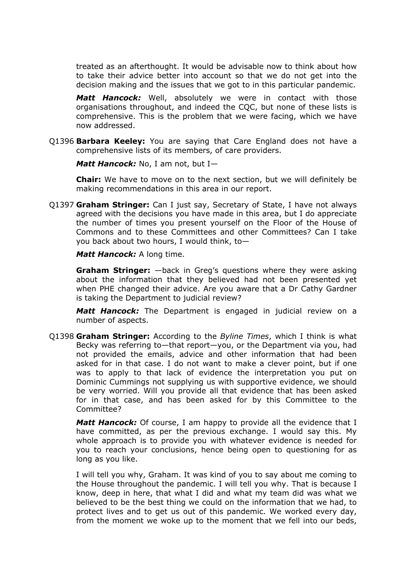treated as an afterthought. It would be advisable now to think about how to take their advice better into account so that we do not get into the decision making and the issues that we got to in this particular pandemic.

*Matt Hancock:* Well, absolutely we were in contact with those organisations throughout, and indeed the CQC, but none of these lists is comprehensive. This is the problem that we were facing, which we have now addressed.

Q1396 **Barbara Keeley:** You are saying that Care England does not have a comprehensive lists of its members, of care providers.

*Matt Hancock:* No, I am not, but I—

**Chair:** We have to move on to the next section, but we will definitely be making recommendations in this area in our report.

Q1397 **Graham Stringer:** Can I just say, Secretary of State, I have not always agreed with the decisions you have made in this area, but I do appreciate the number of times you present yourself on the Floor of the House of Commons and to these Committees and other Committees? Can I take you back about two hours, I would think, to—

*Matt Hancock:* A long time.

**Graham Stringer:** —back in Greg's questions where they were asking about the information that they believed had not been presented yet when PHE changed their advice. Are you aware that a Dr Cathy Gardner is taking the Department to judicial review?

*Matt Hancock:* The Department is engaged in judicial review on a number of aspects.

Q1398 **Graham Stringer:** According to the *Byline Times*, which I think is what Becky was referring to—that report—you, or the Department via you, had not provided the emails, advice and other information that had been asked for in that case. I do not want to make a clever point, but if one was to apply to that lack of evidence the interpretation you put on Dominic Cummings not supplying us with supportive evidence, we should be very worried. Will you provide all that evidence that has been asked for in that case, and has been asked for by this Committee to the Committee?

*Matt Hancock:* Of course, I am happy to provide all the evidence that I have committed, as per the previous exchange. I would say this. My whole approach is to provide you with whatever evidence is needed for you to reach your conclusions, hence being open to questioning for as long as you like.

I will tell you why, Graham. It was kind of you to say about me coming to the House throughout the pandemic. I will tell you why. That is because I know, deep in here, that what I did and what my team did was what we believed to be the best thing we could on the information that we had, to protect lives and to get us out of this pandemic. We worked every day, from the moment we woke up to the moment that we fell into our beds,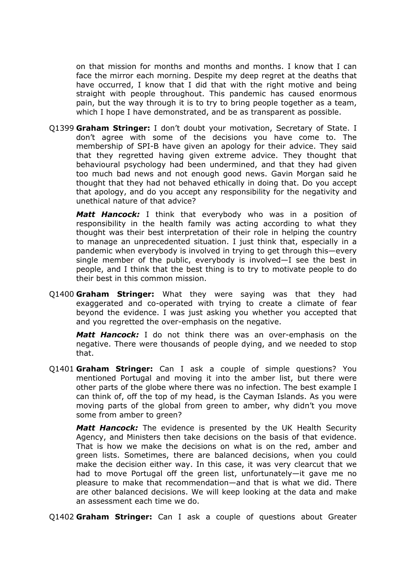on that mission for months and months and months. I know that I can face the mirror each morning. Despite my deep regret at the deaths that have occurred, I know that I did that with the right motive and being straight with people throughout. This pandemic has caused enormous pain, but the way through it is to try to bring people together as a team, which I hope I have demonstrated, and be as transparent as possible.

Q1399 **Graham Stringer:** I don't doubt your motivation, Secretary of State. I don't agree with some of the decisions you have come to. The membership of SPI-B have given an apology for their advice. They said that they regretted having given extreme advice. They thought that behavioural psychology had been undermined, and that they had given too much bad news and not enough good news. Gavin Morgan said he thought that they had not behaved ethically in doing that. Do you accept that apology, and do you accept any responsibility for the negativity and unethical nature of that advice?

*Matt Hancock:* I think that everybody who was in a position of responsibility in the health family was acting according to what they thought was their best interpretation of their role in helping the country to manage an unprecedented situation. I just think that, especially in a pandemic when everybody is involved in trying to get through this—every single member of the public, everybody is involved—I see the best in people, and I think that the best thing is to try to motivate people to do their best in this common mission.

Q1400 **Graham Stringer:** What they were saying was that they had exaggerated and co-operated with trying to create a climate of fear beyond the evidence. I was just asking you whether you accepted that and you regretted the over-emphasis on the negative.

*Matt Hancock:* I do not think there was an over-emphasis on the negative. There were thousands of people dying, and we needed to stop that.

Q1401 **Graham Stringer:** Can I ask a couple of simple questions? You mentioned Portugal and moving it into the amber list, but there were other parts of the globe where there was no infection. The best example I can think of, off the top of my head, is the Cayman Islands. As you were moving parts of the global from green to amber, why didn't you move some from amber to green?

*Matt Hancock:* The evidence is presented by the UK Health Security Agency, and Ministers then take decisions on the basis of that evidence. That is how we make the decisions on what is on the red, amber and green lists. Sometimes, there are balanced decisions, when you could make the decision either way. In this case, it was very clearcut that we had to move Portugal off the green list, unfortunately—it gave me no pleasure to make that recommendation—and that is what we did. There are other balanced decisions. We will keep looking at the data and make an assessment each time we do.

Q1402 **Graham Stringer:** Can I ask a couple of questions about Greater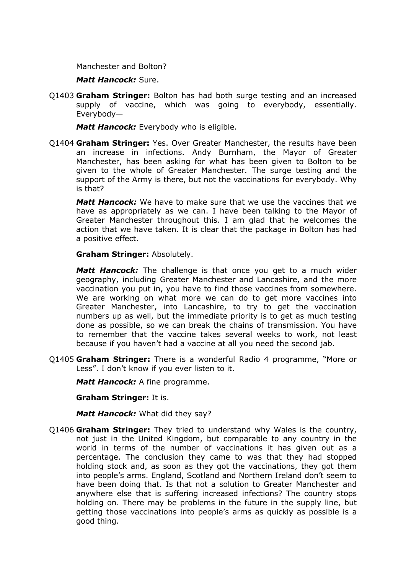Manchester and Bolton?

*Matt Hancock:* Sure.

Q1403 **Graham Stringer:** Bolton has had both surge testing and an increased supply of vaccine, which was going to everybody, essentially. Everybody—

*Matt Hancock:* Everybody who is eligible.

Q1404 **Graham Stringer:** Yes. Over Greater Manchester, the results have been an increase in infections. Andy Burnham, the Mayor of Greater Manchester, has been asking for what has been given to Bolton to be given to the whole of Greater Manchester. The surge testing and the support of the Army is there, but not the vaccinations for everybody. Why is that?

*Matt Hancock:* We have to make sure that we use the vaccines that we have as appropriately as we can. I have been talking to the Mayor of Greater Manchester throughout this. I am glad that he welcomes the action that we have taken. It is clear that the package in Bolton has had a positive effect.

**Graham Stringer:** Absolutely.

*Matt Hancock:* The challenge is that once you get to a much wider geography, including Greater Manchester and Lancashire, and the more vaccination you put in, you have to find those vaccines from somewhere. We are working on what more we can do to get more vaccines into Greater Manchester, into Lancashire, to try to get the vaccination numbers up as well, but the immediate priority is to get as much testing done as possible, so we can break the chains of transmission. You have to remember that the vaccine takes several weeks to work, not least because if you haven't had a vaccine at all you need the second jab.

Q1405 **Graham Stringer:** There is a wonderful Radio 4 programme, "More or Less". I don't know if you ever listen to it.

*Matt Hancock:* A fine programme.

**Graham Stringer:** It is.

*Matt Hancock:* What did they say?

Q1406 **Graham Stringer:** They tried to understand why Wales is the country, not just in the United Kingdom, but comparable to any country in the world in terms of the number of vaccinations it has given out as a percentage. The conclusion they came to was that they had stopped holding stock and, as soon as they got the vaccinations, they got them into people's arms. England, Scotland and Northern Ireland don't seem to have been doing that. Is that not a solution to Greater Manchester and anywhere else that is suffering increased infections? The country stops holding on. There may be problems in the future in the supply line, but getting those vaccinations into people's arms as quickly as possible is a good thing.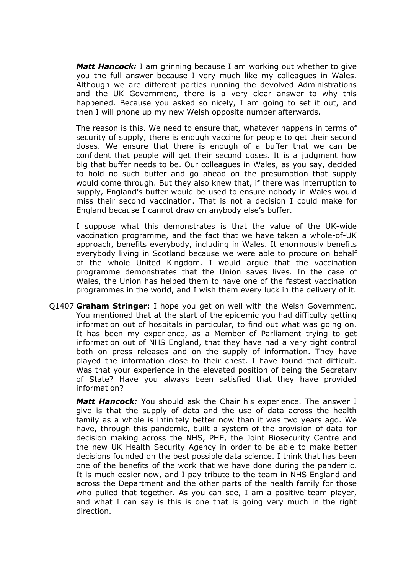*Matt Hancock:* I am grinning because I am working out whether to give you the full answer because I very much like my colleagues in Wales. Although we are different parties running the devolved Administrations and the UK Government, there is a very clear answer to why this happened. Because you asked so nicely, I am going to set it out, and then I will phone up my new Welsh opposite number afterwards.

The reason is this. We need to ensure that, whatever happens in terms of security of supply, there is enough vaccine for people to get their second doses. We ensure that there is enough of a buffer that we can be confident that people will get their second doses. It is a judgment how big that buffer needs to be. Our colleagues in Wales, as you say, decided to hold no such buffer and go ahead on the presumption that supply would come through. But they also knew that, if there was interruption to supply, England's buffer would be used to ensure nobody in Wales would miss their second vaccination. That is not a decision I could make for England because I cannot draw on anybody else's buffer.

I suppose what this demonstrates is that the value of the UK-wide vaccination programme, and the fact that we have taken a whole-of-UK approach, benefits everybody, including in Wales. It enormously benefits everybody living in Scotland because we were able to procure on behalf of the whole United Kingdom. I would argue that the vaccination programme demonstrates that the Union saves lives. In the case of Wales, the Union has helped them to have one of the fastest vaccination programmes in the world, and I wish them every luck in the delivery of it.

Q1407 **Graham Stringer:** I hope you get on well with the Welsh Government. You mentioned that at the start of the epidemic you had difficulty getting information out of hospitals in particular, to find out what was going on. It has been my experience, as a Member of Parliament trying to get information out of NHS England, that they have had a very tight control both on press releases and on the supply of information. They have played the information close to their chest. I have found that difficult. Was that your experience in the elevated position of being the Secretary of State? Have you always been satisfied that they have provided information?

*Matt Hancock:* You should ask the Chair his experience. The answer I give is that the supply of data and the use of data across the health family as a whole is infinitely better now than it was two years ago. We have, through this pandemic, built a system of the provision of data for decision making across the NHS, PHE, the Joint Biosecurity Centre and the new UK Health Security Agency in order to be able to make better decisions founded on the best possible data science. I think that has been one of the benefits of the work that we have done during the pandemic. It is much easier now, and I pay tribute to the team in NHS England and across the Department and the other parts of the health family for those who pulled that together. As you can see, I am a positive team player, and what I can say is this is one that is going very much in the right direction.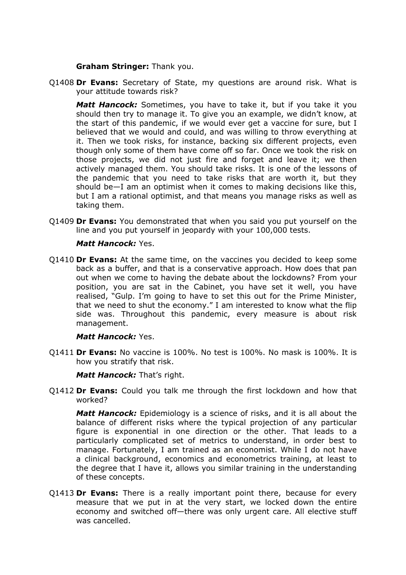# **Graham Stringer:** Thank you.

Q1408 **Dr Evans:** Secretary of State, my questions are around risk. What is your attitude towards risk?

*Matt Hancock:* Sometimes, you have to take it, but if you take it you should then try to manage it. To give you an example, we didn't know, at the start of this pandemic, if we would ever get a vaccine for sure, but I believed that we would and could, and was willing to throw everything at it. Then we took risks, for instance, backing six different projects, even though only some of them have come off so far. Once we took the risk on those projects, we did not just fire and forget and leave it; we then actively managed them. You should take risks. It is one of the lessons of the pandemic that you need to take risks that are worth it, but they should be—I am an optimist when it comes to making decisions like this, but I am a rational optimist, and that means you manage risks as well as taking them.

Q1409 **Dr Evans:** You demonstrated that when you said you put yourself on the line and you put yourself in jeopardy with your 100,000 tests.

# *Matt Hancock:* Yes.

Q1410 **Dr Evans:** At the same time, on the vaccines you decided to keep some back as a buffer, and that is a conservative approach. How does that pan out when we come to having the debate about the lockdowns? From your position, you are sat in the Cabinet, you have set it well, you have realised, "Gulp. I'm going to have to set this out for the Prime Minister, that we need to shut the economy." I am interested to know what the flip side was. Throughout this pandemic, every measure is about risk management.

# *Matt Hancock:* Yes.

Q1411 **Dr Evans:** No vaccine is 100%. No test is 100%. No mask is 100%. It is how you stratify that risk.

# *Matt Hancock:* That's right.

Q1412 **Dr Evans:** Could you talk me through the first lockdown and how that worked?

*Matt Hancock:* Epidemiology is a science of risks, and it is all about the balance of different risks where the typical projection of any particular figure is exponential in one direction or the other. That leads to a particularly complicated set of metrics to understand, in order best to manage. Fortunately, I am trained as an economist. While I do not have a clinical background, economics and econometrics training, at least to the degree that I have it, allows you similar training in the understanding of these concepts.

Q1413 **Dr Evans:** There is a really important point there, because for every measure that we put in at the very start, we locked down the entire economy and switched off—there was only urgent care. All elective stuff was cancelled.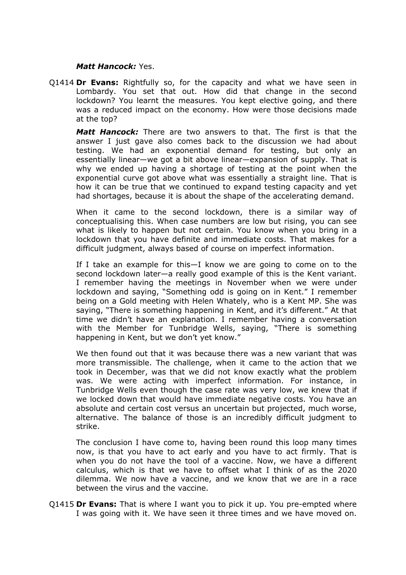# *Matt Hancock:* Yes.

Q1414 **Dr Evans:** Rightfully so, for the capacity and what we have seen in Lombardy. You set that out. How did that change in the second lockdown? You learnt the measures. You kept elective going, and there was a reduced impact on the economy. How were those decisions made at the top?

*Matt Hancock:* There are two answers to that. The first is that the answer I just gave also comes back to the discussion we had about testing. We had an exponential demand for testing, but only an essentially linear—we got a bit above linear—expansion of supply. That is why we ended up having a shortage of testing at the point when the exponential curve got above what was essentially a straight line. That is how it can be true that we continued to expand testing capacity and yet had shortages, because it is about the shape of the accelerating demand.

When it came to the second lockdown, there is a similar way of conceptualising this. When case numbers are low but rising, you can see what is likely to happen but not certain. You know when you bring in a lockdown that you have definite and immediate costs. That makes for a difficult judgment, always based of course on imperfect information.

If I take an example for this—I know we are going to come on to the second lockdown later—a really good example of this is the Kent variant. I remember having the meetings in November when we were under lockdown and saying, "Something odd is going on in Kent." I remember being on a Gold meeting with Helen Whately, who is a Kent MP. She was saying, "There is something happening in Kent, and it's different." At that time we didn't have an explanation. I remember having a conversation with the Member for Tunbridge Wells, saying, "There is something happening in Kent, but we don't yet know."

We then found out that it was because there was a new variant that was more transmissible. The challenge, when it came to the action that we took in December, was that we did not know exactly what the problem was. We were acting with imperfect information. For instance, in Tunbridge Wells even though the case rate was very low, we knew that if we locked down that would have immediate negative costs. You have an absolute and certain cost versus an uncertain but projected, much worse, alternative. The balance of those is an incredibly difficult judgment to strike.

The conclusion I have come to, having been round this loop many times now, is that you have to act early and you have to act firmly. That is when you do not have the tool of a vaccine. Now, we have a different calculus, which is that we have to offset what I think of as the 2020 dilemma. We now have a vaccine, and we know that we are in a race between the virus and the vaccine.

Q1415 **Dr Evans:** That is where I want you to pick it up. You pre-empted where I was going with it. We have seen it three times and we have moved on.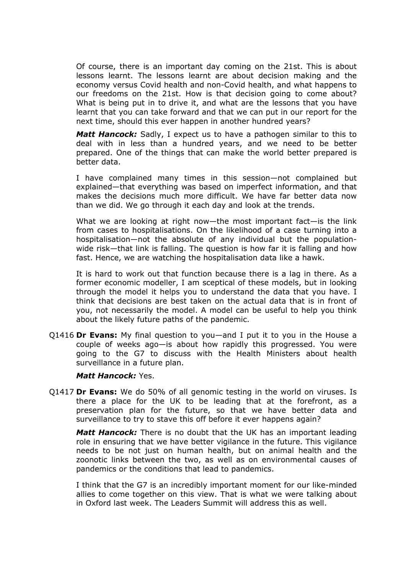Of course, there is an important day coming on the 21st. This is about lessons learnt. The lessons learnt are about decision making and the economy versus Covid health and non-Covid health, and what happens to our freedoms on the 21st. How is that decision going to come about? What is being put in to drive it, and what are the lessons that you have learnt that you can take forward and that we can put in our report for the next time, should this ever happen in another hundred years?

*Matt Hancock:* Sadly, I expect us to have a pathogen similar to this to deal with in less than a hundred years, and we need to be better prepared. One of the things that can make the world better prepared is better data.

I have complained many times in this session—not complained but explained—that everything was based on imperfect information, and that makes the decisions much more difficult. We have far better data now than we did. We go through it each day and look at the trends.

What we are looking at right now—the most important fact—is the link from cases to hospitalisations. On the likelihood of a case turning into a hospitalisation—not the absolute of any individual but the populationwide risk—that link is falling. The question is how far it is falling and how fast. Hence, we are watching the hospitalisation data like a hawk.

It is hard to work out that function because there is a lag in there. As a former economic modeller, I am sceptical of these models, but in looking through the model it helps you to understand the data that you have. I think that decisions are best taken on the actual data that is in front of you, not necessarily the model. A model can be useful to help you think about the likely future paths of the pandemic.

Q1416 **Dr Evans:** My final question to you—and I put it to you in the House a couple of weeks ago—is about how rapidly this progressed. You were going to the G7 to discuss with the Health Ministers about health surveillance in a future plan.

#### *Matt Hancock:* Yes.

Q1417 **Dr Evans:** We do 50% of all genomic testing in the world on viruses. Is there a place for the UK to be leading that at the forefront, as a preservation plan for the future, so that we have better data and surveillance to try to stave this off before it ever happens again?

*Matt Hancock:* There is no doubt that the UK has an important leading role in ensuring that we have better vigilance in the future. This vigilance needs to be not just on human health, but on animal health and the zoonotic links between the two, as well as on environmental causes of pandemics or the conditions that lead to pandemics.

I think that the G7 is an incredibly important moment for our like-minded allies to come together on this view. That is what we were talking about in Oxford last week. The Leaders Summit will address this as well.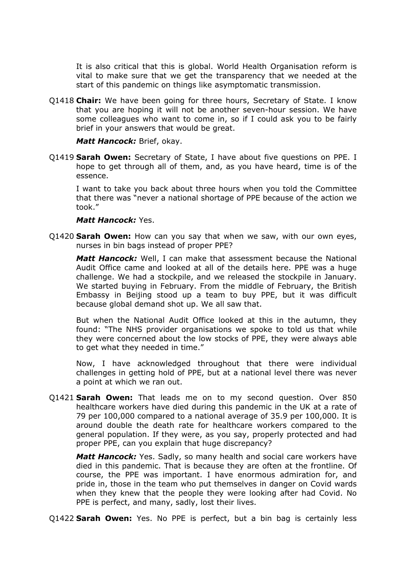It is also critical that this is global. World Health Organisation reform is vital to make sure that we get the transparency that we needed at the start of this pandemic on things like asymptomatic transmission.

Q1418 **Chair:** We have been going for three hours, Secretary of State. I know that you are hoping it will not be another seven-hour session. We have some colleagues who want to come in, so if I could ask you to be fairly brief in your answers that would be great.

#### *Matt Hancock:* Brief, okay.

Q1419 **Sarah Owen:** Secretary of State, I have about five questions on PPE. I hope to get through all of them, and, as you have heard, time is of the essence.

I want to take you back about three hours when you told the Committee that there was "never a national shortage of PPE because of the action we took."

### *Matt Hancock:* Yes.

Q1420 **Sarah Owen:** How can you say that when we saw, with our own eyes, nurses in bin bags instead of proper PPE?

*Matt Hancock:* Well, I can make that assessment because the National Audit Office came and looked at all of the details here. PPE was a huge challenge. We had a stockpile, and we released the stockpile in January. We started buying in February. From the middle of February, the British Embassy in Beijing stood up a team to buy PPE, but it was difficult because global demand shot up. We all saw that.

But when the National Audit Office looked at this in the autumn, they found: "The NHS provider organisations we spoke to told us that while they were concerned about the low stocks of PPE, they were always able to get what they needed in time."

Now, I have acknowledged throughout that there were individual challenges in getting hold of PPE, but at a national level there was never a point at which we ran out.

Q1421 **Sarah Owen:** That leads me on to my second question. Over 850 healthcare workers have died during this pandemic in the UK at a rate of 79 per 100,000 compared to a national average of 35.9 per 100,000. It is around double the death rate for healthcare workers compared to the general population. If they were, as you say, properly protected and had proper PPE, can you explain that huge discrepancy?

*Matt Hancock:* Yes. Sadly, so many health and social care workers have died in this pandemic. That is because they are often at the frontline. Of course, the PPE was important. I have enormous admiration for, and pride in, those in the team who put themselves in danger on Covid wards when they knew that the people they were looking after had Covid. No PPE is perfect, and many, sadly, lost their lives.

Q1422 **Sarah Owen:** Yes. No PPE is perfect, but a bin bag is certainly less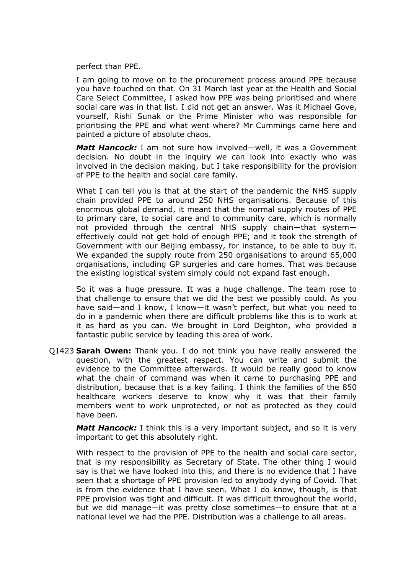perfect than PPE.

I am going to move on to the procurement process around PPE because you have touched on that. On 31 March last year at the Health and Social Care Select Committee, I asked how PPE was being prioritised and where social care was in that list. I did not get an answer. Was it Michael Gove, yourself, Rishi Sunak or the Prime Minister who was responsible for prioritising the PPE and what went where? Mr Cummings came here and painted a picture of absolute chaos.

*Matt Hancock:* I am not sure how involved—well, it was a Government decision. No doubt in the inquiry we can look into exactly who was involved in the decision making, but I take responsibility for the provision of PPE to the health and social care family.

What I can tell you is that at the start of the pandemic the NHS supply chain provided PPE to around 250 NHS organisations. Because of this enormous global demand, it meant that the normal supply routes of PPE to primary care, to social care and to community care, which is normally not provided through the central NHS supply chain—that system effectively could not get hold of enough PPE; and it took the strength of Government with our Beijing embassy, for instance, to be able to buy it. We expanded the supply route from 250 organisations to around 65,000 organisations, including GP surgeries and care homes. That was because the existing logistical system simply could not expand fast enough.

So it was a huge pressure. It was a huge challenge. The team rose to that challenge to ensure that we did the best we possibly could. As you have said—and I know, I know—it wasn't perfect, but what you need to do in a pandemic when there are difficult problems like this is to work at it as hard as you can. We brought in Lord Deighton, who provided a fantastic public service by leading this area of work.

Q1423 **Sarah Owen:** Thank you. I do not think you have really answered the question, with the greatest respect. You can write and submit the evidence to the Committee afterwards. It would be really good to know what the chain of command was when it came to purchasing PPE and distribution, because that is a key failing. I think the families of the 850 healthcare workers deserve to know why it was that their family members went to work unprotected, or not as protected as they could have been.

*Matt Hancock:* I think this is a very important subject, and so it is very important to get this absolutely right.

With respect to the provision of PPE to the health and social care sector, that is my responsibility as Secretary of State. The other thing I would say is that we have looked into this, and there is no evidence that I have seen that a shortage of PPE provision led to anybody dying of Covid. That is from the evidence that I have seen. What I do know, though, is that PPE provision was tight and difficult. It was difficult throughout the world, but we did manage—it was pretty close sometimes—to ensure that at a national level we had the PPE. Distribution was a challenge to all areas.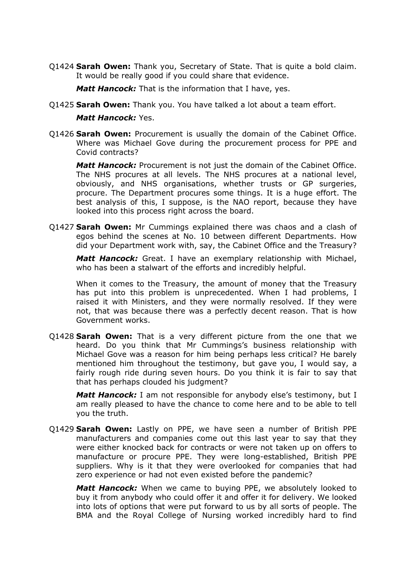Q1424 **Sarah Owen:** Thank you, Secretary of State. That is quite a bold claim. It would be really good if you could share that evidence.

*Matt Hancock:* That is the information that I have, yes.

Q1425 **Sarah Owen:** Thank you. You have talked a lot about a team effort.

*Matt Hancock:* Yes.

Q1426 **Sarah Owen:** Procurement is usually the domain of the Cabinet Office. Where was Michael Gove during the procurement process for PPE and Covid contracts?

*Matt Hancock:* Procurement is not just the domain of the Cabinet Office. The NHS procures at all levels. The NHS procures at a national level, obviously, and NHS organisations, whether trusts or GP surgeries, procure. The Department procures some things. It is a huge effort. The best analysis of this, I suppose, is the NAO report, because they have looked into this process right across the board.

Q1427 **Sarah Owen:** Mr Cummings explained there was chaos and a clash of egos behind the scenes at No. 10 between different Departments. How did your Department work with, say, the Cabinet Office and the Treasury?

*Matt Hancock:* Great. I have an exemplary relationship with Michael, who has been a stalwart of the efforts and incredibly helpful.

When it comes to the Treasury, the amount of money that the Treasury has put into this problem is unprecedented. When I had problems, I raised it with Ministers, and they were normally resolved. If they were not, that was because there was a perfectly decent reason. That is how Government works.

Q1428 **Sarah Owen:** That is a very different picture from the one that we heard. Do you think that Mr Cummings's business relationship with Michael Gove was a reason for him being perhaps less critical? He barely mentioned him throughout the testimony, but gave you, I would say, a fairly rough ride during seven hours. Do you think it is fair to say that that has perhaps clouded his judgment?

*Matt Hancock:* I am not responsible for anybody else's testimony, but I am really pleased to have the chance to come here and to be able to tell you the truth.

Q1429 **Sarah Owen:** Lastly on PPE, we have seen a number of British PPE manufacturers and companies come out this last year to say that they were either knocked back for contracts or were not taken up on offers to manufacture or procure PPE. They were long-established, British PPE suppliers. Why is it that they were overlooked for companies that had zero experience or had not even existed before the pandemic?

*Matt Hancock:* When we came to buying PPE, we absolutely looked to buy it from anybody who could offer it and offer it for delivery. We looked into lots of options that were put forward to us by all sorts of people. The BMA and the Royal College of Nursing worked incredibly hard to find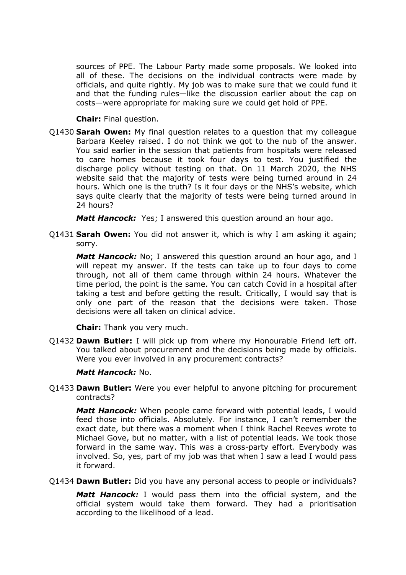sources of PPE. The Labour Party made some proposals. We looked into all of these. The decisions on the individual contracts were made by officials, and quite rightly. My job was to make sure that we could fund it and that the funding rules—like the discussion earlier about the cap on costs—were appropriate for making sure we could get hold of PPE.

**Chair:** Final question.

Q1430 **Sarah Owen:** My final question relates to a question that my colleague Barbara Keeley raised. I do not think we got to the nub of the answer. You said earlier in the session that patients from hospitals were released to care homes because it took four days to test. You justified the discharge policy without testing on that. On 11 March 2020, the NHS website said that the majority of tests were being turned around in 24 hours. Which one is the truth? Is it four days or the NHS's website, which says quite clearly that the majority of tests were being turned around in 24 hours?

*Matt Hancock:* Yes; I answered this question around an hour ago.

Q1431 **Sarah Owen:** You did not answer it, which is why I am asking it again; sorry.

*Matt Hancock:* No; I answered this question around an hour ago, and I will repeat my answer. If the tests can take up to four days to come through, not all of them came through within 24 hours. Whatever the time period, the point is the same. You can catch Covid in a hospital after taking a test and before getting the result. Critically, I would say that is only one part of the reason that the decisions were taken. Those decisions were all taken on clinical advice.

**Chair:** Thank you very much.

Q1432 **Dawn Butler:** I will pick up from where my Honourable Friend left off. You talked about procurement and the decisions being made by officials. Were you ever involved in any procurement contracts?

# *Matt Hancock:* No.

Q1433 **Dawn Butler:** Were you ever helpful to anyone pitching for procurement contracts?

*Matt Hancock:* When people came forward with potential leads, I would feed those into officials. Absolutely. For instance, I can't remember the exact date, but there was a moment when I think Rachel Reeves wrote to Michael Gove, but no matter, with a list of potential leads. We took those forward in the same way. This was a cross-party effort. Everybody was involved. So, yes, part of my job was that when I saw a lead I would pass it forward.

Q1434 **Dawn Butler:** Did you have any personal access to people or individuals?

*Matt Hancock:* I would pass them into the official system, and the official system would take them forward. They had a prioritisation according to the likelihood of a lead.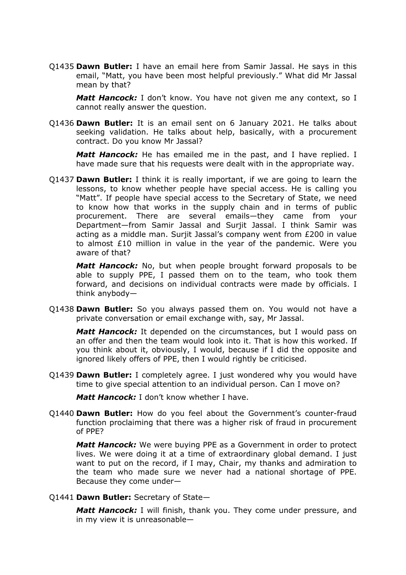Q1435 **Dawn Butler:** I have an email here from Samir Jassal. He says in this email, "Matt, you have been most helpful previously." What did Mr Jassal mean by that?

*Matt Hancock:* I don't know. You have not given me any context, so I cannot really answer the question.

Q1436 **Dawn Butler:** It is an email sent on 6 January 2021. He talks about seeking validation. He talks about help, basically, with a procurement contract. Do you know Mr Jassal?

*Matt Hancock:* He has emailed me in the past, and I have replied. I have made sure that his requests were dealt with in the appropriate way.

Q1437 **Dawn Butler:** I think it is really important, if we are going to learn the lessons, to know whether people have special access. He is calling you "Matt". If people have special access to the Secretary of State, we need to know how that works in the supply chain and in terms of public procurement. There are several emails—they came from your Department—from Samir Jassal and Surjit Jassal. I think Samir was acting as a middle man. Surjit Jassal's company went from £200 in value to almost £10 million in value in the year of the pandemic. Were you aware of that?

*Matt Hancock:* No, but when people brought forward proposals to be able to supply PPE, I passed them on to the team, who took them forward, and decisions on individual contracts were made by officials. I think anybody—

Q1438 **Dawn Butler:** So you always passed them on. You would not have a private conversation or email exchange with, say, Mr Jassal.

*Matt Hancock:* It depended on the circumstances, but I would pass on an offer and then the team would look into it. That is how this worked. If you think about it, obviously, I would, because if I did the opposite and ignored likely offers of PPE, then I would rightly be criticised.

Q1439 **Dawn Butler:** I completely agree. I just wondered why you would have time to give special attention to an individual person. Can I move on?

*Matt Hancock:* I don't know whether I have.

Q1440 **Dawn Butler:** How do you feel about the Government's counter-fraud function proclaiming that there was a higher risk of fraud in procurement of PPE?

*Matt Hancock:* We were buying PPE as a Government in order to protect lives. We were doing it at a time of extraordinary global demand. I just want to put on the record, if I may, Chair, my thanks and admiration to the team who made sure we never had a national shortage of PPE. Because they come under—

Q1441 **Dawn Butler:** Secretary of State—

*Matt Hancock:* I will finish, thank you. They come under pressure, and in my view it is unreasonable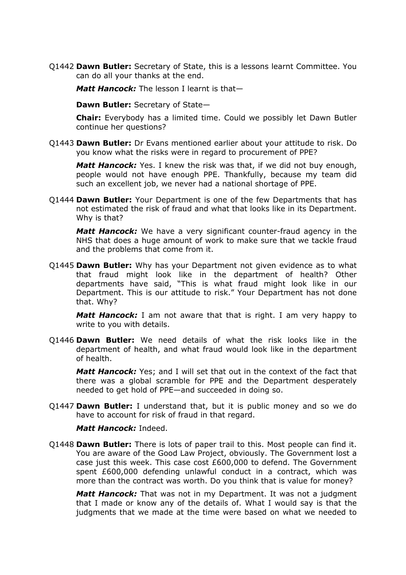Q1442 **Dawn Butler:** Secretary of State, this is a lessons learnt Committee. You can do all your thanks at the end.

*Matt Hancock:* The lesson I learnt is that—

**Dawn Butler:** Secretary of State—

**Chair:** Everybody has a limited time. Could we possibly let Dawn Butler continue her questions?

Q1443 **Dawn Butler:** Dr Evans mentioned earlier about your attitude to risk. Do you know what the risks were in regard to procurement of PPE?

*Matt Hancock:* Yes. I knew the risk was that, if we did not buy enough, people would not have enough PPE. Thankfully, because my team did such an excellent job, we never had a national shortage of PPE.

Q1444 **Dawn Butler:** Your Department is one of the few Departments that has not estimated the risk of fraud and what that looks like in its Department. Why is that?

*Matt Hancock:* We have a very significant counter-fraud agency in the NHS that does a huge amount of work to make sure that we tackle fraud and the problems that come from it.

Q1445 **Dawn Butler:** Why has your Department not given evidence as to what that fraud might look like in the department of health? Other departments have said, "This is what fraud might look like in our Department. This is our attitude to risk." Your Department has not done that. Why?

*Matt Hancock:* I am not aware that that is right. I am very happy to write to you with details.

Q1446 **Dawn Butler:** We need details of what the risk looks like in the department of health, and what fraud would look like in the department of health.

*Matt Hancock:* Yes; and I will set that out in the context of the fact that there was a global scramble for PPE and the Department desperately needed to get hold of PPE—and succeeded in doing so.

Q1447 **Dawn Butler:** I understand that, but it is public money and so we do have to account for risk of fraud in that regard.

#### *Matt Hancock:* Indeed.

Q1448 **Dawn Butler:** There is lots of paper trail to this. Most people can find it. You are aware of the Good Law Project, obviously. The Government lost a case just this week. This case cost £600,000 to defend. The Government spent £600,000 defending unlawful conduct in a contract, which was more than the contract was worth. Do you think that is value for money?

*Matt Hancock:* That was not in my Department. It was not a judgment that I made or know any of the details of. What I would say is that the judgments that we made at the time were based on what we needed to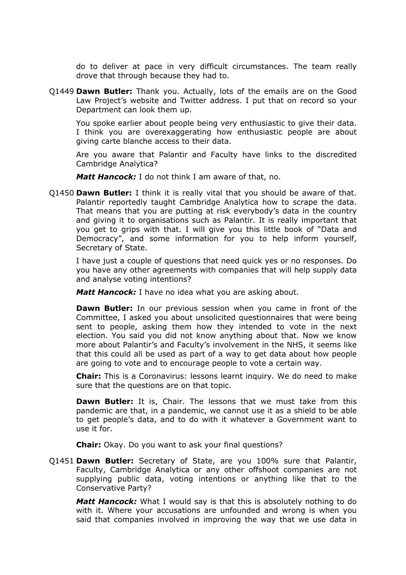do to deliver at pace in very difficult circumstances. The team really drove that through because they had to.

Q1449 **Dawn Butler:** Thank you. Actually, lots of the emails are on the Good Law Project's website and Twitter address. I put that on record so your Department can look them up.

You spoke earlier about people being very enthusiastic to give their data. I think you are overexaggerating how enthusiastic people are about giving carte blanche access to their data.

Are you aware that Palantir and Faculty have links to the discredited Cambridge Analytica?

*Matt Hancock:* I do not think I am aware of that, no.

Q1450 **Dawn Butler:** I think it is really vital that you should be aware of that. Palantir reportedly taught Cambridge Analytica how to scrape the data. That means that you are putting at risk everybody's data in the country and giving it to organisations such as Palantir. It is really important that you get to grips with that. I will give you this little book of "Data and Democracy", and some information for you to help inform yourself, Secretary of State.

I have just a couple of questions that need quick yes or no responses. Do you have any other agreements with companies that will help supply data and analyse voting intentions?

*Matt Hancock:* I have no idea what you are asking about.

**Dawn Butler:** In our previous session when you came in front of the Committee, I asked you about unsolicited questionnaires that were being sent to people, asking them how they intended to vote in the next election. You said you did not know anything about that. Now we know more about Palantir's and Faculty's involvement in the NHS, it seems like that this could all be used as part of a way to get data about how people are going to vote and to encourage people to vote a certain way.

**Chair:** This is a Coronavirus: lessons learnt inquiry. We do need to make sure that the questions are on that topic.

**Dawn Butler:** It is, Chair. The lessons that we must take from this pandemic are that, in a pandemic, we cannot use it as a shield to be able to get people's data, and to do with it whatever a Government want to use it for.

**Chair:** Okay. Do you want to ask your final questions?

Q1451 **Dawn Butler:** Secretary of State, are you 100% sure that Palantir, Faculty, Cambridge Analytica or any other offshoot companies are not supplying public data, voting intentions or anything like that to the Conservative Party?

*Matt Hancock:* What I would say is that this is absolutely nothing to do with it. Where your accusations are unfounded and wrong is when you said that companies involved in improving the way that we use data in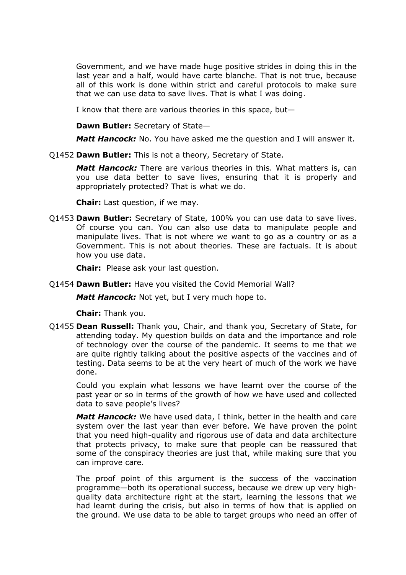Government, and we have made huge positive strides in doing this in the last year and a half, would have carte blanche. That is not true, because all of this work is done within strict and careful protocols to make sure that we can use data to save lives. That is what I was doing.

I know that there are various theories in this space, but—

**Dawn Butler:** Secretary of State—

*Matt Hancock:* No. You have asked me the question and I will answer it.

Q1452 **Dawn Butler:** This is not a theory, Secretary of State.

*Matt Hancock:* There are various theories in this. What matters is, can you use data better to save lives, ensuring that it is properly and appropriately protected? That is what we do.

**Chair:** Last question, if we may.

Q1453 **Dawn Butler:** Secretary of State, 100% you can use data to save lives. Of course you can. You can also use data to manipulate people and manipulate lives. That is not where we want to go as a country or as a Government. This is not about theories. These are factuals. It is about how you use data.

**Chair:** Please ask your last question.

Q1454 **Dawn Butler:** Have you visited the Covid Memorial Wall?

*Matt Hancock:* Not yet, but I very much hope to.

**Chair:** Thank you.

Q1455 **Dean Russell:** Thank you, Chair, and thank you, Secretary of State, for attending today. My question builds on data and the importance and role of technology over the course of the pandemic. It seems to me that we are quite rightly talking about the positive aspects of the vaccines and of testing. Data seems to be at the very heart of much of the work we have done.

Could you explain what lessons we have learnt over the course of the past year or so in terms of the growth of how we have used and collected data to save people's lives?

*Matt Hancock:* We have used data, I think, better in the health and care system over the last year than ever before. We have proven the point that you need high-quality and rigorous use of data and data architecture that protects privacy, to make sure that people can be reassured that some of the conspiracy theories are just that, while making sure that you can improve care.

The proof point of this argument is the success of the vaccination programme—both its operational success, because we drew up very highquality data architecture right at the start, learning the lessons that we had learnt during the crisis, but also in terms of how that is applied on the ground. We use data to be able to target groups who need an offer of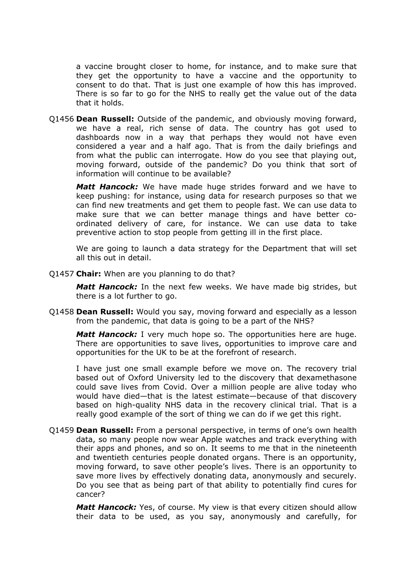a vaccine brought closer to home, for instance, and to make sure that they get the opportunity to have a vaccine and the opportunity to consent to do that. That is just one example of how this has improved. There is so far to go for the NHS to really get the value out of the data that it holds.

Q1456 **Dean Russell:** Outside of the pandemic, and obviously moving forward, we have a real, rich sense of data. The country has got used to dashboards now in a way that perhaps they would not have even considered a year and a half ago. That is from the daily briefings and from what the public can interrogate. How do you see that playing out, moving forward, outside of the pandemic? Do you think that sort of information will continue to be available?

*Matt Hancock:* We have made huge strides forward and we have to keep pushing: for instance, using data for research purposes so that we can find new treatments and get them to people fast. We can use data to make sure that we can better manage things and have better coordinated delivery of care, for instance. We can use data to take preventive action to stop people from getting ill in the first place.

We are going to launch a data strategy for the Department that will set all this out in detail.

Q1457 **Chair:** When are you planning to do that?

*Matt Hancock:* In the next few weeks. We have made big strides, but there is a lot further to go.

Q1458 **Dean Russell:** Would you say, moving forward and especially as a lesson from the pandemic, that data is going to be a part of the NHS?

*Matt Hancock:* I very much hope so. The opportunities here are huge. There are opportunities to save lives, opportunities to improve care and opportunities for the UK to be at the forefront of research.

I have just one small example before we move on. The recovery trial based out of Oxford University led to the discovery that dexamethasone could save lives from Covid. Over a million people are alive today who would have died—that is the latest estimate—because of that discovery based on high-quality NHS data in the recovery clinical trial. That is a really good example of the sort of thing we can do if we get this right.

Q1459 **Dean Russell:** From a personal perspective, in terms of one's own health data, so many people now wear Apple watches and track everything with their apps and phones, and so on. It seems to me that in the nineteenth and twentieth centuries people donated organs. There is an opportunity, moving forward, to save other people's lives. There is an opportunity to save more lives by effectively donating data, anonymously and securely. Do you see that as being part of that ability to potentially find cures for cancer?

*Matt Hancock:* Yes, of course. My view is that every citizen should allow their data to be used, as you say, anonymously and carefully, for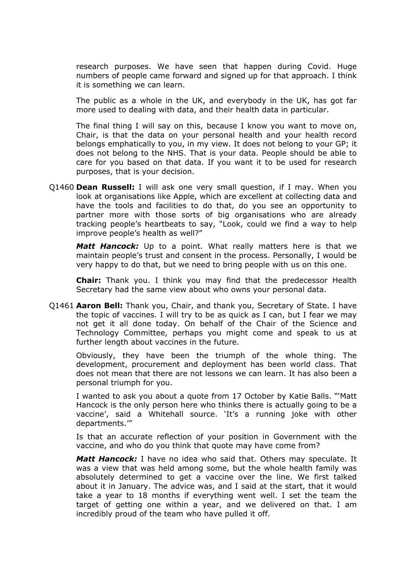research purposes. We have seen that happen during Covid. Huge numbers of people came forward and signed up for that approach. I think it is something we can learn.

The public as a whole in the UK, and everybody in the UK, has got far more used to dealing with data, and their health data in particular.

The final thing I will say on this, because I know you want to move on, Chair, is that the data on your personal health and your health record belongs emphatically to you, in my view. It does not belong to your GP; it does not belong to the NHS. That is your data. People should be able to care for you based on that data. If you want it to be used for research purposes, that is your decision.

Q1460 **Dean Russell:** I will ask one very small question, if I may. When you look at organisations like Apple, which are excellent at collecting data and have the tools and facilities to do that, do you see an opportunity to partner more with those sorts of big organisations who are already tracking people's heartbeats to say, "Look, could we find a way to help improve people's health as well?"

*Matt Hancock:* Up to a point. What really matters here is that we maintain people's trust and consent in the process. Personally, I would be very happy to do that, but we need to bring people with us on this one.

**Chair:** Thank you. I think you may find that the predecessor Health Secretary had the same view about who owns your personal data.

Q1461 **Aaron Bell:** Thank you, Chair, and thank you, Secretary of State. I have the topic of vaccines. I will try to be as quick as I can, but I fear we may not get it all done today. On behalf of the Chair of the Science and Technology Committee, perhaps you might come and speak to us at further length about vaccines in the future.

Obviously, they have been the triumph of the whole thing. The development, procurement and deployment has been world class. That does not mean that there are not lessons we can learn. It has also been a personal triumph for you.

I wanted to ask you about a quote from 17 October by Katie Balls. "'Matt Hancock is the only person here who thinks there is actually going to be a vaccine', said a Whitehall source. 'It's a running joke with other departments.'"

Is that an accurate reflection of your position in Government with the vaccine, and who do you think that quote may have come from?

*Matt Hancock:* I have no idea who said that. Others may speculate. It was a view that was held among some, but the whole health family was absolutely determined to get a vaccine over the line. We first talked about it in January. The advice was, and I said at the start, that it would take a year to 18 months if everything went well. I set the team the target of getting one within a year, and we delivered on that. I am incredibly proud of the team who have pulled it off.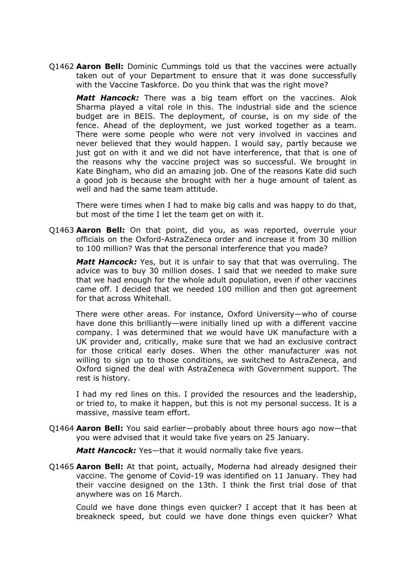Q1462 **Aaron Bell:** Dominic Cummings told us that the vaccines were actually taken out of your Department to ensure that it was done successfully with the Vaccine Taskforce. Do you think that was the right move?

*Matt Hancock:* There was a big team effort on the vaccines. Alok Sharma played a vital role in this. The industrial side and the science budget are in BEIS. The deployment, of course, is on my side of the fence. Ahead of the deployment, we just worked together as a team. There were some people who were not very involved in vaccines and never believed that they would happen. I would say, partly because we just got on with it and we did not have interference, that that is one of the reasons why the vaccine project was so successful. We brought in Kate Bingham, who did an amazing job. One of the reasons Kate did such a good job is because she brought with her a huge amount of talent as well and had the same team attitude.

There were times when I had to make big calls and was happy to do that, but most of the time I let the team get on with it.

Q1463 **Aaron Bell:** On that point, did you, as was reported, overrule your officials on the Oxford-AstraZeneca order and increase it from 30 million to 100 million? Was that the personal interference that you made?

*Matt Hancock:* Yes, but it is unfair to say that that was overruling. The advice was to buy 30 million doses. I said that we needed to make sure that we had enough for the whole adult population, even if other vaccines came off. I decided that we needed 100 million and then got agreement for that across Whitehall.

There were other areas. For instance, Oxford University—who of course have done this brilliantly—were initially lined up with a different vaccine company. I was determined that we would have UK manufacture with a UK provider and, critically, make sure that we had an exclusive contract for those critical early doses. When the other manufacturer was not willing to sign up to those conditions, we switched to AstraZeneca, and Oxford signed the deal with AstraZeneca with Government support. The rest is history.

I had my red lines on this. I provided the resources and the leadership, or tried to, to make it happen, but this is not my personal success. It is a massive, massive team effort.

Q1464 **Aaron Bell:** You said earlier—probably about three hours ago now—that you were advised that it would take five years on 25 January.

*Matt Hancock:* Yes—that it would normally take five years.

Q1465 **Aaron Bell:** At that point, actually, Moderna had already designed their vaccine. The genome of Covid-19 was identified on 11 January. They had their vaccine designed on the 13th. I think the first trial dose of that anywhere was on 16 March.

Could we have done things even quicker? I accept that it has been at breakneck speed, but could we have done things even quicker? What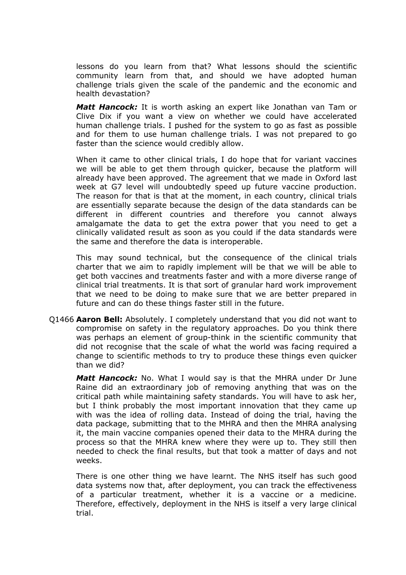lessons do you learn from that? What lessons should the scientific community learn from that, and should we have adopted human challenge trials given the scale of the pandemic and the economic and health devastation?

*Matt Hancock:* It is worth asking an expert like Jonathan van Tam or Clive Dix if you want a view on whether we could have accelerated human challenge trials. I pushed for the system to go as fast as possible and for them to use human challenge trials. I was not prepared to go faster than the science would credibly allow.

When it came to other clinical trials, I do hope that for variant vaccines we will be able to get them through quicker, because the platform will already have been approved. The agreement that we made in Oxford last week at G7 level will undoubtedly speed up future vaccine production. The reason for that is that at the moment, in each country, clinical trials are essentially separate because the design of the data standards can be different in different countries and therefore you cannot always amalgamate the data to get the extra power that you need to get a clinically validated result as soon as you could if the data standards were the same and therefore the data is interoperable.

This may sound technical, but the consequence of the clinical trials charter that we aim to rapidly implement will be that we will be able to get both vaccines and treatments faster and with a more diverse range of clinical trial treatments. It is that sort of granular hard work improvement that we need to be doing to make sure that we are better prepared in future and can do these things faster still in the future.

Q1466 **Aaron Bell:** Absolutely. I completely understand that you did not want to compromise on safety in the regulatory approaches. Do you think there was perhaps an element of group-think in the scientific community that did not recognise that the scale of what the world was facing required a change to scientific methods to try to produce these things even quicker than we did?

*Matt Hancock:* No. What I would say is that the MHRA under Dr June Raine did an extraordinary job of removing anything that was on the critical path while maintaining safety standards. You will have to ask her, but I think probably the most important innovation that they came up with was the idea of rolling data. Instead of doing the trial, having the data package, submitting that to the MHRA and then the MHRA analysing it, the main vaccine companies opened their data to the MHRA during the process so that the MHRA knew where they were up to. They still then needed to check the final results, but that took a matter of days and not weeks.

There is one other thing we have learnt. The NHS itself has such good data systems now that, after deployment, you can track the effectiveness of a particular treatment, whether it is a vaccine or a medicine. Therefore, effectively, deployment in the NHS is itself a very large clinical trial.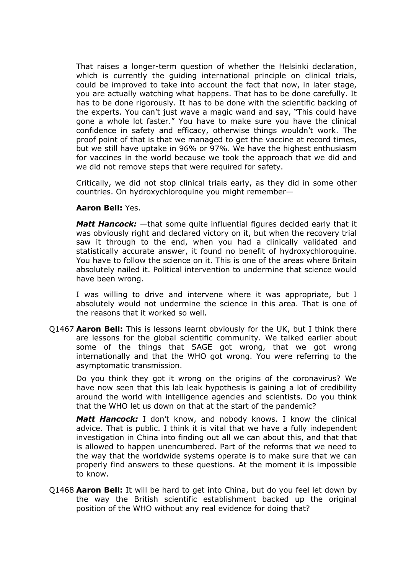That raises a longer-term question of whether the Helsinki declaration, which is currently the quiding international principle on clinical trials, could be improved to take into account the fact that now, in later stage, you are actually watching what happens. That has to be done carefully. It has to be done rigorously. It has to be done with the scientific backing of the experts. You can't just wave a magic wand and say, "This could have gone a whole lot faster." You have to make sure you have the clinical confidence in safety and efficacy, otherwise things wouldn't work. The proof point of that is that we managed to get the vaccine at record times, but we still have uptake in 96% or 97%. We have the highest enthusiasm for vaccines in the world because we took the approach that we did and we did not remove steps that were required for safety.

Critically, we did not stop clinical trials early, as they did in some other countries. On hydroxychloroquine you might remember—

### **Aaron Bell:** Yes.

*Matt Hancock:* —that some quite influential figures decided early that it was obviously right and declared victory on it, but when the recovery trial saw it through to the end, when you had a clinically validated and statistically accurate answer, it found no benefit of hydroxychloroquine. You have to follow the science on it. This is one of the areas where Britain absolutely nailed it. Political intervention to undermine that science would have been wrong.

I was willing to drive and intervene where it was appropriate, but I absolutely would not undermine the science in this area. That is one of the reasons that it worked so well.

Q1467 **Aaron Bell:** This is lessons learnt obviously for the UK, but I think there are lessons for the global scientific community. We talked earlier about some of the things that SAGE got wrong, that we got wrong internationally and that the WHO got wrong. You were referring to the asymptomatic transmission.

Do you think they got it wrong on the origins of the coronavirus? We have now seen that this lab leak hypothesis is gaining a lot of credibility around the world with intelligence agencies and scientists. Do you think that the WHO let us down on that at the start of the pandemic?

*Matt Hancock:* I don't know, and nobody knows. I know the clinical advice. That is public. I think it is vital that we have a fully independent investigation in China into finding out all we can about this, and that that is allowed to happen unencumbered. Part of the reforms that we need to the way that the worldwide systems operate is to make sure that we can properly find answers to these questions. At the moment it is impossible to know.

Q1468 **Aaron Bell:** It will be hard to get into China, but do you feel let down by the way the British scientific establishment backed up the original position of the WHO without any real evidence for doing that?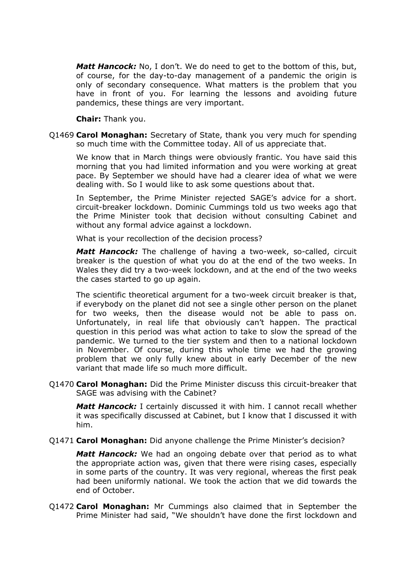*Matt Hancock:* No, I don't. We do need to get to the bottom of this, but, of course, for the day-to-day management of a pandemic the origin is only of secondary consequence. What matters is the problem that you have in front of you. For learning the lessons and avoiding future pandemics, these things are very important.

**Chair:** Thank you.

Q1469 **Carol Monaghan:** Secretary of State, thank you very much for spending so much time with the Committee today. All of us appreciate that.

We know that in March things were obviously frantic. You have said this morning that you had limited information and you were working at great pace. By September we should have had a clearer idea of what we were dealing with. So I would like to ask some questions about that.

In September, the Prime Minister rejected SAGE's advice for a short. circuit-breaker lockdown. Dominic Cummings told us two weeks ago that the Prime Minister took that decision without consulting Cabinet and without any formal advice against a lockdown.

What is your recollection of the decision process?

*Matt Hancock:* The challenge of having a two-week, so-called, circuit breaker is the question of what you do at the end of the two weeks. In Wales they did try a two-week lockdown, and at the end of the two weeks the cases started to go up again.

The scientific theoretical argument for a two-week circuit breaker is that, if everybody on the planet did not see a single other person on the planet for two weeks, then the disease would not be able to pass on. Unfortunately, in real life that obviously can't happen. The practical question in this period was what action to take to slow the spread of the pandemic. We turned to the tier system and then to a national lockdown in November. Of course, during this whole time we had the growing problem that we only fully knew about in early December of the new variant that made life so much more difficult.

Q1470 **Carol Monaghan:** Did the Prime Minister discuss this circuit-breaker that SAGE was advising with the Cabinet?

*Matt Hancock:* I certainly discussed it with him. I cannot recall whether it was specifically discussed at Cabinet, but I know that I discussed it with him.

Q1471 **Carol Monaghan:** Did anyone challenge the Prime Minister's decision?

*Matt Hancock:* We had an ongoing debate over that period as to what the appropriate action was, given that there were rising cases, especially in some parts of the country. It was very regional, whereas the first peak had been uniformly national. We took the action that we did towards the end of October.

Q1472 **Carol Monaghan:** Mr Cummings also claimed that in September the Prime Minister had said, "We shouldn't have done the first lockdown and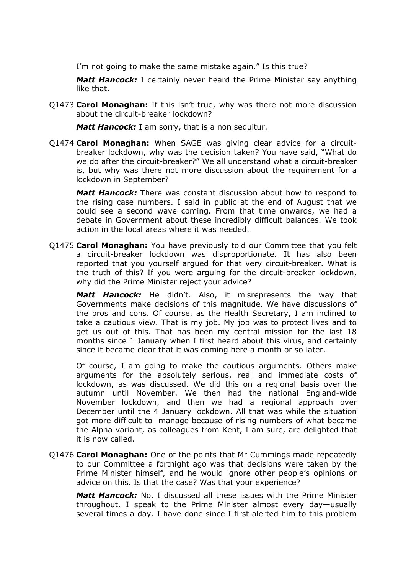I'm not going to make the same mistake again." Is this true?

*Matt Hancock:* I certainly never heard the Prime Minister say anything like that.

Q1473 **Carol Monaghan:** If this isn't true, why was there not more discussion about the circuit-breaker lockdown?

*Matt Hancock:* I am sorry, that is a non sequitur.

Q1474 **Carol Monaghan:** When SAGE was giving clear advice for a circuitbreaker lockdown, why was the decision taken? You have said, "What do we do after the circuit-breaker?" We all understand what a circuit-breaker is, but why was there not more discussion about the requirement for a lockdown in September?

*Matt Hancock:* There was constant discussion about how to respond to the rising case numbers. I said in public at the end of August that we could see a second wave coming. From that time onwards, we had a debate in Government about these incredibly difficult balances. We took action in the local areas where it was needed.

Q1475 **Carol Monaghan:** You have previously told our Committee that you felt a circuit-breaker lockdown was disproportionate. It has also been reported that you yourself argued for that very circuit-breaker. What is the truth of this? If you were arguing for the circuit-breaker lockdown, why did the Prime Minister reject your advice?

*Matt Hancock:* He didn't. Also, it misrepresents the way that Governments make decisions of this magnitude. We have discussions of the pros and cons. Of course, as the Health Secretary, I am inclined to take a cautious view. That is my job. My job was to protect lives and to get us out of this. That has been my central mission for the last 18 months since 1 January when I first heard about this virus, and certainly since it became clear that it was coming here a month or so later.

Of course, I am going to make the cautious arguments. Others make arguments for the absolutely serious, real and immediate costs of lockdown, as was discussed. We did this on a regional basis over the autumn until November. We then had the national England-wide November lockdown, and then we had a regional approach over December until the 4 January lockdown. All that was while the situation got more difficult to manage because of rising numbers of what became the Alpha variant, as colleagues from Kent, I am sure, are delighted that it is now called.

Q1476 **Carol Monaghan:** One of the points that Mr Cummings made repeatedly to our Committee a fortnight ago was that decisions were taken by the Prime Minister himself, and he would ignore other people's opinions or advice on this. Is that the case? Was that your experience?

*Matt Hancock:* No. I discussed all these issues with the Prime Minister throughout. I speak to the Prime Minister almost every day—usually several times a day. I have done since I first alerted him to this problem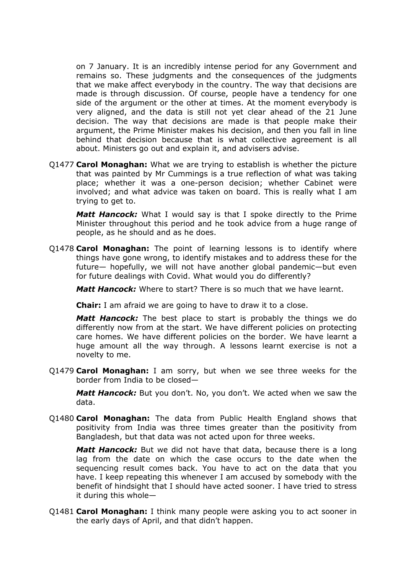on 7 January. It is an incredibly intense period for any Government and remains so. These judgments and the consequences of the judgments that we make affect everybody in the country. The way that decisions are made is through discussion. Of course, people have a tendency for one side of the argument or the other at times. At the moment everybody is very aligned, and the data is still not yet clear ahead of the 21 June decision. The way that decisions are made is that people make their argument, the Prime Minister makes his decision, and then you fall in line behind that decision because that is what collective agreement is all about. Ministers go out and explain it, and advisers advise.

Q1477 **Carol Monaghan:** What we are trying to establish is whether the picture that was painted by Mr Cummings is a true reflection of what was taking place; whether it was a one-person decision; whether Cabinet were involved; and what advice was taken on board. This is really what I am trying to get to.

*Matt Hancock:* What I would say is that I spoke directly to the Prime Minister throughout this period and he took advice from a huge range of people, as he should and as he does.

Q1478 **Carol Monaghan:** The point of learning lessons is to identify where things have gone wrong, to identify mistakes and to address these for the future— hopefully, we will not have another global pandemic—but even for future dealings with Covid. What would you do differently?

*Matt Hancock:* Where to start? There is so much that we have learnt.

**Chair:** I am afraid we are going to have to draw it to a close.

*Matt Hancock:* The best place to start is probably the things we do differently now from at the start. We have different policies on protecting care homes. We have different policies on the border. We have learnt a huge amount all the way through. A lessons learnt exercise is not a novelty to me.

Q1479 **Carol Monaghan:** I am sorry, but when we see three weeks for the border from India to be closed—

*Matt Hancock:* But you don't. No, you don't. We acted when we saw the data.

Q1480 **Carol Monaghan:** The data from Public Health England shows that positivity from India was three times greater than the positivity from Bangladesh, but that data was not acted upon for three weeks.

*Matt Hancock:* But we did not have that data, because there is a long lag from the date on which the case occurs to the date when the sequencing result comes back. You have to act on the data that you have. I keep repeating this whenever I am accused by somebody with the benefit of hindsight that I should have acted sooner. I have tried to stress it during this whole—

Q1481 **Carol Monaghan:** I think many people were asking you to act sooner in the early days of April, and that didn't happen.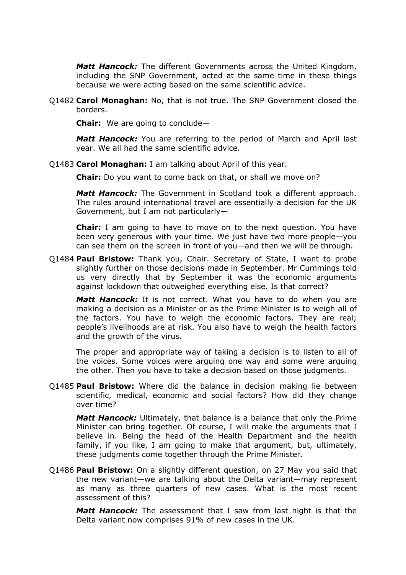*Matt Hancock:* The different Governments across the United Kingdom, including the SNP Government, acted at the same time in these things because we were acting based on the same scientific advice.

Q1482 **Carol Monaghan:** No, that is not true. The SNP Government closed the borders.

**Chair:** We are going to conclude—

*Matt Hancock:* You are referring to the period of March and April last year. We all had the same scientific advice.

Q1483 **Carol Monaghan:** I am talking about April of this year.

**Chair:** Do you want to come back on that, or shall we move on?

*Matt Hancock:* The Government in Scotland took a different approach. The rules around international travel are essentially a decision for the UK Government, but I am not particularly—

**Chair:** I am going to have to move on to the next question. You have been very generous with your time. We just have two more people—you can see them on the screen in front of you—and then we will be through.

Q1484 **Paul Bristow:** Thank you, Chair. Secretary of State, I want to probe slightly further on those decisions made in September. Mr Cummings told us very directly that by September it was the economic arguments against lockdown that outweighed everything else. Is that correct?

*Matt Hancock:* It is not correct. What you have to do when you are making a decision as a Minister or as the Prime Minister is to weigh all of the factors. You have to weigh the economic factors. They are real; people's livelihoods are at risk. You also have to weigh the health factors and the growth of the virus.

The proper and appropriate way of taking a decision is to listen to all of the voices. Some voices were arguing one way and some were arguing the other. Then you have to take a decision based on those judgments.

Q1485 **Paul Bristow:** Where did the balance in decision making lie between scientific, medical, economic and social factors? How did they change over time?

*Matt Hancock:* Ultimately, that balance is a balance that only the Prime Minister can bring together. Of course, I will make the arguments that I believe in. Being the head of the Health Department and the health family, if you like, I am going to make that argument, but, ultimately, these judgments come together through the Prime Minister.

Q1486 **Paul Bristow:** On a slightly different question, on 27 May you said that the new variant—we are talking about the Delta variant—may represent as many as three quarters of new cases. What is the most recent assessment of this?

*Matt Hancock:* The assessment that I saw from last night is that the Delta variant now comprises 91% of new cases in the UK.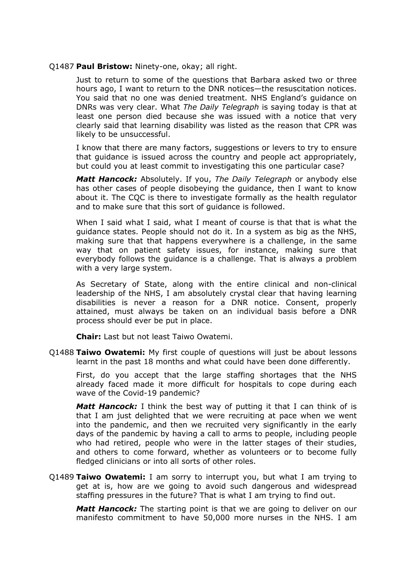### Q1487 **Paul Bristow:** Ninety-one, okay; all right.

Just to return to some of the questions that Barbara asked two or three hours ago, I want to return to the DNR notices—the resuscitation notices. You said that no one was denied treatment. NHS England's guidance on DNRs was very clear. What *The Daily Telegraph* is saying today is that at least one person died because she was issued with a notice that very clearly said that learning disability was listed as the reason that CPR was likely to be unsuccessful.

I know that there are many factors, suggestions or levers to try to ensure that guidance is issued across the country and people act appropriately, but could you at least commit to investigating this one particular case?

*Matt Hancock:* Absolutely. If you, *The Daily Telegraph* or anybody else has other cases of people disobeying the guidance, then I want to know about it. The CQC is there to investigate formally as the health regulator and to make sure that this sort of guidance is followed.

When I said what I said, what I meant of course is that that is what the guidance states. People should not do it. In a system as big as the NHS, making sure that that happens everywhere is a challenge, in the same way that on patient safety issues, for instance, making sure that everybody follows the guidance is a challenge. That is always a problem with a very large system.

As Secretary of State, along with the entire clinical and non-clinical leadership of the NHS, I am absolutely crystal clear that having learning disabilities is never a reason for a DNR notice. Consent, properly attained, must always be taken on an individual basis before a DNR process should ever be put in place.

**Chair:** Last but not least Taiwo Owatemi.

Q1488 **Taiwo Owatemi:** My first couple of questions will just be about lessons learnt in the past 18 months and what could have been done differently.

First, do you accept that the large staffing shortages that the NHS already faced made it more difficult for hospitals to cope during each wave of the Covid-19 pandemic?

*Matt Hancock:* I think the best way of putting it that I can think of is that I am just delighted that we were recruiting at pace when we went into the pandemic, and then we recruited very significantly in the early days of the pandemic by having a call to arms to people, including people who had retired, people who were in the latter stages of their studies, and others to come forward, whether as volunteers or to become fully fledged clinicians or into all sorts of other roles.

Q1489 **Taiwo Owatemi:** I am sorry to interrupt you, but what I am trying to get at is, how are we going to avoid such dangerous and widespread staffing pressures in the future? That is what I am trying to find out.

*Matt Hancock:* The starting point is that we are going to deliver on our manifesto commitment to have 50,000 more nurses in the NHS. I am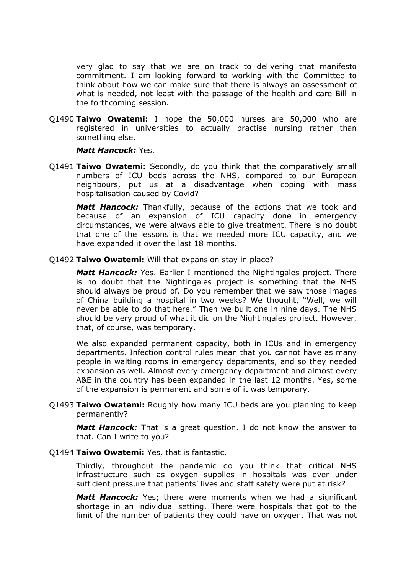very glad to say that we are on track to delivering that manifesto commitment. I am looking forward to working with the Committee to think about how we can make sure that there is always an assessment of what is needed, not least with the passage of the health and care Bill in the forthcoming session.

Q1490 **Taiwo Owatemi:** I hope the 50,000 nurses are 50,000 who are registered in universities to actually practise nursing rather than something else.

# *Matt Hancock:* Yes.

Q1491 **Taiwo Owatemi:** Secondly, do you think that the comparatively small numbers of ICU beds across the NHS, compared to our European neighbours, put us at a disadvantage when coping with mass hospitalisation caused by Covid?

*Matt Hancock:* Thankfully, because of the actions that we took and because of an expansion of ICU capacity done in emergency circumstances, we were always able to give treatment. There is no doubt that one of the lessons is that we needed more ICU capacity, and we have expanded it over the last 18 months.

# Q1492 **Taiwo Owatemi:** Will that expansion stay in place?

*Matt Hancock:* Yes. Earlier I mentioned the Nightingales project. There is no doubt that the Nightingales project is something that the NHS should always be proud of. Do you remember that we saw those images of China building a hospital in two weeks? We thought, "Well, we will never be able to do that here." Then we built one in nine days. The NHS should be very proud of what it did on the Nightingales project. However, that, of course, was temporary.

We also expanded permanent capacity, both in ICUs and in emergency departments. Infection control rules mean that you cannot have as many people in waiting rooms in emergency departments, and so they needed expansion as well. Almost every emergency department and almost every A&E in the country has been expanded in the last 12 months. Yes, some of the expansion is permanent and some of it was temporary.

Q1493 **Taiwo Owatemi:** Roughly how many ICU beds are you planning to keep permanently?

*Matt Hancock:* That is a great question. I do not know the answer to that. Can I write to you?

### Q1494 **Taiwo Owatemi:** Yes, that is fantastic.

Thirdly, throughout the pandemic do you think that critical NHS infrastructure such as oxygen supplies in hospitals was ever under sufficient pressure that patients' lives and staff safety were put at risk?

*Matt Hancock:* Yes; there were moments when we had a significant shortage in an individual setting. There were hospitals that got to the limit of the number of patients they could have on oxygen. That was not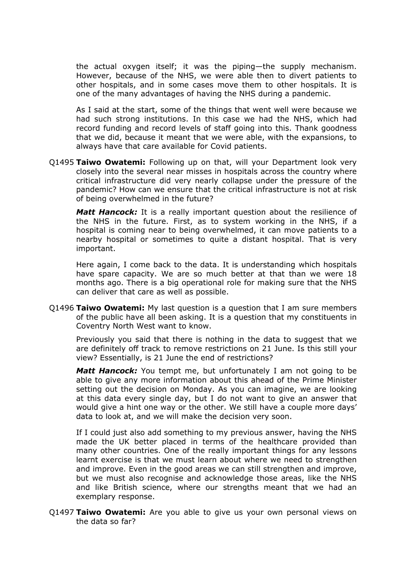the actual oxygen itself; it was the piping—the supply mechanism. However, because of the NHS, we were able then to divert patients to other hospitals, and in some cases move them to other hospitals. It is one of the many advantages of having the NHS during a pandemic.

As I said at the start, some of the things that went well were because we had such strong institutions. In this case we had the NHS, which had record funding and record levels of staff going into this. Thank goodness that we did, because it meant that we were able, with the expansions, to always have that care available for Covid patients.

Q1495 **Taiwo Owatemi:** Following up on that, will your Department look very closely into the several near misses in hospitals across the country where critical infrastructure did very nearly collapse under the pressure of the pandemic? How can we ensure that the critical infrastructure is not at risk of being overwhelmed in the future?

**Matt Hancock:** It is a really important question about the resilience of the NHS in the future. First, as to system working in the NHS, if a hospital is coming near to being overwhelmed, it can move patients to a nearby hospital or sometimes to quite a distant hospital. That is very important.

Here again, I come back to the data. It is understanding which hospitals have spare capacity. We are so much better at that than we were 18 months ago. There is a big operational role for making sure that the NHS can deliver that care as well as possible.

Q1496 **Taiwo Owatemi:** My last question is a question that I am sure members of the public have all been asking. It is a question that my constituents in Coventry North West want to know.

Previously you said that there is nothing in the data to suggest that we are definitely off track to remove restrictions on 21 June. Is this still your view? Essentially, is 21 June the end of restrictions?

*Matt Hancock:* You tempt me, but unfortunately I am not going to be able to give any more information about this ahead of the Prime Minister setting out the decision on Monday. As you can imagine, we are looking at this data every single day, but I do not want to give an answer that would give a hint one way or the other. We still have a couple more days' data to look at, and we will make the decision very soon.

If I could just also add something to my previous answer, having the NHS made the UK better placed in terms of the healthcare provided than many other countries. One of the really important things for any lessons learnt exercise is that we must learn about where we need to strengthen and improve. Even in the good areas we can still strengthen and improve, but we must also recognise and acknowledge those areas, like the NHS and like British science, where our strengths meant that we had an exemplary response.

Q1497 **Taiwo Owatemi:** Are you able to give us your own personal views on the data so far?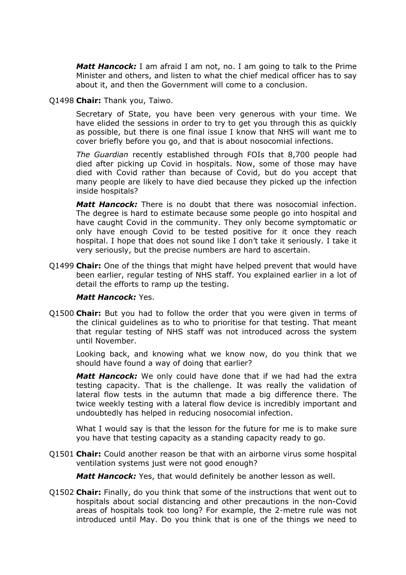*Matt Hancock:* I am afraid I am not, no. I am going to talk to the Prime Minister and others, and listen to what the chief medical officer has to say about it, and then the Government will come to a conclusion.

# Q1498 **Chair:** Thank you, Taiwo.

Secretary of State, you have been very generous with your time. We have elided the sessions in order to try to get you through this as quickly as possible, but there is one final issue I know that NHS will want me to cover briefly before you go, and that is about nosocomial infections.

*The Guardian* recently established through FOIs that 8,700 people had died after picking up Covid in hospitals. Now, some of those may have died with Covid rather than because of Covid, but do you accept that many people are likely to have died because they picked up the infection inside hospitals?

*Matt Hancock:* There is no doubt that there was nosocomial infection. The degree is hard to estimate because some people go into hospital and have caught Covid in the community. They only become symptomatic or only have enough Covid to be tested positive for it once they reach hospital. I hope that does not sound like I don't take it seriously. I take it very seriously, but the precise numbers are hard to ascertain.

Q1499 **Chair:** One of the things that might have helped prevent that would have been earlier, regular testing of NHS staff. You explained earlier in a lot of detail the efforts to ramp up the testing.

# *Matt Hancock:* Yes.

Q1500 **Chair:** But you had to follow the order that you were given in terms of the clinical guidelines as to who to prioritise for that testing. That meant that regular testing of NHS staff was not introduced across the system until November.

Looking back, and knowing what we know now, do you think that we should have found a way of doing that earlier?

*Matt Hancock:* We only could have done that if we had had the extra testing capacity. That is the challenge. It was really the validation of lateral flow tests in the autumn that made a big difference there. The twice weekly testing with a lateral flow device is incredibly important and undoubtedly has helped in reducing nosocomial infection.

What I would say is that the lesson for the future for me is to make sure you have that testing capacity as a standing capacity ready to go.

Q1501 **Chair:** Could another reason be that with an airborne virus some hospital ventilation systems just were not good enough?

*Matt Hancock:* Yes, that would definitely be another lesson as well.

Q1502 **Chair:** Finally, do you think that some of the instructions that went out to hospitals about social distancing and other precautions in the non-Covid areas of hospitals took too long? For example, the 2-metre rule was not introduced until May. Do you think that is one of the things we need to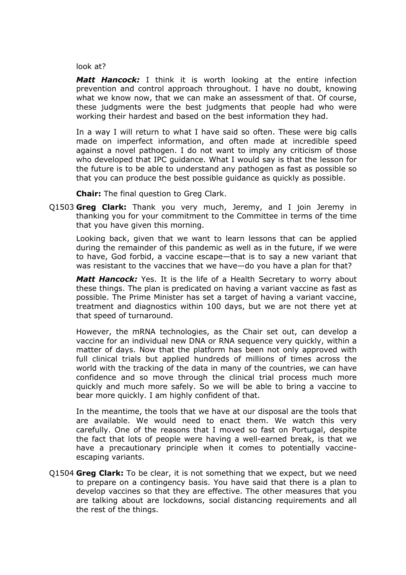look at?

*Matt Hancock:* I think it is worth looking at the entire infection prevention and control approach throughout. I have no doubt, knowing what we know now, that we can make an assessment of that. Of course, these judgments were the best judgments that people had who were working their hardest and based on the best information they had.

In a way I will return to what I have said so often. These were big calls made on imperfect information, and often made at incredible speed against a novel pathogen. I do not want to imply any criticism of those who developed that IPC guidance. What I would say is that the lesson for the future is to be able to understand any pathogen as fast as possible so that you can produce the best possible guidance as quickly as possible.

**Chair:** The final question to Greg Clark.

Q1503 **Greg Clark:** Thank you very much, Jeremy, and I join Jeremy in thanking you for your commitment to the Committee in terms of the time that you have given this morning.

Looking back, given that we want to learn lessons that can be applied during the remainder of this pandemic as well as in the future, if we were to have, God forbid, a vaccine escape—that is to say a new variant that was resistant to the vaccines that we have—do you have a plan for that?

*Matt Hancock:* Yes. It is the life of a Health Secretary to worry about these things. The plan is predicated on having a variant vaccine as fast as possible. The Prime Minister has set a target of having a variant vaccine, treatment and diagnostics within 100 days, but we are not there yet at that speed of turnaround.

However, the mRNA technologies, as the Chair set out, can develop a vaccine for an individual new DNA or RNA sequence very quickly, within a matter of days. Now that the platform has been not only approved with full clinical trials but applied hundreds of millions of times across the world with the tracking of the data in many of the countries, we can have confidence and so move through the clinical trial process much more quickly and much more safely. So we will be able to bring a vaccine to bear more quickly. I am highly confident of that.

In the meantime, the tools that we have at our disposal are the tools that are available. We would need to enact them. We watch this very carefully. One of the reasons that I moved so fast on Portugal, despite the fact that lots of people were having a well-earned break, is that we have a precautionary principle when it comes to potentially vaccineescaping variants.

Q1504 **Greg Clark:** To be clear, it is not something that we expect, but we need to prepare on a contingency basis. You have said that there is a plan to develop vaccines so that they are effective. The other measures that you are talking about are lockdowns, social distancing requirements and all the rest of the things.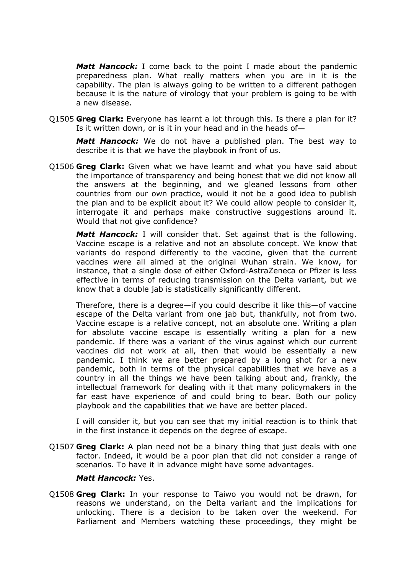*Matt Hancock:* I come back to the point I made about the pandemic preparedness plan. What really matters when you are in it is the capability. The plan is always going to be written to a different pathogen because it is the nature of virology that your problem is going to be with a new disease.

Q1505 **Greg Clark:** Everyone has learnt a lot through this. Is there a plan for it? Is it written down, or is it in your head and in the heads of—

*Matt Hancock:* We do not have a published plan. The best way to describe it is that we have the playbook in front of us.

Q1506 **Greg Clark:** Given what we have learnt and what you have said about the importance of transparency and being honest that we did not know all the answers at the beginning, and we gleaned lessons from other countries from our own practice, would it not be a good idea to publish the plan and to be explicit about it? We could allow people to consider it, interrogate it and perhaps make constructive suggestions around it. Would that not give confidence?

*Matt Hancock:* I will consider that. Set against that is the following. Vaccine escape is a relative and not an absolute concept. We know that variants do respond differently to the vaccine, given that the current vaccines were all aimed at the original Wuhan strain. We know, for instance, that a single dose of either Oxford-AstraZeneca or Pfizer is less effective in terms of reducing transmission on the Delta variant, but we know that a double jab is statistically significantly different.

Therefore, there is a degree—if you could describe it like this—of vaccine escape of the Delta variant from one jab but, thankfully, not from two. Vaccine escape is a relative concept, not an absolute one. Writing a plan for absolute vaccine escape is essentially writing a plan for a new pandemic. If there was a variant of the virus against which our current vaccines did not work at all, then that would be essentially a new pandemic. I think we are better prepared by a long shot for a new pandemic, both in terms of the physical capabilities that we have as a country in all the things we have been talking about and, frankly, the intellectual framework for dealing with it that many policymakers in the far east have experience of and could bring to bear. Both our policy playbook and the capabilities that we have are better placed.

I will consider it, but you can see that my initial reaction is to think that in the first instance it depends on the degree of escape.

Q1507 **Greg Clark:** A plan need not be a binary thing that just deals with one factor. Indeed, it would be a poor plan that did not consider a range of scenarios. To have it in advance might have some advantages.

# *Matt Hancock:* Yes.

Q1508 **Greg Clark:** In your response to Taiwo you would not be drawn, for reasons we understand, on the Delta variant and the implications for unlocking. There is a decision to be taken over the weekend. For Parliament and Members watching these proceedings, they might be